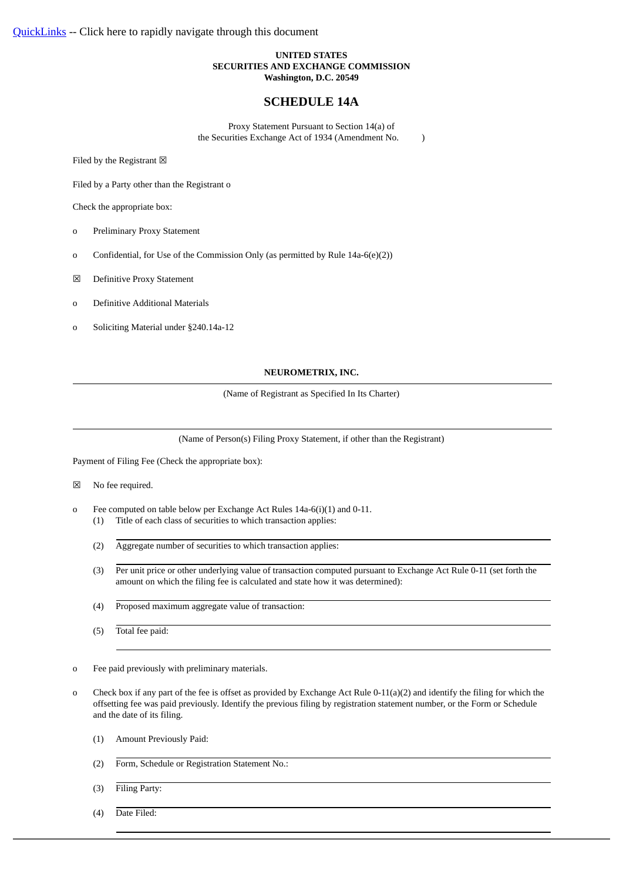# **UNITED STATES SECURITIES AND EXCHANGE COMMISSION Washington, D.C. 20549**

# **SCHEDULE 14A**

Proxy Statement Pursuant to Section 14(a) of the Securities Exchange Act of 1934 (Amendment No. )

Filed by the Registrant  $\boxtimes$ 

Filed by a Party other than the Registrant o

Check the appropriate box:

- o Preliminary Proxy Statement
- o Confidential, for Use of the Commission Only (as permitted by Rule 14a-6(e)(2))
- ☒ Definitive Proxy Statement
- o Definitive Additional Materials
- o Soliciting Material under §240.14a-12

# **NEUROMETRIX, INC.**

(Name of Registrant as Specified In Its Charter)

(Name of Person(s) Filing Proxy Statement, if other than the Registrant)

Payment of Filing Fee (Check the appropriate box):

- ☒ No fee required.
- o Fee computed on table below per Exchange Act Rules 14a-6(i)(1) and 0-11.
	- (1) Title of each class of securities to which transaction applies:
	- (2) Aggregate number of securities to which transaction applies:
	- (3) Per unit price or other underlying value of transaction computed pursuant to Exchange Act Rule 0-11 (set forth the amount on which the filing fee is calculated and state how it was determined):
	- (4) Proposed maximum aggregate value of transaction:
	- (5) Total fee paid:

o Fee paid previously with preliminary materials.

- o Check box if any part of the fee is offset as provided by Exchange Act Rule 0-11(a)(2) and identify the filing for which the offsetting fee was paid previously. Identify the previous filing by registration statement number, or the Form or Schedule and the date of its filing.
	- (1) Amount Previously Paid:
	- (2) Form, Schedule or Registration Statement No.:
	- (3) Filing Party:
	- (4) Date Filed: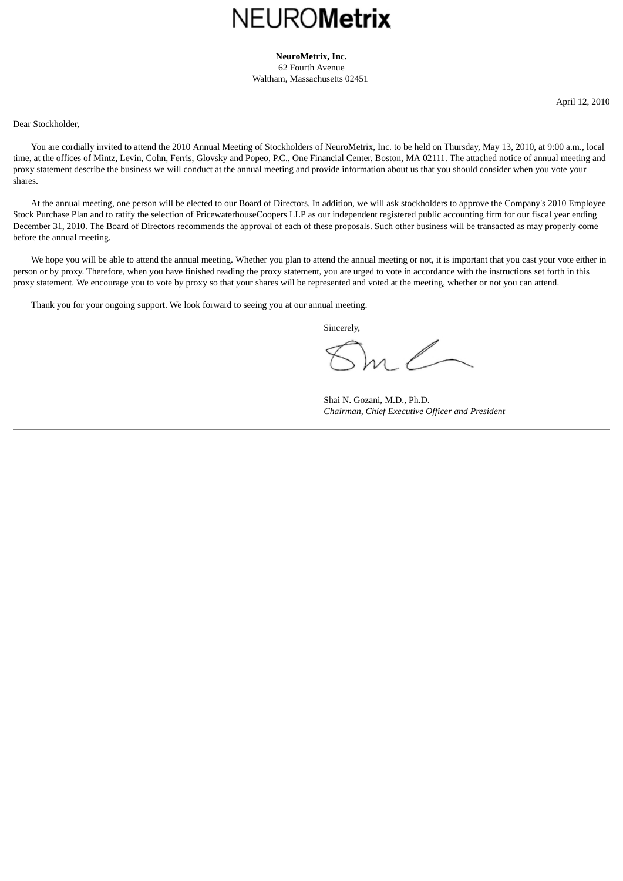# **NEUROMetrix**

**NeuroMetrix, Inc.** 62 Fourth Avenue Waltham, Massachusetts 02451

April 12, 2010

<span id="page-1-0"></span>Dear Stockholder,

 You are cordially invited to attend the 2010 Annual Meeting of Stockholders of NeuroMetrix, Inc. to be held on Thursday, May 13, 2010, at 9:00 a.m., local time, at the offices of Mintz, Levin, Cohn, Ferris, Glovsky and Popeo, P.C., One Financial Center, Boston, MA 02111. The attached notice of annual meeting and proxy statement describe the business we will conduct at the annual meeting and provide information about us that you should consider when you vote your shares.

 At the annual meeting, one person will be elected to our Board of Directors. In addition, we will ask stockholders to approve the Company's 2010 Employee Stock Purchase Plan and to ratify the selection of PricewaterhouseCoopers LLP as our independent registered public accounting firm for our fiscal year ending December 31, 2010. The Board of Directors recommends the approval of each of these proposals. Such other business will be transacted as may properly come before the annual meeting.

We hope you will be able to attend the annual meeting. Whether you plan to attend the annual meeting or not, it is important that you cast your vote either in person or by proxy. Therefore, when you have finished reading the proxy statement, you are urged to vote in accordance with the instructions set forth in this proxy statement. We encourage you to vote by proxy so that your shares will be represented and voted at the meeting, whether or not you can attend.

Thank you for your ongoing support. We look forward to seeing you at our annual meeting.

Sincerely,

Shai N. Gozani, M.D., Ph.D. *Chairman, Chief Executive Officer and President*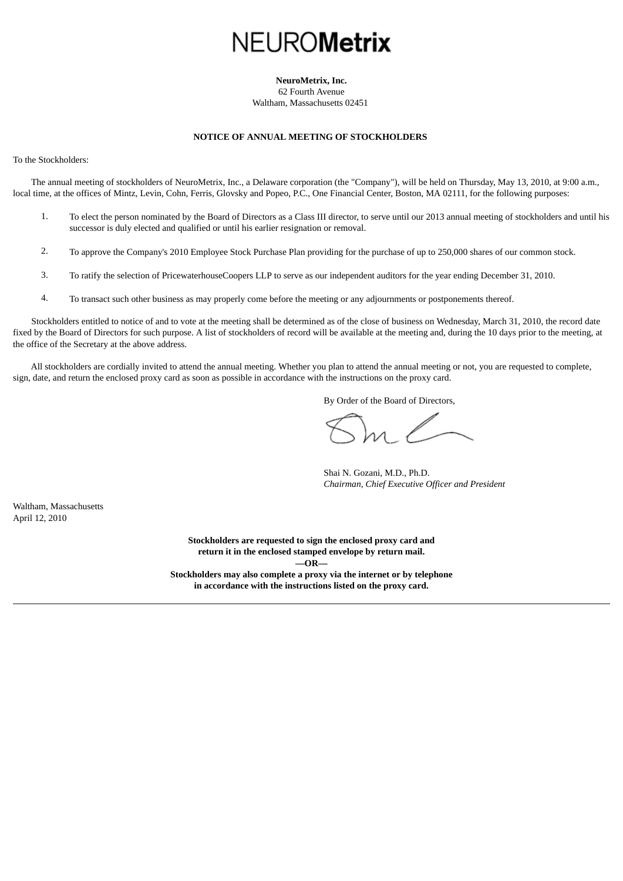# NEURO**Metrix**

# **NeuroMetrix, Inc.**

62 Fourth Avenue Waltham, Massachusetts 02451

# **NOTICE OF ANNUAL MEETING OF STOCKHOLDERS**

<span id="page-2-1"></span><span id="page-2-0"></span>To the Stockholders:

 The annual meeting of stockholders of NeuroMetrix, Inc., a Delaware corporation (the "Company"), will be held on Thursday, May 13, 2010, at 9:00 a.m., local time, at the offices of Mintz, Levin, Cohn, Ferris, Glovsky and Popeo, P.C., One Financial Center, Boston, MA 02111, for the following purposes:

- 1. To elect the person nominated by the Board of Directors as a Class III director, to serve until our 2013 annual meeting of stockholders and until his successor is duly elected and qualified or until his earlier resignation or removal.
- 2. To approve the Company's 2010 Employee Stock Purchase Plan providing for the purchase of up to 250,000 shares of our common stock.
- 3. To ratify the selection of PricewaterhouseCoopers LLP to serve as our independent auditors for the year ending December 31, 2010.
- 4. To transact such other business as may properly come before the meeting or any adjournments or postponements thereof.

 Stockholders entitled to notice of and to vote at the meeting shall be determined as of the close of business on Wednesday, March 31, 2010, the record date fixed by the Board of Directors for such purpose. A list of stockholders of record will be available at the meeting and, during the 10 days prior to the meeting, at the office of the Secretary at the above address.

 All stockholders are cordially invited to attend the annual meeting. Whether you plan to attend the annual meeting or not, you are requested to complete, sign, date, and return the enclosed proxy card as soon as possible in accordance with the instructions on the proxy card.

By Order of the Board of Directors,

Shai N. Gozani, M.D., Ph.D. *Chairman, Chief Executive Officer and President*

Waltham, Massachusetts April 12, 2010

> **Stockholders are requested to sign the enclosed proxy card and return it in the enclosed stamped envelope by return mail. —OR— Stockholders may also complete a proxy via the internet or by telephone in accordance with the instructions listed on the proxy card.**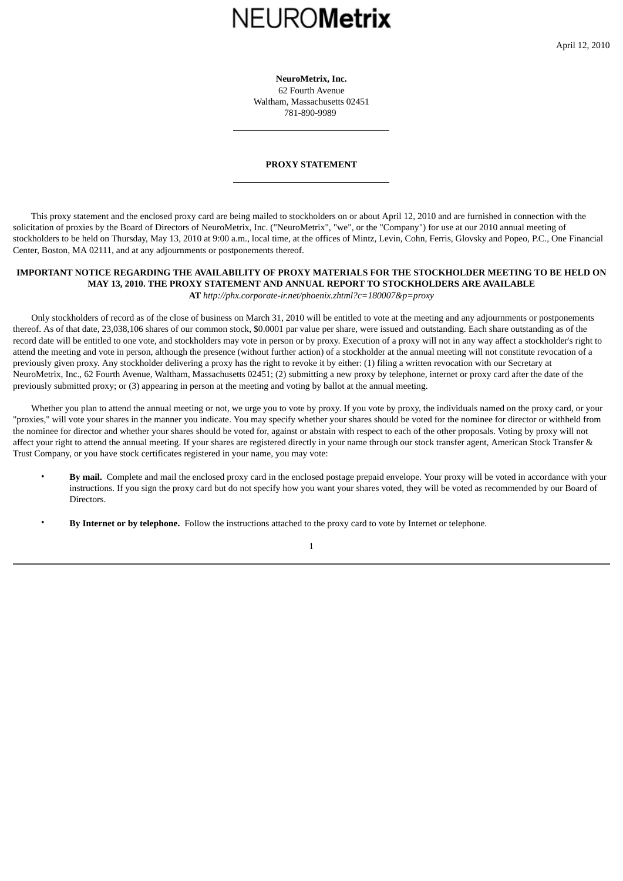# **NEUROMetrix**

**NeuroMetrix, Inc.** 62 Fourth Avenue Waltham, Massachusetts 02451 781-890-9989

# **PROXY STATEMENT**

<span id="page-3-0"></span> This proxy statement and the enclosed proxy card are being mailed to stockholders on or about April 12, 2010 and are furnished in connection with the solicitation of proxies by the Board of Directors of NeuroMetrix, Inc. ("NeuroMetrix", "we", or the "Company") for use at our 2010 annual meeting of stockholders to be held on Thursday, May 13, 2010 at 9:00 a.m., local time, at the offices of Mintz, Levin, Cohn, Ferris, Glovsky and Popeo, P.C., One Financial Center, Boston, MA 02111, and at any adjournments or postponements thereof.

# **IMPORTANT NOTICE REGARDING THE AVAILABILITY OF PROXY MATERIALS FOR THE STOCKHOLDER MEETING TO BE HELD ON MAY 13, 2010. THE PROXY STATEMENT AND ANNUAL REPORT TO STOCKHOLDERS ARE AVAILABLE AT** *http://phx.corporate-ir.net/phoenix.zhtml?c=180007&p=proxy*

 Only stockholders of record as of the close of business on March 31, 2010 will be entitled to vote at the meeting and any adjournments or postponements thereof. As of that date, 23,038,106 shares of our common stock, \$0.0001 par value per share, were issued and outstanding. Each share outstanding as of the record date will be entitled to one vote, and stockholders may vote in person or by proxy. Execution of a proxy will not in any way affect a stockholder's right to attend the meeting and vote in person, although the presence (without further action) of a stockholder at the annual meeting will not constitute revocation of a previously given proxy. Any stockholder delivering a proxy has the right to revoke it by either: (1) filing a written revocation with our Secretary at NeuroMetrix, Inc., 62 Fourth Avenue, Waltham, Massachusetts 02451; (2) submitting a new proxy by telephone, internet or proxy card after the date of the previously submitted proxy; or (3) appearing in person at the meeting and voting by ballot at the annual meeting.

 Whether you plan to attend the annual meeting or not, we urge you to vote by proxy. If you vote by proxy, the individuals named on the proxy card, or your "proxies," will vote your shares in the manner you indicate. You may specify whether your shares should be voted for the nominee for director or withheld from the nominee for director and whether your shares should be voted for, against or abstain with respect to each of the other proposals. Voting by proxy will not affect your right to attend the annual meeting. If your shares are registered directly in your name through our stock transfer agent, American Stock Transfer & Trust Company, or you have stock certificates registered in your name, you may vote:

- **By mail.** Complete and mail the enclosed proxy card in the enclosed postage prepaid envelope. Your proxy will be voted in accordance with your instructions. If you sign the proxy card but do not specify how you want your shares voted, they will be voted as recommended by our Board of Directors.
- **By Internet or by telephone.** Follow the instructions attached to the proxy card to vote by Internet or telephone.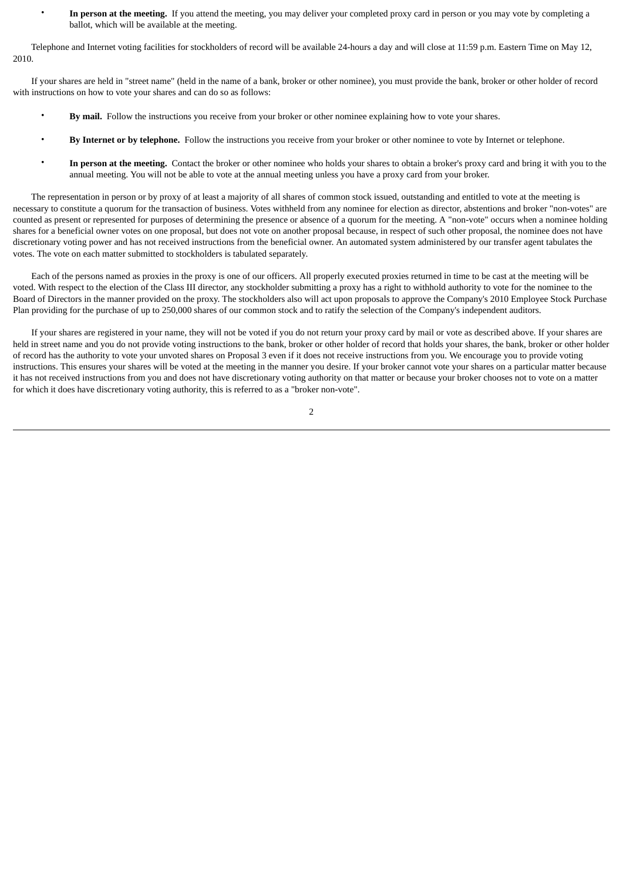• **In person at the meeting.** If you attend the meeting, you may deliver your completed proxy card in person or you may vote by completing a ballot, which will be available at the meeting.

 Telephone and Internet voting facilities for stockholders of record will be available 24-hours a day and will close at 11:59 p.m. Eastern Time on May 12, 2010.

 If your shares are held in "street name" (held in the name of a bank, broker or other nominee), you must provide the bank, broker or other holder of record with instructions on how to vote your shares and can do so as follows:

- **By mail.** Follow the instructions you receive from your broker or other nominee explaining how to vote your shares.
- **By Internet or by telephone.** Follow the instructions you receive from your broker or other nominee to vote by Internet or telephone.
- **In person at the meeting.** Contact the broker or other nominee who holds your shares to obtain a broker's proxy card and bring it with you to the annual meeting. You will not be able to vote at the annual meeting unless you have a proxy card from your broker.

 The representation in person or by proxy of at least a majority of all shares of common stock issued, outstanding and entitled to vote at the meeting is necessary to constitute a quorum for the transaction of business. Votes withheld from any nominee for election as director, abstentions and broker "non-votes" are counted as present or represented for purposes of determining the presence or absence of a quorum for the meeting. A "non-vote" occurs when a nominee holding shares for a beneficial owner votes on one proposal, but does not vote on another proposal because, in respect of such other proposal, the nominee does not have discretionary voting power and has not received instructions from the beneficial owner. An automated system administered by our transfer agent tabulates the votes. The vote on each matter submitted to stockholders is tabulated separately.

 Each of the persons named as proxies in the proxy is one of our officers. All properly executed proxies returned in time to be cast at the meeting will be voted. With respect to the election of the Class III director, any stockholder submitting a proxy has a right to withhold authority to vote for the nominee to the Board of Directors in the manner provided on the proxy. The stockholders also will act upon proposals to approve the Company's 2010 Employee Stock Purchase Plan providing for the purchase of up to 250,000 shares of our common stock and to ratify the selection of the Company's independent auditors.

 If your shares are registered in your name, they will not be voted if you do not return your proxy card by mail or vote as described above. If your shares are held in street name and you do not provide voting instructions to the bank, broker or other holder of record that holds your shares, the bank, broker or other holder of record has the authority to vote your unvoted shares on Proposal 3 even if it does not receive instructions from you. We encourage you to provide voting instructions. This ensures your shares will be voted at the meeting in the manner you desire. If your broker cannot vote your shares on a particular matter because it has not received instructions from you and does not have discretionary voting authority on that matter or because your broker chooses not to vote on a matter for which it does have discretionary voting authority, this is referred to as a "broker non-vote".

 $\overline{2}$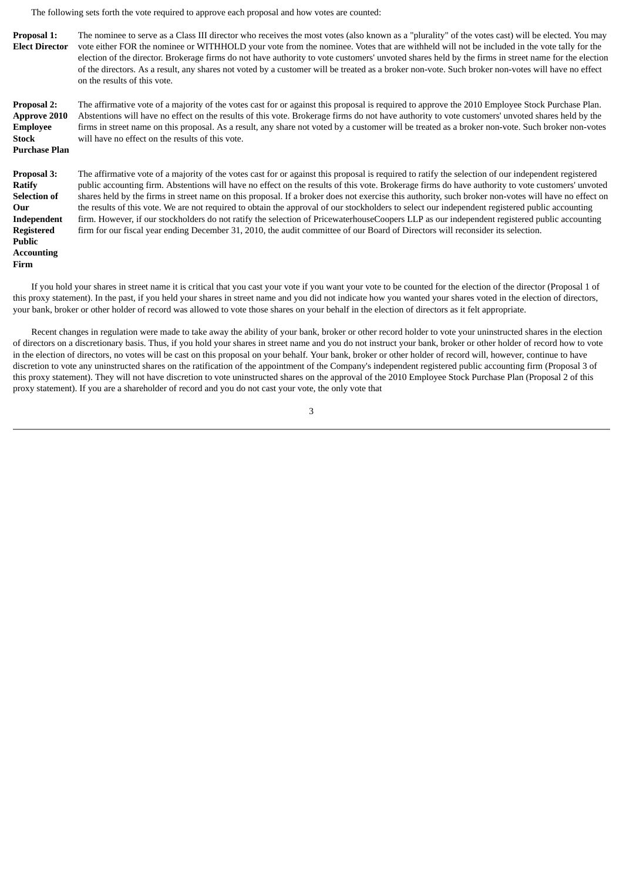The following sets forth the vote required to approve each proposal and how votes are counted:

**Accounting Firm**

**Proposal 1: Elect Director** The nominee to serve as a Class III director who receives the most votes (also known as a "plurality" of the votes cast) will be elected. You may vote either FOR the nominee or WITHHOLD your vote from the nominee. Votes that are withheld will not be included in the vote tally for the election of the director. Brokerage firms do not have authority to vote customers' unvoted shares held by the firms in street name for the election of the directors. As a result, any shares not voted by a customer will be treated as a broker non-vote. Such broker non-votes will have no effect on the results of this vote.

**Proposal 2: Approve 2010 Employee Stock Purchase Plan** The affirmative vote of a majority of the votes cast for or against this proposal is required to approve the 2010 Employee Stock Purchase Plan. Abstentions will have no effect on the results of this vote. Brokerage firms do not have authority to vote customers' unvoted shares held by the firms in street name on this proposal. As a result, any share not voted by a customer will be treated as a broker non-vote. Such broker non-votes will have no effect on the results of this vote.

**Proposal 3: Ratify Selection of Our Independent Registered Public** The affirmative vote of a majority of the votes cast for or against this proposal is required to ratify the selection of our independent registered public accounting firm. Abstentions will have no effect on the results of this vote. Brokerage firms do have authority to vote customers' unvoted shares held by the firms in street name on this proposal. If a broker does not exercise this authority, such broker non-votes will have no effect on the results of this vote. We are not required to obtain the approval of our stockholders to select our independent registered public accounting firm. However, if our stockholders do not ratify the selection of PricewaterhouseCoopers LLP as our independent registered public accounting firm for our fiscal year ending December 31, 2010, the audit committee of our Board of Directors will reconsider its selection.

 If you hold your shares in street name it is critical that you cast your vote if you want your vote to be counted for the election of the director (Proposal 1 of this proxy statement). In the past, if you held your shares in street name and you did not indicate how you wanted your shares voted in the election of directors, your bank, broker or other holder of record was allowed to vote those shares on your behalf in the election of directors as it felt appropriate.

 Recent changes in regulation were made to take away the ability of your bank, broker or other record holder to vote your uninstructed shares in the election of directors on a discretionary basis. Thus, if you hold your shares in street name and you do not instruct your bank, broker or other holder of record how to vote in the election of directors, no votes will be cast on this proposal on your behalf. Your bank, broker or other holder of record will, however, continue to have discretion to vote any uninstructed shares on the ratification of the appointment of the Company's independent registered public accounting firm (Proposal 3 of this proxy statement). They will not have discretion to vote uninstructed shares on the approval of the 2010 Employee Stock Purchase Plan (Proposal 2 of this proxy statement). If you are a shareholder of record and you do not cast your vote, the only vote that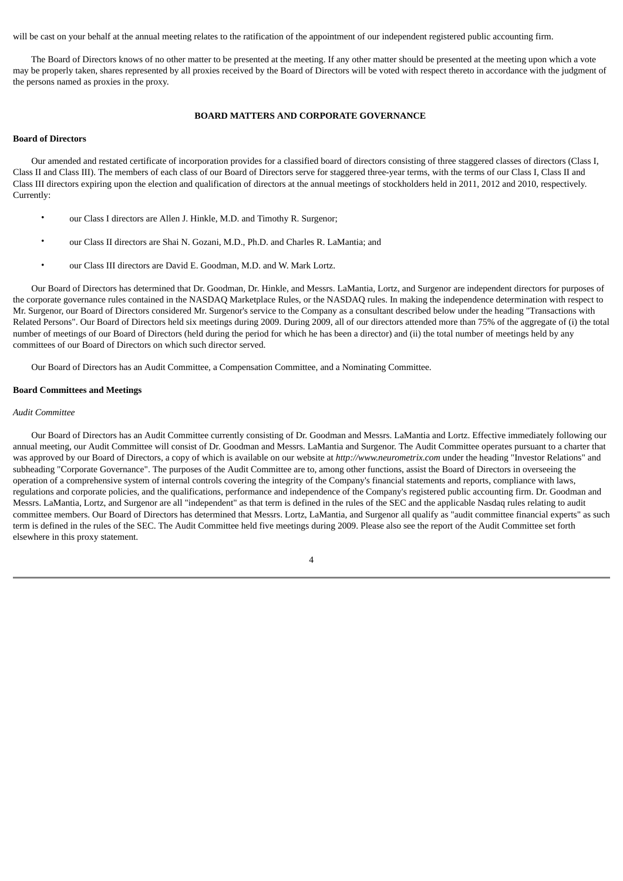will be cast on your behalf at the annual meeting relates to the ratification of the appointment of our independent registered public accounting firm.

 The Board of Directors knows of no other matter to be presented at the meeting. If any other matter should be presented at the meeting upon which a vote may be properly taken, shares represented by all proxies received by the Board of Directors will be voted with respect thereto in accordance with the judgment of the persons named as proxies in the proxy.

# **BOARD MATTERS AND CORPORATE GOVERNANCE**

## <span id="page-6-0"></span>**Board of Directors**

 Our amended and restated certificate of incorporation provides for a classified board of directors consisting of three staggered classes of directors (Class I, Class II and Class III). The members of each class of our Board of Directors serve for staggered three-year terms, with the terms of our Class I, Class II and Class III directors expiring upon the election and qualification of directors at the annual meetings of stockholders held in 2011, 2012 and 2010, respectively. Currently:

- our Class I directors are Allen J. Hinkle, M.D. and Timothy R. Surgenor;
- our Class II directors are Shai N. Gozani, M.D., Ph.D. and Charles R. LaMantia; and
- our Class III directors are David E. Goodman, M.D. and W. Mark Lortz.

 Our Board of Directors has determined that Dr. Goodman, Dr. Hinkle, and Messrs. LaMantia, Lortz, and Surgenor are independent directors for purposes of the corporate governance rules contained in the NASDAQ Marketplace Rules, or the NASDAQ rules. In making the independence determination with respect to Mr. Surgenor, our Board of Directors considered Mr. Surgenor's service to the Company as a consultant described below under the heading "Transactions with Related Persons". Our Board of Directors held six meetings during 2009. During 2009, all of our directors attended more than 75% of the aggregate of (i) the total number of meetings of our Board of Directors (held during the period for which he has been a director) and (ii) the total number of meetings held by any committees of our Board of Directors on which such director served.

Our Board of Directors has an Audit Committee, a Compensation Committee, and a Nominating Committee.

## **Board Committees and Meetings**

#### *Audit Committee*

 Our Board of Directors has an Audit Committee currently consisting of Dr. Goodman and Messrs. LaMantia and Lortz. Effective immediately following our annual meeting, our Audit Committee will consist of Dr. Goodman and Messrs. LaMantia and Surgenor. The Audit Committee operates pursuant to a charter that was approved by our Board of Directors, a copy of which is available on our website at *http://www.neurometrix.com* under the heading "Investor Relations" and subheading "Corporate Governance". The purposes of the Audit Committee are to, among other functions, assist the Board of Directors in overseeing the operation of a comprehensive system of internal controls covering the integrity of the Company's financial statements and reports, compliance with laws, regulations and corporate policies, and the qualifications, performance and independence of the Company's registered public accounting firm. Dr. Goodman and Messrs. LaMantia, Lortz, and Surgenor are all "independent" as that term is defined in the rules of the SEC and the applicable Nasdaq rules relating to audit committee members. Our Board of Directors has determined that Messrs. Lortz, LaMantia, and Surgenor all qualify as "audit committee financial experts" as such term is defined in the rules of the SEC. The Audit Committee held five meetings during 2009. Please also see the report of the Audit Committee set forth elsewhere in this proxy statement.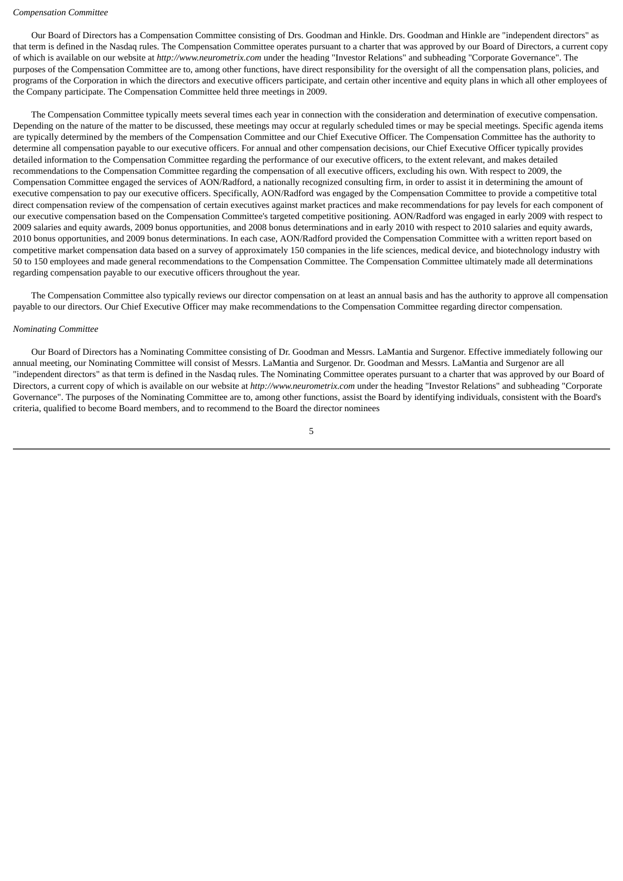#### *Compensation Committee*

 Our Board of Directors has a Compensation Committee consisting of Drs. Goodman and Hinkle. Drs. Goodman and Hinkle are "independent directors" as that term is defined in the Nasdaq rules. The Compensation Committee operates pursuant to a charter that was approved by our Board of Directors, a current copy of which is available on our website at *http://www.neurometrix.com* under the heading "Investor Relations" and subheading "Corporate Governance". The purposes of the Compensation Committee are to, among other functions, have direct responsibility for the oversight of all the compensation plans, policies, and programs of the Corporation in which the directors and executive officers participate, and certain other incentive and equity plans in which all other employees of the Company participate. The Compensation Committee held three meetings in 2009.

 The Compensation Committee typically meets several times each year in connection with the consideration and determination of executive compensation. Depending on the nature of the matter to be discussed, these meetings may occur at regularly scheduled times or may be special meetings. Specific agenda items are typically determined by the members of the Compensation Committee and our Chief Executive Officer. The Compensation Committee has the authority to determine all compensation payable to our executive officers. For annual and other compensation decisions, our Chief Executive Officer typically provides detailed information to the Compensation Committee regarding the performance of our executive officers, to the extent relevant, and makes detailed recommendations to the Compensation Committee regarding the compensation of all executive officers, excluding his own. With respect to 2009, the Compensation Committee engaged the services of AON/Radford, a nationally recognized consulting firm, in order to assist it in determining the amount of executive compensation to pay our executive officers. Specifically, AON/Radford was engaged by the Compensation Committee to provide a competitive total direct compensation review of the compensation of certain executives against market practices and make recommendations for pay levels for each component of our executive compensation based on the Compensation Committee's targeted competitive positioning. AON/Radford was engaged in early 2009 with respect to 2009 salaries and equity awards, 2009 bonus opportunities, and 2008 bonus determinations and in early 2010 with respect to 2010 salaries and equity awards, 2010 bonus opportunities, and 2009 bonus determinations. In each case, AON/Radford provided the Compensation Committee with a written report based on competitive market compensation data based on a survey of approximately 150 companies in the life sciences, medical device, and biotechnology industry with 50 to 150 employees and made general recommendations to the Compensation Committee. The Compensation Committee ultimately made all determinations regarding compensation payable to our executive officers throughout the year.

 The Compensation Committee also typically reviews our director compensation on at least an annual basis and has the authority to approve all compensation payable to our directors. Our Chief Executive Officer may make recommendations to the Compensation Committee regarding director compensation.

#### *Nominating Committee*

 Our Board of Directors has a Nominating Committee consisting of Dr. Goodman and Messrs. LaMantia and Surgenor. Effective immediately following our annual meeting, our Nominating Committee will consist of Messrs. LaMantia and Surgenor. Dr. Goodman and Messrs. LaMantia and Surgenor are all "independent directors" as that term is defined in the Nasdaq rules. The Nominating Committee operates pursuant to a charter that was approved by our Board of Directors, a current copy of which is available on our website at *http://www.neurometrix.com* under the heading "Investor Relations" and subheading "Corporate Governance". The purposes of the Nominating Committee are to, among other functions, assist the Board by identifying individuals, consistent with the Board's criteria, qualified to become Board members, and to recommend to the Board the director nominees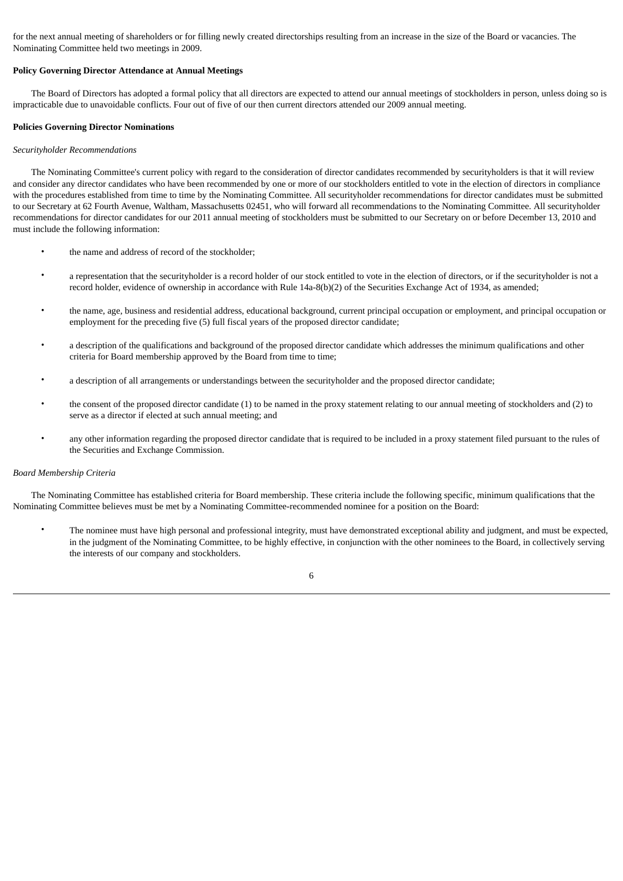for the next annual meeting of shareholders or for filling newly created directorships resulting from an increase in the size of the Board or vacancies. The Nominating Committee held two meetings in 2009.

# **Policy Governing Director Attendance at Annual Meetings**

 The Board of Directors has adopted a formal policy that all directors are expected to attend our annual meetings of stockholders in person, unless doing so is impracticable due to unavoidable conflicts. Four out of five of our then current directors attended our 2009 annual meeting.

## **Policies Governing Director Nominations**

# *Securityholder Recommendations*

 The Nominating Committee's current policy with regard to the consideration of director candidates recommended by securityholders is that it will review and consider any director candidates who have been recommended by one or more of our stockholders entitled to vote in the election of directors in compliance with the procedures established from time to time by the Nominating Committee. All securityholder recommendations for director candidates must be submitted to our Secretary at 62 Fourth Avenue, Waltham, Massachusetts 02451, who will forward all recommendations to the Nominating Committee. All securityholder recommendations for director candidates for our 2011 annual meeting of stockholders must be submitted to our Secretary on or before December 13, 2010 and must include the following information:

- the name and address of record of the stockholder:
- a representation that the securityholder is a record holder of our stock entitled to vote in the election of directors, or if the securityholder is not a record holder, evidence of ownership in accordance with Rule 14a-8(b)(2) of the Securities Exchange Act of 1934, as amended;
- the name, age, business and residential address, educational background, current principal occupation or employment, and principal occupation or employment for the preceding five (5) full fiscal years of the proposed director candidate;
- a description of the qualifications and background of the proposed director candidate which addresses the minimum qualifications and other criteria for Board membership approved by the Board from time to time;
- a description of all arrangements or understandings between the securityholder and the proposed director candidate;
- the consent of the proposed director candidate (1) to be named in the proxy statement relating to our annual meeting of stockholders and (2) to serve as a director if elected at such annual meeting; and
- any other information regarding the proposed director candidate that is required to be included in a proxy statement filed pursuant to the rules of the Securities and Exchange Commission.

# *Board Membership Criteria*

 The Nominating Committee has established criteria for Board membership. These criteria include the following specific, minimum qualifications that the Nominating Committee believes must be met by a Nominating Committee-recommended nominee for a position on the Board:

• The nominee must have high personal and professional integrity, must have demonstrated exceptional ability and judgment, and must be expected, in the judgment of the Nominating Committee, to be highly effective, in conjunction with the other nominees to the Board, in collectively serving the interests of our company and stockholders.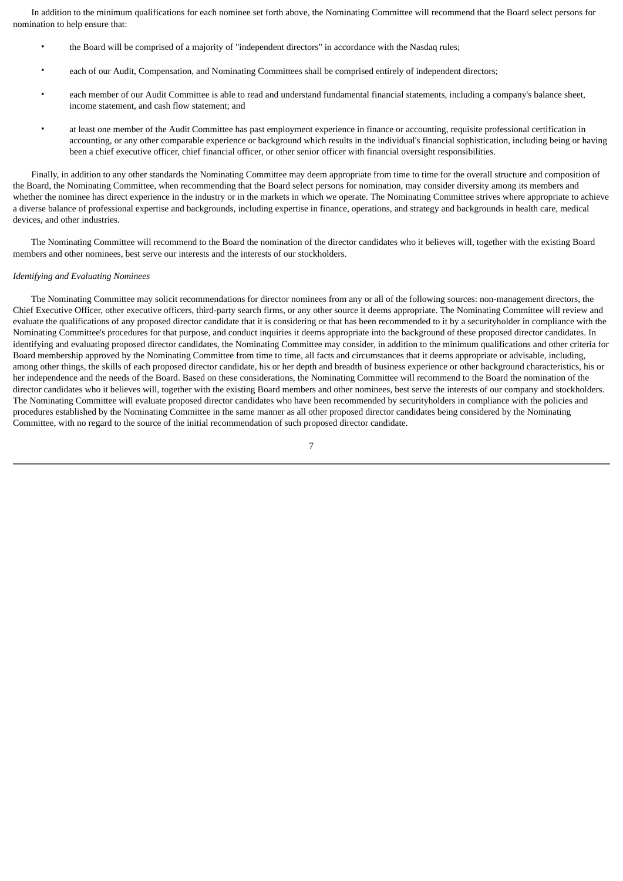In addition to the minimum qualifications for each nominee set forth above, the Nominating Committee will recommend that the Board select persons for nomination to help ensure that:

- the Board will be comprised of a majority of "independent directors" in accordance with the Nasdaq rules;
- each of our Audit, Compensation, and Nominating Committees shall be comprised entirely of independent directors;
- each member of our Audit Committee is able to read and understand fundamental financial statements, including a company's balance sheet, income statement, and cash flow statement; and
- at least one member of the Audit Committee has past employment experience in finance or accounting, requisite professional certification in accounting, or any other comparable experience or background which results in the individual's financial sophistication, including being or having been a chief executive officer, chief financial officer, or other senior officer with financial oversight responsibilities.

 Finally, in addition to any other standards the Nominating Committee may deem appropriate from time to time for the overall structure and composition of the Board, the Nominating Committee, when recommending that the Board select persons for nomination, may consider diversity among its members and whether the nominee has direct experience in the industry or in the markets in which we operate. The Nominating Committee strives where appropriate to achieve a diverse balance of professional expertise and backgrounds, including expertise in finance, operations, and strategy and backgrounds in health care, medical devices, and other industries.

 The Nominating Committee will recommend to the Board the nomination of the director candidates who it believes will, together with the existing Board members and other nominees, best serve our interests and the interests of our stockholders.

#### *Identifying and Evaluating Nominees*

 The Nominating Committee may solicit recommendations for director nominees from any or all of the following sources: non-management directors, the Chief Executive Officer, other executive officers, third-party search firms, or any other source it deems appropriate. The Nominating Committee will review and evaluate the qualifications of any proposed director candidate that it is considering or that has been recommended to it by a securityholder in compliance with the Nominating Committee's procedures for that purpose, and conduct inquiries it deems appropriate into the background of these proposed director candidates. In identifying and evaluating proposed director candidates, the Nominating Committee may consider, in addition to the minimum qualifications and other criteria for Board membership approved by the Nominating Committee from time to time, all facts and circumstances that it deems appropriate or advisable, including, among other things, the skills of each proposed director candidate, his or her depth and breadth of business experience or other background characteristics, his or her independence and the needs of the Board. Based on these considerations, the Nominating Committee will recommend to the Board the nomination of the director candidates who it believes will, together with the existing Board members and other nominees, best serve the interests of our company and stockholders. The Nominating Committee will evaluate proposed director candidates who have been recommended by securityholders in compliance with the policies and procedures established by the Nominating Committee in the same manner as all other proposed director candidates being considered by the Nominating Committee, with no regard to the source of the initial recommendation of such proposed director candidate.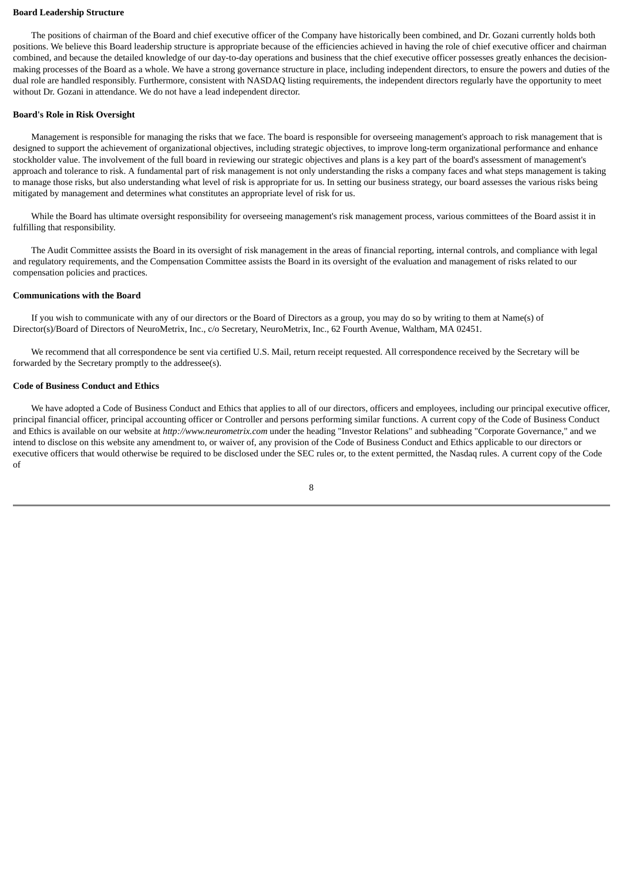#### **Board Leadership Structure**

 The positions of chairman of the Board and chief executive officer of the Company have historically been combined, and Dr. Gozani currently holds both positions. We believe this Board leadership structure is appropriate because of the efficiencies achieved in having the role of chief executive officer and chairman combined, and because the detailed knowledge of our day-to-day operations and business that the chief executive officer possesses greatly enhances the decisionmaking processes of the Board as a whole. We have a strong governance structure in place, including independent directors, to ensure the powers and duties of the dual role are handled responsibly. Furthermore, consistent with NASDAQ listing requirements, the independent directors regularly have the opportunity to meet without Dr. Gozani in attendance. We do not have a lead independent director.

# **Board's Role in Risk Oversight**

 Management is responsible for managing the risks that we face. The board is responsible for overseeing management's approach to risk management that is designed to support the achievement of organizational objectives, including strategic objectives, to improve long-term organizational performance and enhance stockholder value. The involvement of the full board in reviewing our strategic objectives and plans is a key part of the board's assessment of management's approach and tolerance to risk. A fundamental part of risk management is not only understanding the risks a company faces and what steps management is taking to manage those risks, but also understanding what level of risk is appropriate for us. In setting our business strategy, our board assesses the various risks being mitigated by management and determines what constitutes an appropriate level of risk for us.

While the Board has ultimate oversight responsibility for overseeing management's risk management process, various committees of the Board assist it in fulfilling that responsibility.

 The Audit Committee assists the Board in its oversight of risk management in the areas of financial reporting, internal controls, and compliance with legal and regulatory requirements, and the Compensation Committee assists the Board in its oversight of the evaluation and management of risks related to our compensation policies and practices.

# **Communications with the Board**

 If you wish to communicate with any of our directors or the Board of Directors as a group, you may do so by writing to them at Name(s) of Director(s)/Board of Directors of NeuroMetrix, Inc., c/o Secretary, NeuroMetrix, Inc., 62 Fourth Avenue, Waltham, MA 02451.

 We recommend that all correspondence be sent via certified U.S. Mail, return receipt requested. All correspondence received by the Secretary will be forwarded by the Secretary promptly to the addressee(s).

# **Code of Business Conduct and Ethics**

 We have adopted a Code of Business Conduct and Ethics that applies to all of our directors, officers and employees, including our principal executive officer, principal financial officer, principal accounting officer or Controller and persons performing similar functions. A current copy of the Code of Business Conduct and Ethics is available on our website at *http://www.neurometrix.com* under the heading "Investor Relations" and subheading "Corporate Governance," and we intend to disclose on this website any amendment to, or waiver of, any provision of the Code of Business Conduct and Ethics applicable to our directors or executive officers that would otherwise be required to be disclosed under the SEC rules or, to the extent permitted, the Nasdaq rules. A current copy of the Code of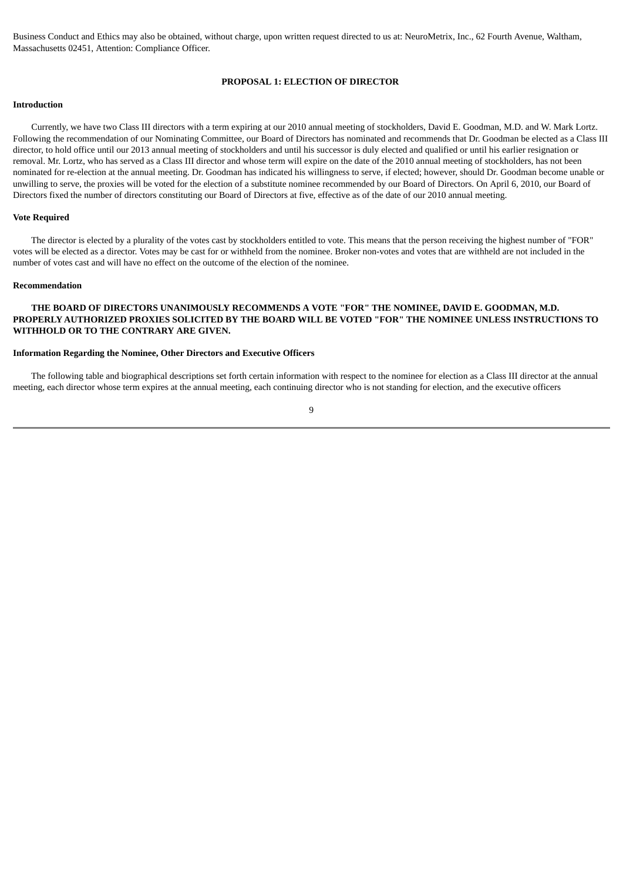<span id="page-11-0"></span>Business Conduct and Ethics may also be obtained, without charge, upon written request directed to us at: NeuroMetrix, Inc., 62 Fourth Avenue, Waltham, Massachusetts 02451, Attention: Compliance Officer.

#### **PROPOSAL 1: ELECTION OF DIRECTOR**

# **Introduction**

 Currently, we have two Class III directors with a term expiring at our 2010 annual meeting of stockholders, David E. Goodman, M.D. and W. Mark Lortz. Following the recommendation of our Nominating Committee, our Board of Directors has nominated and recommends that Dr. Goodman be elected as a Class III director, to hold office until our 2013 annual meeting of stockholders and until his successor is duly elected and qualified or until his earlier resignation or removal. Mr. Lortz, who has served as a Class III director and whose term will expire on the date of the 2010 annual meeting of stockholders, has not been nominated for re-election at the annual meeting. Dr. Goodman has indicated his willingness to serve, if elected; however, should Dr. Goodman become unable or unwilling to serve, the proxies will be voted for the election of a substitute nominee recommended by our Board of Directors. On April 6, 2010, our Board of Directors fixed the number of directors constituting our Board of Directors at five, effective as of the date of our 2010 annual meeting.

#### **Vote Required**

 The director is elected by a plurality of the votes cast by stockholders entitled to vote. This means that the person receiving the highest number of "FOR" votes will be elected as a director. Votes may be cast for or withheld from the nominee. Broker non-votes and votes that are withheld are not included in the number of votes cast and will have no effect on the outcome of the election of the nominee.

# **Recommendation**

# **THE BOARD OF DIRECTORS UNANIMOUSLY RECOMMENDS A VOTE "FOR" THE NOMINEE, DAVID E. GOODMAN, M.D. PROPERLY AUTHORIZED PROXIES SOLICITED BY THE BOARD WILL BE VOTED "FOR" THE NOMINEE UNLESS INSTRUCTIONS TO WITHHOLD OR TO THE CONTRARY ARE GIVEN.**

# **Information Regarding the Nominee, Other Directors and Executive Officers**

 The following table and biographical descriptions set forth certain information with respect to the nominee for election as a Class III director at the annual meeting, each director whose term expires at the annual meeting, each continuing director who is not standing for election, and the executive officers

 $\overline{9}$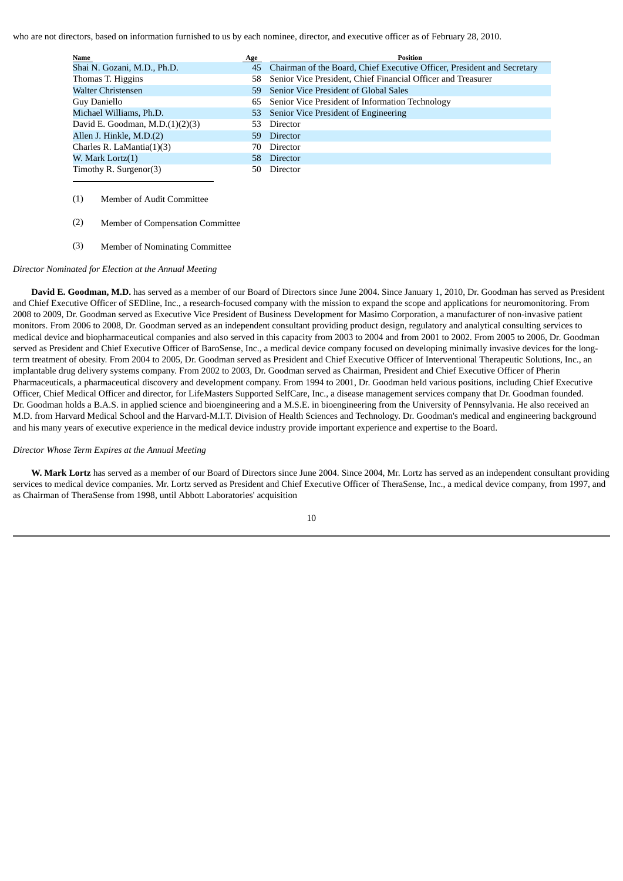who are not directors, based on information furnished to us by each nominee, director, and executive officer as of February 28, 2010.

| Name                               | <b>Age</b> | <b>Position</b>                                                            |
|------------------------------------|------------|----------------------------------------------------------------------------|
| Shai N. Gozani, M.D., Ph.D.        |            | 45 Chairman of the Board, Chief Executive Officer, President and Secretary |
| Thomas T. Higgins                  |            | 58 Senior Vice President, Chief Financial Officer and Treasurer            |
| Walter Christensen                 | 59         | Senior Vice President of Global Sales                                      |
| Guy Daniello                       | 65         | Senior Vice President of Information Technology                            |
| Michael Williams, Ph.D.            |            | 53 Senior Vice President of Engineering                                    |
| David E. Goodman, M.D. $(1)(2)(3)$ |            | Director                                                                   |
| Allen J. Hinkle, M.D.(2)           | 59.        | Director                                                                   |
| Charles R. LaMantia(1)(3)          | 70         | Director                                                                   |
| W. Mark Lortz(1)                   | 58.        | Director                                                                   |
| Timothy R. Surgenor(3)             | 50         | Director                                                                   |

- (1) Member of Audit Committee
- (2) Member of Compensation Committee
- (3) Member of Nominating Committee

## *Director Nominated for Election at the Annual Meeting*

 **David E. Goodman, M.D.** has served as a member of our Board of Directors since June 2004. Since January 1, 2010, Dr. Goodman has served as President and Chief Executive Officer of SEDline, Inc., a research-focused company with the mission to expand the scope and applications for neuromonitoring. From 2008 to 2009, Dr. Goodman served as Executive Vice President of Business Development for Masimo Corporation, a manufacturer of non-invasive patient monitors. From 2006 to 2008, Dr. Goodman served as an independent consultant providing product design, regulatory and analytical consulting services to medical device and biopharmaceutical companies and also served in this capacity from 2003 to 2004 and from 2001 to 2002. From 2005 to 2006, Dr. Goodman served as President and Chief Executive Officer of BaroSense, Inc., a medical device company focused on developing minimally invasive devices for the longterm treatment of obesity. From 2004 to 2005, Dr. Goodman served as President and Chief Executive Officer of Interventional Therapeutic Solutions, Inc., an implantable drug delivery systems company. From 2002 to 2003, Dr. Goodman served as Chairman, President and Chief Executive Officer of Pherin Pharmaceuticals, a pharmaceutical discovery and development company. From 1994 to 2001, Dr. Goodman held various positions, including Chief Executive Officer, Chief Medical Officer and director, for LifeMasters Supported SelfCare, Inc., a disease management services company that Dr. Goodman founded. Dr. Goodman holds a B.A.S. in applied science and bioengineering and a M.S.E. in bioengineering from the University of Pennsylvania. He also received an M.D. from Harvard Medical School and the Harvard-M.I.T. Division of Health Sciences and Technology. Dr. Goodman's medical and engineering background and his many years of executive experience in the medical device industry provide important experience and expertise to the Board.

# *Director Whose Term Expires at the Annual Meeting*

 **W. Mark Lortz** has served as a member of our Board of Directors since June 2004. Since 2004, Mr. Lortz has served as an independent consultant providing services to medical device companies. Mr. Lortz served as President and Chief Executive Officer of TheraSense, Inc., a medical device company, from 1997, and as Chairman of TheraSense from 1998, until Abbott Laboratories' acquisition

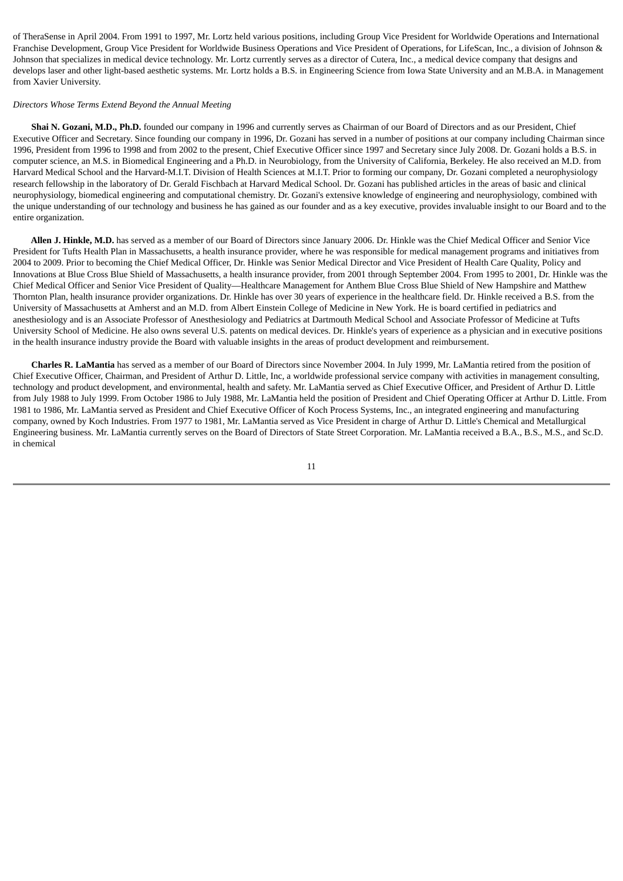of TheraSense in April 2004. From 1991 to 1997, Mr. Lortz held various positions, including Group Vice President for Worldwide Operations and International Franchise Development, Group Vice President for Worldwide Business Operations and Vice President of Operations, for LifeScan, Inc., a division of Johnson & Johnson that specializes in medical device technology. Mr. Lortz currently serves as a director of Cutera, Inc., a medical device company that designs and develops laser and other light-based aesthetic systems. Mr. Lortz holds a B.S. in Engineering Science from Iowa State University and an M.B.A. in Management from Xavier University.

#### *Directors Whose Terms Extend Beyond the Annual Meeting*

 **Shai N. Gozani, M.D., Ph.D.** founded our company in 1996 and currently serves as Chairman of our Board of Directors and as our President, Chief Executive Officer and Secretary. Since founding our company in 1996, Dr. Gozani has served in a number of positions at our company including Chairman since 1996, President from 1996 to 1998 and from 2002 to the present, Chief Executive Officer since 1997 and Secretary since July 2008. Dr. Gozani holds a B.S. in computer science, an M.S. in Biomedical Engineering and a Ph.D. in Neurobiology, from the University of California, Berkeley. He also received an M.D. from Harvard Medical School and the Harvard-M.I.T. Division of Health Sciences at M.I.T. Prior to forming our company, Dr. Gozani completed a neurophysiology research fellowship in the laboratory of Dr. Gerald Fischbach at Harvard Medical School. Dr. Gozani has published articles in the areas of basic and clinical neurophysiology, biomedical engineering and computational chemistry. Dr. Gozani's extensive knowledge of engineering and neurophysiology, combined with the unique understanding of our technology and business he has gained as our founder and as a key executive, provides invaluable insight to our Board and to the entire organization.

 **Allen J. Hinkle, M.D.** has served as a member of our Board of Directors since January 2006. Dr. Hinkle was the Chief Medical Officer and Senior Vice President for Tufts Health Plan in Massachusetts, a health insurance provider, where he was responsible for medical management programs and initiatives from 2004 to 2009. Prior to becoming the Chief Medical Officer, Dr. Hinkle was Senior Medical Director and Vice President of Health Care Quality, Policy and Innovations at Blue Cross Blue Shield of Massachusetts, a health insurance provider, from 2001 through September 2004. From 1995 to 2001, Dr. Hinkle was the Chief Medical Officer and Senior Vice President of Quality—Healthcare Management for Anthem Blue Cross Blue Shield of New Hampshire and Matthew Thornton Plan, health insurance provider organizations. Dr. Hinkle has over 30 years of experience in the healthcare field. Dr. Hinkle received a B.S. from the University of Massachusetts at Amherst and an M.D. from Albert Einstein College of Medicine in New York. He is board certified in pediatrics and anesthesiology and is an Associate Professor of Anesthesiology and Pediatrics at Dartmouth Medical School and Associate Professor of Medicine at Tufts University School of Medicine. He also owns several U.S. patents on medical devices. Dr. Hinkle's years of experience as a physician and in executive positions in the health insurance industry provide the Board with valuable insights in the areas of product development and reimbursement.

 **Charles R. LaMantia** has served as a member of our Board of Directors since November 2004. In July 1999, Mr. LaMantia retired from the position of Chief Executive Officer, Chairman, and President of Arthur D. Little, Inc, a worldwide professional service company with activities in management consulting, technology and product development, and environmental, health and safety. Mr. LaMantia served as Chief Executive Officer, and President of Arthur D. Little from July 1988 to July 1999. From October 1986 to July 1988, Mr. LaMantia held the position of President and Chief Operating Officer at Arthur D. Little. From 1981 to 1986, Mr. LaMantia served as President and Chief Executive Officer of Koch Process Systems, Inc., an integrated engineering and manufacturing company, owned by Koch Industries. From 1977 to 1981, Mr. LaMantia served as Vice President in charge of Arthur D. Little's Chemical and Metallurgical Engineering business. Mr. LaMantia currently serves on the Board of Directors of State Street Corporation. Mr. LaMantia received a B.A., B.S., M.S., and Sc.D. in chemical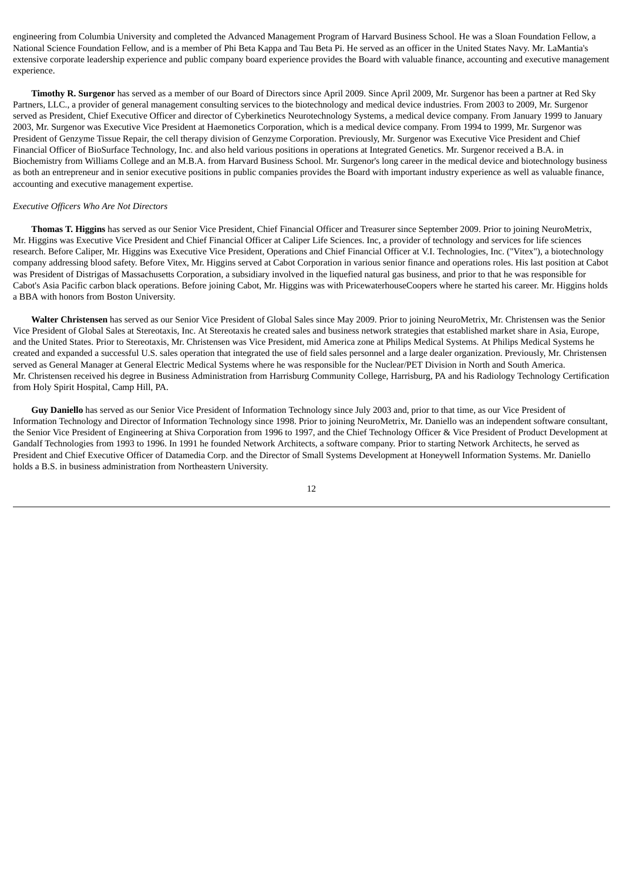engineering from Columbia University and completed the Advanced Management Program of Harvard Business School. He was a Sloan Foundation Fellow, a National Science Foundation Fellow, and is a member of Phi Beta Kappa and Tau Beta Pi. He served as an officer in the United States Navy. Mr. LaMantia's extensive corporate leadership experience and public company board experience provides the Board with valuable finance, accounting and executive management experience.

 **Timothy R. Surgenor** has served as a member of our Board of Directors since April 2009. Since April 2009, Mr. Surgenor has been a partner at Red Sky Partners, LLC., a provider of general management consulting services to the biotechnology and medical device industries. From 2003 to 2009, Mr. Surgenor served as President, Chief Executive Officer and director of Cyberkinetics Neurotechnology Systems, a medical device company. From January 1999 to January 2003, Mr. Surgenor was Executive Vice President at Haemonetics Corporation, which is a medical device company. From 1994 to 1999, Mr. Surgenor was President of Genzyme Tissue Repair, the cell therapy division of Genzyme Corporation. Previously, Mr. Surgenor was Executive Vice President and Chief Financial Officer of BioSurface Technology, Inc. and also held various positions in operations at Integrated Genetics. Mr. Surgenor received a B.A. in Biochemistry from Williams College and an M.B.A. from Harvard Business School. Mr. Surgenor's long career in the medical device and biotechnology business as both an entrepreneur and in senior executive positions in public companies provides the Board with important industry experience as well as valuable finance, accounting and executive management expertise.

### *Executive Officers Who Are Not Directors*

 **Thomas T. Higgins** has served as our Senior Vice President, Chief Financial Officer and Treasurer since September 2009. Prior to joining NeuroMetrix, Mr. Higgins was Executive Vice President and Chief Financial Officer at Caliper Life Sciences. Inc, a provider of technology and services for life sciences research. Before Caliper, Mr. Higgins was Executive Vice President, Operations and Chief Financial Officer at V.I. Technologies, Inc. ("Vitex"), a biotechnology company addressing blood safety. Before Vitex, Mr. Higgins served at Cabot Corporation in various senior finance and operations roles. His last position at Cabot was President of Distrigas of Massachusetts Corporation, a subsidiary involved in the liquefied natural gas business, and prior to that he was responsible for Cabot's Asia Pacific carbon black operations. Before joining Cabot, Mr. Higgins was with PricewaterhouseCoopers where he started his career. Mr. Higgins holds a BBA with honors from Boston University.

 **Walter Christensen** has served as our Senior Vice President of Global Sales since May 2009. Prior to joining NeuroMetrix, Mr. Christensen was the Senior Vice President of Global Sales at Stereotaxis, Inc. At Stereotaxis he created sales and business network strategies that established market share in Asia, Europe, and the United States. Prior to Stereotaxis, Mr. Christensen was Vice President, mid America zone at Philips Medical Systems. At Philips Medical Systems he created and expanded a successful U.S. sales operation that integrated the use of field sales personnel and a large dealer organization. Previously, Mr. Christensen served as General Manager at General Electric Medical Systems where he was responsible for the Nuclear/PET Division in North and South America. Mr. Christensen received his degree in Business Administration from Harrisburg Community College, Harrisburg, PA and his Radiology Technology Certification from Holy Spirit Hospital, Camp Hill, PA.

 **Guy Daniello** has served as our Senior Vice President of Information Technology since July 2003 and, prior to that time, as our Vice President of Information Technology and Director of Information Technology since 1998. Prior to joining NeuroMetrix, Mr. Daniello was an independent software consultant, the Senior Vice President of Engineering at Shiva Corporation from 1996 to 1997, and the Chief Technology Officer & Vice President of Product Development at Gandalf Technologies from 1993 to 1996. In 1991 he founded Network Architects, a software company. Prior to starting Network Architects, he served as President and Chief Executive Officer of Datamedia Corp. and the Director of Small Systems Development at Honeywell Information Systems. Mr. Daniello holds a B.S. in business administration from Northeastern University.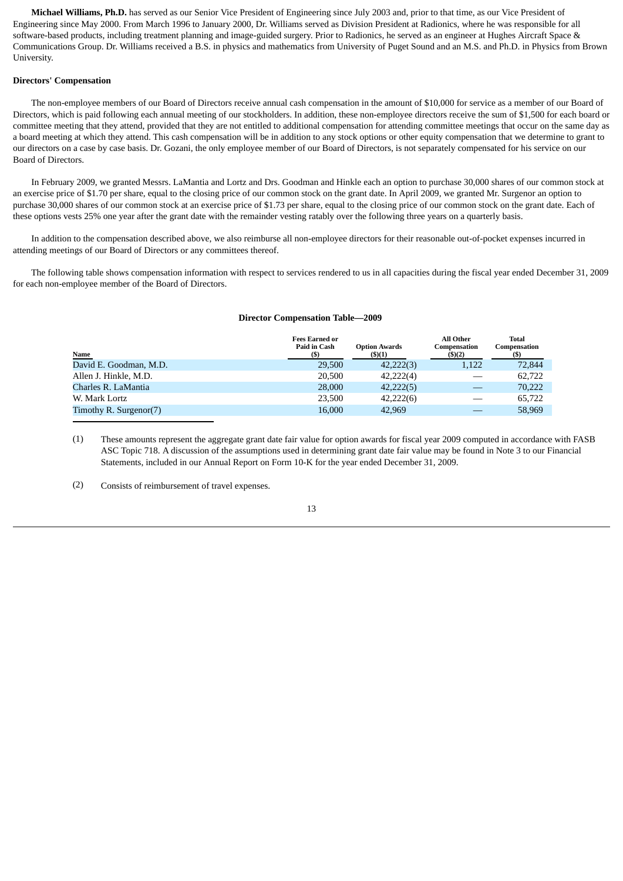**Michael Williams, Ph.D.** has served as our Senior Vice President of Engineering since July 2003 and, prior to that time, as our Vice President of Engineering since May 2000. From March 1996 to January 2000, Dr. Williams served as Division President at Radionics, where he was responsible for all software-based products, including treatment planning and image-guided surgery. Prior to Radionics, he served as an engineer at Hughes Aircraft Space & Communications Group. Dr. Williams received a B.S. in physics and mathematics from University of Puget Sound and an M.S. and Ph.D. in Physics from Brown University.

## **Directors' Compensation**

 The non-employee members of our Board of Directors receive annual cash compensation in the amount of \$10,000 for service as a member of our Board of Directors, which is paid following each annual meeting of our stockholders. In addition, these non-employee directors receive the sum of \$1,500 for each board or committee meeting that they attend, provided that they are not entitled to additional compensation for attending committee meetings that occur on the same day as a board meeting at which they attend. This cash compensation will be in addition to any stock options or other equity compensation that we determine to grant to our directors on a case by case basis. Dr. Gozani, the only employee member of our Board of Directors, is not separately compensated for his service on our Board of Directors.

 In February 2009, we granted Messrs. LaMantia and Lortz and Drs. Goodman and Hinkle each an option to purchase 30,000 shares of our common stock at an exercise price of \$1.70 per share, equal to the closing price of our common stock on the grant date. In April 2009, we granted Mr. Surgenor an option to purchase 30,000 shares of our common stock at an exercise price of \$1.73 per share, equal to the closing price of our common stock on the grant date. Each of these options vests 25% one year after the grant date with the remainder vesting ratably over the following three years on a quarterly basis.

 In addition to the compensation described above, we also reimburse all non-employee directors for their reasonable out-of-pocket expenses incurred in attending meetings of our Board of Directors or any committees thereof.

<span id="page-15-0"></span> The following table shows compensation information with respect to services rendered to us in all capacities during the fiscal year ended December 31, 2009 for each non-employee member of the Board of Directors.

#### **Director Compensation Table—2009**

| Name                   | <b>Fees Earned or</b><br>Paid in Cash | <b>Option Awards</b><br>(5)(1) | <b>All Other</b><br>Compensation<br>(5)(2) | <b>Total</b><br>Compensation |
|------------------------|---------------------------------------|--------------------------------|--------------------------------------------|------------------------------|
| David E. Goodman, M.D. | 29,500                                | 42,222(3)                      | 1,122                                      | 72,844                       |
| Allen J. Hinkle, M.D.  | 20,500                                | 42,222(4)                      |                                            | 62,722                       |
| Charles R. LaMantia    | 28,000                                | 42,222(5)                      |                                            | 70,222                       |
| W. Mark Lortz          | 23,500                                | 42,222(6)                      |                                            | 65,722                       |
| Timothy R. Surgenor(7) | 16,000                                | 42,969                         |                                            | 58,969                       |

(1) These amounts represent the aggregate grant date fair value for option awards for fiscal year 2009 computed in accordance with FASB ASC Topic 718. A discussion of the assumptions used in determining grant date fair value may be found in Note 3 to our Financial Statements, included in our Annual Report on Form 10-K for the year ended December 31, 2009.

(2) Consists of reimbursement of travel expenses.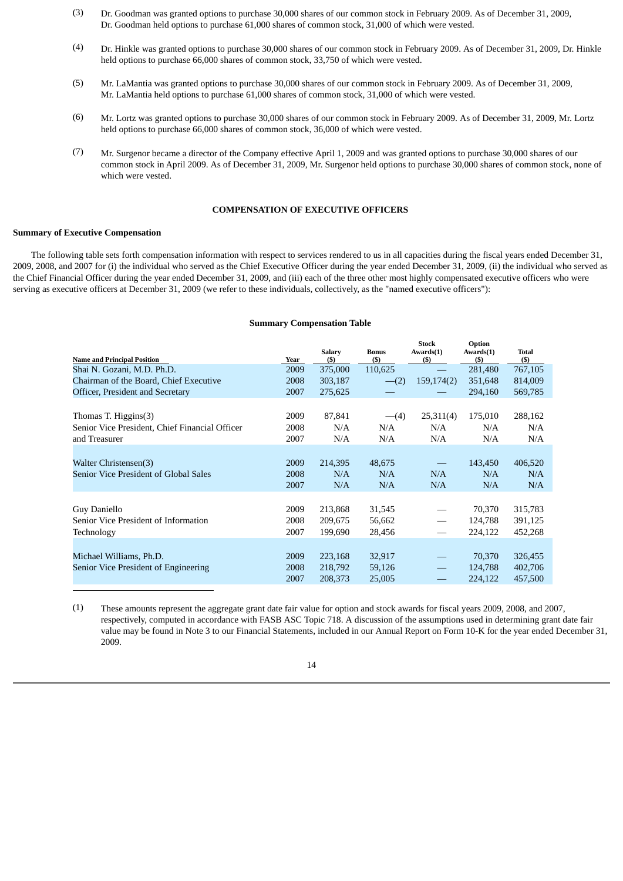- (3) Dr. Goodman was granted options to purchase 30,000 shares of our common stock in February 2009. As of December 31, 2009, Dr. Goodman held options to purchase 61,000 shares of common stock, 31,000 of which were vested.
- (4) Dr. Hinkle was granted options to purchase 30,000 shares of our common stock in February 2009. As of December 31, 2009, Dr. Hinkle held options to purchase 66,000 shares of common stock, 33,750 of which were vested.
- (5) Mr. LaMantia was granted options to purchase 30,000 shares of our common stock in February 2009. As of December 31, 2009, Mr. LaMantia held options to purchase 61,000 shares of common stock, 31,000 of which were vested.
- (6) Mr. Lortz was granted options to purchase 30,000 shares of our common stock in February 2009. As of December 31, 2009, Mr. Lortz held options to purchase 66,000 shares of common stock, 36,000 of which were vested.
- (7) Mr. Surgenor became a director of the Company effective April 1, 2009 and was granted options to purchase 30,000 shares of our common stock in April 2009. As of December 31, 2009, Mr. Surgenor held options to purchase 30,000 shares of common stock, none of which were vested.

# **COMPENSATION OF EXECUTIVE OFFICERS**

#### <span id="page-16-0"></span>**Summary of Executive Compensation**

<span id="page-16-1"></span> The following table sets forth compensation information with respect to services rendered to us in all capacities during the fiscal years ended December 31, 2009, 2008, and 2007 for (i) the individual who served as the Chief Executive Officer during the year ended December 31, 2009, (ii) the individual who served as the Chief Financial Officer during the year ended December 31, 2009, and (iii) each of the three other most highly compensated executive officers who were serving as executive officers at December 31, 2009 (we refer to these individuals, collectively, as the "named executive officers"):

#### **Summary Compensation Table**

| <b>Name and Principal Position</b>                                                      | Year                 | <b>Salary</b><br>(\$)         | <b>Bonus</b><br>(5)        | <b>Stock</b><br>Awards(1)<br>(5) | Option<br>Awards(1)<br>$($ \$ | <b>Total</b><br>$($ \$        |
|-----------------------------------------------------------------------------------------|----------------------|-------------------------------|----------------------------|----------------------------------|-------------------------------|-------------------------------|
| Shai N. Gozani, M.D. Ph.D.                                                              | 2009                 | 375,000                       | 110,625                    |                                  | 281,480                       | 767,105                       |
| Chairman of the Board, Chief Executive                                                  | 2008                 | 303,187                       | $-(2)$                     | 159,174(2)                       | 351,648                       | 814,009                       |
| Officer, President and Secretary                                                        | 2007                 | 275,625                       |                            |                                  | 294,160                       | 569,785                       |
| Thomas T. Higgins(3)<br>Senior Vice President, Chief Financial Officer<br>and Treasurer | 2009<br>2008<br>2007 | 87,841<br>N/A<br>N/A          | $-(4)$<br>N/A<br>N/A       | 25,311(4)<br>N/A<br>N/A          | 175,010<br>N/A<br>N/A         | 288,162<br>N/A<br>N/A         |
| Walter Christensen(3)<br>Senior Vice President of Global Sales                          | 2009<br>2008<br>2007 | 214,395<br>N/A<br>N/A         | 48,675<br>N/A<br>N/A       | N/A<br>N/A                       | 143,450<br>N/A<br>N/A         | 406,520<br>N/A<br>N/A         |
| Guy Daniello<br>Senior Vice President of Information<br>Technology                      | 2009<br>2008<br>2007 | 213,868<br>209,675<br>199,690 | 31,545<br>56,662<br>28,456 | $\hspace{0.1mm}-\hspace{0.1mm}$  | 70,370<br>124,788<br>224,122  | 315,783<br>391,125<br>452,268 |
| Michael Williams, Ph.D.<br>Senior Vice President of Engineering                         | 2009<br>2008<br>2007 | 223,168<br>218,792<br>208,373 | 32,917<br>59,126<br>25,005 | $\overline{\phantom{m}}$         | 70,370<br>124,788<br>224,122  | 326,455<br>402,706<br>457,500 |

(1) These amounts represent the aggregate grant date fair value for option and stock awards for fiscal years 2009, 2008, and 2007, respectively, computed in accordance with FASB ASC Topic 718. A discussion of the assumptions used in determining grant date fair value may be found in Note 3 to our Financial Statements, included in our Annual Report on Form 10-K for the year ended December 31, 2009.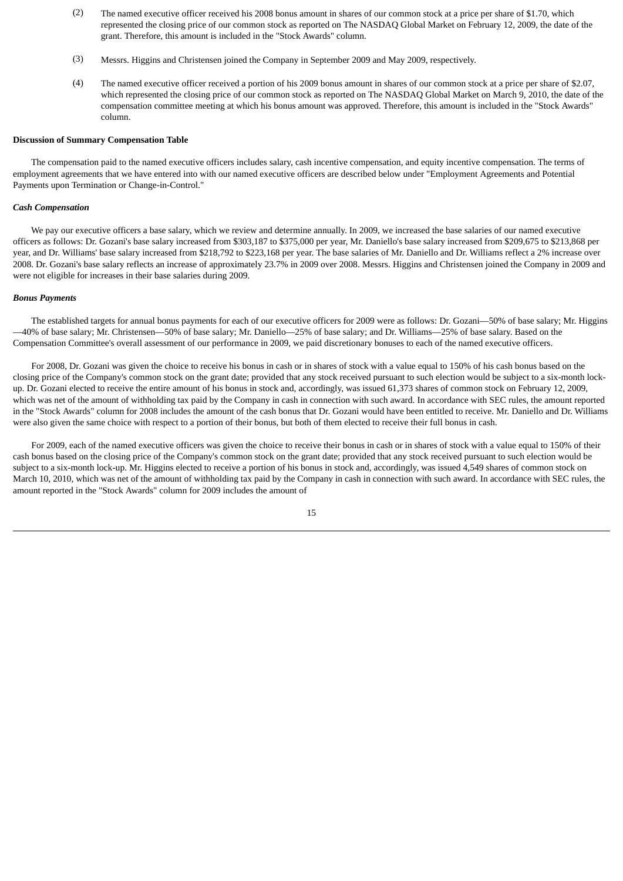- (2) The named executive officer received his 2008 bonus amount in shares of our common stock at a price per share of \$1.70, which represented the closing price of our common stock as reported on The NASDAQ Global Market on February 12, 2009, the date of the grant. Therefore, this amount is included in the "Stock Awards" column.
- (3) Messrs. Higgins and Christensen joined the Company in September 2009 and May 2009, respectively.
- (4) The named executive officer received a portion of his 2009 bonus amount in shares of our common stock at a price per share of \$2.07, which represented the closing price of our common stock as reported on The NASDAQ Global Market on March 9, 2010, the date of the compensation committee meeting at which his bonus amount was approved. Therefore, this amount is included in the "Stock Awards" column.

#### **Discussion of Summary Compensation Table**

 The compensation paid to the named executive officers includes salary, cash incentive compensation, and equity incentive compensation. The terms of employment agreements that we have entered into with our named executive officers are described below under "Employment Agreements and Potential Payments upon Termination or Change-in-Control."

#### *Cash Compensation*

 We pay our executive officers a base salary, which we review and determine annually. In 2009, we increased the base salaries of our named executive officers as follows: Dr. Gozani's base salary increased from \$303,187 to \$375,000 per year, Mr. Daniello's base salary increased from \$209,675 to \$213,868 per year, and Dr. Williams' base salary increased from \$218,792 to \$223,168 per year. The base salaries of Mr. Daniello and Dr. Williams reflect a 2% increase over 2008. Dr. Gozani's base salary reflects an increase of approximately 23.7% in 2009 over 2008. Messrs. Higgins and Christensen joined the Company in 2009 and were not eligible for increases in their base salaries during 2009.

#### *Bonus Payments*

 The established targets for annual bonus payments for each of our executive officers for 2009 were as follows: Dr. Gozani—50% of base salary; Mr. Higgins —40% of base salary; Mr. Christensen—50% of base salary; Mr. Daniello—25% of base salary; and Dr. Williams—25% of base salary. Based on the Compensation Committee's overall assessment of our performance in 2009, we paid discretionary bonuses to each of the named executive officers.

 For 2008, Dr. Gozani was given the choice to receive his bonus in cash or in shares of stock with a value equal to 150% of his cash bonus based on the closing price of the Company's common stock on the grant date; provided that any stock received pursuant to such election would be subject to a six-month lockup. Dr. Gozani elected to receive the entire amount of his bonus in stock and, accordingly, was issued 61,373 shares of common stock on February 12, 2009, which was net of the amount of withholding tax paid by the Company in cash in connection with such award. In accordance with SEC rules, the amount reported in the "Stock Awards" column for 2008 includes the amount of the cash bonus that Dr. Gozani would have been entitled to receive. Mr. Daniello and Dr. Williams were also given the same choice with respect to a portion of their bonus, but both of them elected to receive their full bonus in cash.

 For 2009, each of the named executive officers was given the choice to receive their bonus in cash or in shares of stock with a value equal to 150% of their cash bonus based on the closing price of the Company's common stock on the grant date; provided that any stock received pursuant to such election would be subject to a six-month lock-up. Mr. Higgins elected to receive a portion of his bonus in stock and, accordingly, was issued 4,549 shares of common stock on March 10, 2010, which was net of the amount of withholding tax paid by the Company in cash in connection with such award. In accordance with SEC rules, the amount reported in the "Stock Awards" column for 2009 includes the amount of

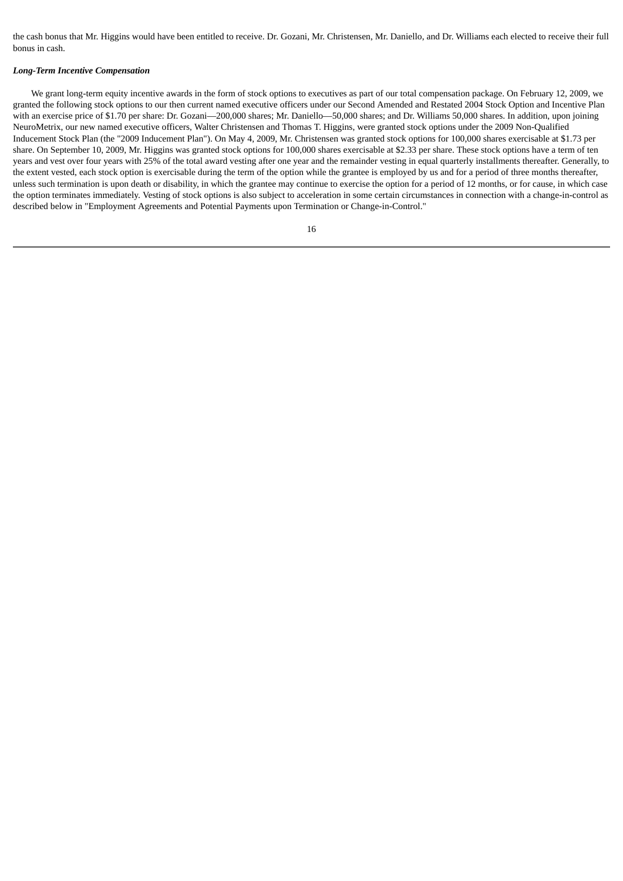the cash bonus that Mr. Higgins would have been entitled to receive. Dr. Gozani, Mr. Christensen, Mr. Daniello, and Dr. Williams each elected to receive their full bonus in cash.

#### *Long-Term Incentive Compensation*

 We grant long-term equity incentive awards in the form of stock options to executives as part of our total compensation package. On February 12, 2009, we granted the following stock options to our then current named executive officers under our Second Amended and Restated 2004 Stock Option and Incentive Plan with an exercise price of \$1.70 per share: Dr. Gozani—200,000 shares; Mr. Daniello—50,000 shares; and Dr. Williams 50,000 shares. In addition, upon joining NeuroMetrix, our new named executive officers, Walter Christensen and Thomas T. Higgins, were granted stock options under the 2009 Non-Qualified Inducement Stock Plan (the "2009 Inducement Plan"). On May 4, 2009, Mr. Christensen was granted stock options for 100,000 shares exercisable at \$1.73 per share. On September 10, 2009, Mr. Higgins was granted stock options for 100,000 shares exercisable at \$2.33 per share. These stock options have a term of ten years and vest over four years with 25% of the total award vesting after one year and the remainder vesting in equal quarterly installments thereafter. Generally, to the extent vested, each stock option is exercisable during the term of the option while the grantee is employed by us and for a period of three months thereafter, unless such termination is upon death or disability, in which the grantee may continue to exercise the option for a period of 12 months, or for cause, in which case the option terminates immediately. Vesting of stock options is also subject to acceleration in some certain circumstances in connection with a change-in-control as described below in "Employment Agreements and Potential Payments upon Termination or Change-in-Control."

| ×       |
|---------|
|         |
| ×<br>۰. |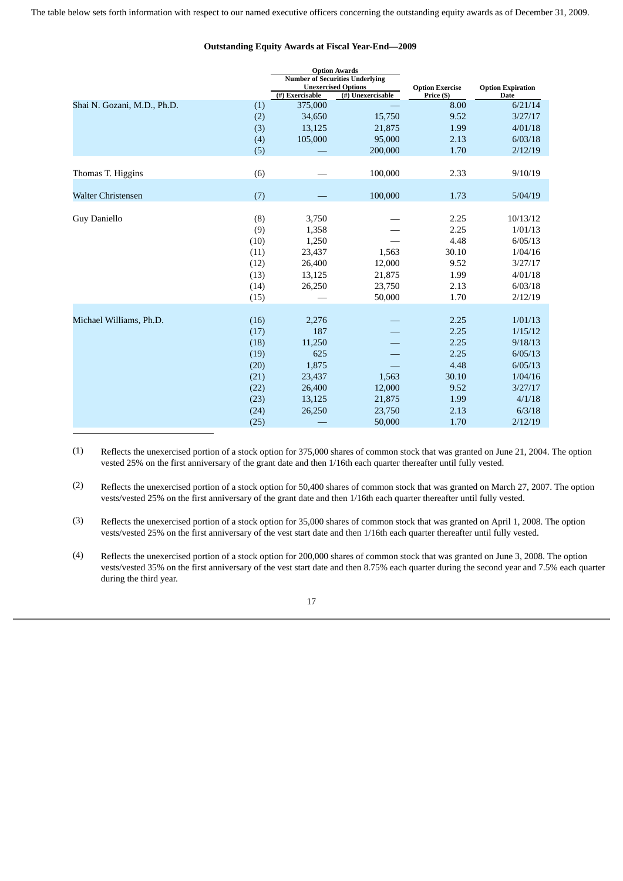<span id="page-19-0"></span>

|                             |              |                 | <b>Option Awards</b><br><b>Number of Securities Underlying</b><br><b>Unexercised Options</b> | <b>Option Exercise</b> | <b>Option Expiration</b> |
|-----------------------------|--------------|-----------------|----------------------------------------------------------------------------------------------|------------------------|--------------------------|
|                             |              | (#) Exercisable | (#) Unexercisable                                                                            | Price (\$)             | Date                     |
| Shai N. Gozani, M.D., Ph.D. | (1)          | 375,000         |                                                                                              | 8.00                   | 6/21/14                  |
|                             | (2)          | 34,650          | 15,750                                                                                       | 9.52                   | 3/27/17                  |
|                             | (3)          | 13,125          | 21,875                                                                                       | 1.99                   | 4/01/18                  |
|                             | (4)          | 105,000         | 95,000                                                                                       | 2.13                   | 6/03/18                  |
|                             | (5)          |                 | 200,000                                                                                      | 1.70                   | 2/12/19                  |
| Thomas T. Higgins           | (6)          |                 | 100,000                                                                                      | 2.33                   | 9/10/19                  |
| <b>Walter Christensen</b>   | (7)          |                 | 100,000                                                                                      | 1.73                   | 5/04/19                  |
| Guy Daniello                | (8)          | 3,750           |                                                                                              | 2.25                   | 10/13/12                 |
|                             | (9)          | 1,358           |                                                                                              | 2.25                   | 1/01/13                  |
|                             | (10)         | 1,250           |                                                                                              | 4.48                   | 6/05/13                  |
|                             | (11)         | 23,437          | 1,563                                                                                        | 30.10                  | 1/04/16                  |
|                             | (12)         | 26,400          | 12,000                                                                                       | 9.52                   | 3/27/17                  |
|                             | (13)         | 13,125          | 21,875                                                                                       | 1.99                   | 4/01/18                  |
|                             | (14)         | 26,250          | 23,750                                                                                       | 2.13                   | 6/03/18                  |
|                             | (15)         |                 | 50,000                                                                                       | 1.70                   | 2/12/19                  |
| Michael Williams, Ph.D.     | (16)         | 2,276           |                                                                                              | 2.25                   | 1/01/13                  |
|                             |              | 187             |                                                                                              | 2.25                   | 1/15/12                  |
|                             | (17)<br>(18) | 11,250          |                                                                                              | 2.25                   | 9/18/13                  |
|                             | (19)         | 625             |                                                                                              | 2.25                   | 6/05/13                  |
|                             | (20)         | 1,875           |                                                                                              | 4.48                   | 6/05/13                  |
|                             | (21)         | 23,437          | 1,563                                                                                        | 30.10                  | 1/04/16                  |
|                             | (22)         | 26,400          | 12,000                                                                                       | 9.52                   | 3/27/17                  |
|                             | (23)         | 13,125          | 21,875                                                                                       | 1.99                   | 4/1/18                   |
|                             | (24)         | 26,250          | 23,750                                                                                       | 2.13                   | 6/3/18                   |
|                             | (25)         |                 | 50,000                                                                                       | 1.70                   | 2/12/19                  |

## **Outstanding Equity Awards at Fiscal Year-End—2009**

(1) Reflects the unexercised portion of a stock option for 375,000 shares of common stock that was granted on June 21, 2004. The option vested 25% on the first anniversary of the grant date and then 1/16th each quarter thereafter until fully vested.

(2) Reflects the unexercised portion of a stock option for 50,400 shares of common stock that was granted on March 27, 2007. The option vests/vested 25% on the first anniversary of the grant date and then 1/16th each quarter thereafter until fully vested.

(3) Reflects the unexercised portion of a stock option for 35,000 shares of common stock that was granted on April 1, 2008. The option vests/vested 25% on the first anniversary of the vest start date and then 1/16th each quarter thereafter until fully vested.

(4) Reflects the unexercised portion of a stock option for 200,000 shares of common stock that was granted on June 3, 2008. The option vests/vested 35% on the first anniversary of the vest start date and then 8.75% each quarter during the second year and 7.5% each quarter during the third year.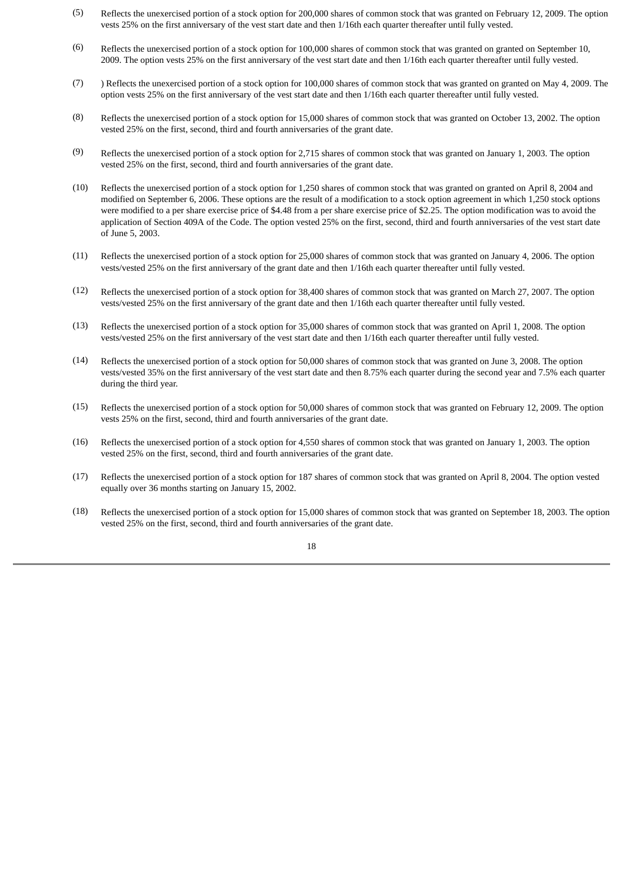- (5) Reflects the unexercised portion of a stock option for 200,000 shares of common stock that was granted on February 12, 2009. The option vests 25% on the first anniversary of the vest start date and then 1/16th each quarter thereafter until fully vested.
- (6) Reflects the unexercised portion of a stock option for 100,000 shares of common stock that was granted on granted on September 10, 2009. The option vests 25% on the first anniversary of the vest start date and then 1/16th each quarter thereafter until fully vested.
- (7) ) Reflects the unexercised portion of a stock option for 100,000 shares of common stock that was granted on granted on May 4, 2009. The option vests 25% on the first anniversary of the vest start date and then 1/16th each quarter thereafter until fully vested.
- (8) Reflects the unexercised portion of a stock option for 15,000 shares of common stock that was granted on October 13, 2002. The option vested 25% on the first, second, third and fourth anniversaries of the grant date.
- (9) Reflects the unexercised portion of a stock option for 2,715 shares of common stock that was granted on January 1, 2003. The option vested 25% on the first, second, third and fourth anniversaries of the grant date.
- (10) Reflects the unexercised portion of a stock option for 1,250 shares of common stock that was granted on granted on April 8, 2004 and modified on September 6, 2006. These options are the result of a modification to a stock option agreement in which 1,250 stock options were modified to a per share exercise price of \$4.48 from a per share exercise price of \$2.25. The option modification was to avoid the application of Section 409A of the Code. The option vested 25% on the first, second, third and fourth anniversaries of the vest start date of June 5, 2003.
- (11) Reflects the unexercised portion of a stock option for 25,000 shares of common stock that was granted on January 4, 2006. The option vests/vested 25% on the first anniversary of the grant date and then 1/16th each quarter thereafter until fully vested.
- (12) Reflects the unexercised portion of a stock option for 38,400 shares of common stock that was granted on March 27, 2007. The option vests/vested 25% on the first anniversary of the grant date and then 1/16th each quarter thereafter until fully vested.
- (13) Reflects the unexercised portion of a stock option for 35,000 shares of common stock that was granted on April 1, 2008. The option vests/vested 25% on the first anniversary of the vest start date and then 1/16th each quarter thereafter until fully vested.
- (14) Reflects the unexercised portion of a stock option for 50,000 shares of common stock that was granted on June 3, 2008. The option vests/vested 35% on the first anniversary of the vest start date and then 8.75% each quarter during the second year and 7.5% each quarter during the third year.
- (15) Reflects the unexercised portion of a stock option for 50,000 shares of common stock that was granted on February 12, 2009. The option vests 25% on the first, second, third and fourth anniversaries of the grant date.
- (16) Reflects the unexercised portion of a stock option for 4,550 shares of common stock that was granted on January 1, 2003. The option vested 25% on the first, second, third and fourth anniversaries of the grant date.
- (17) Reflects the unexercised portion of a stock option for 187 shares of common stock that was granted on April 8, 2004. The option vested equally over 36 months starting on January 15, 2002.
- (18) Reflects the unexercised portion of a stock option for 15,000 shares of common stock that was granted on September 18, 2003. The option vested 25% on the first, second, third and fourth anniversaries of the grant date.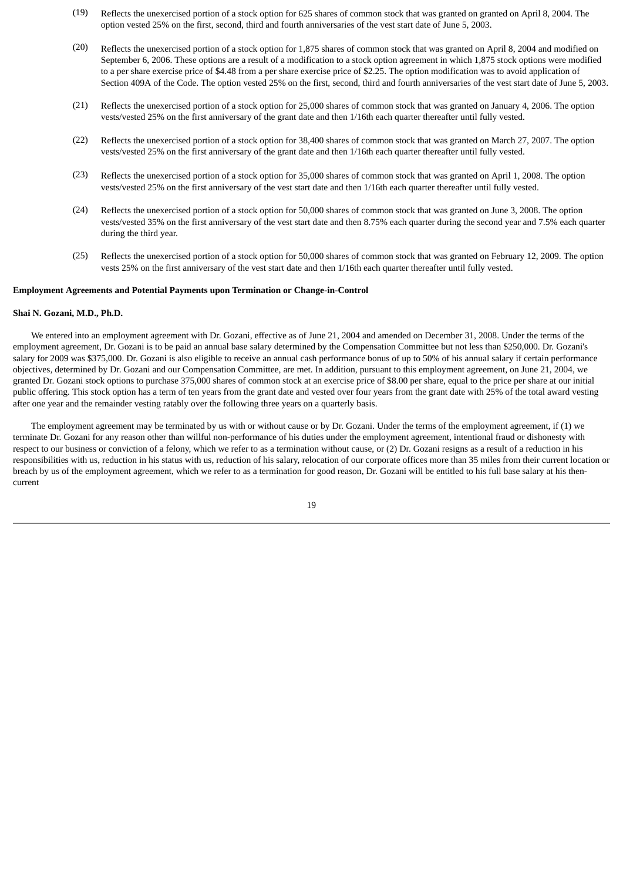- (19) Reflects the unexercised portion of a stock option for 625 shares of common stock that was granted on granted on April 8, 2004. The option vested 25% on the first, second, third and fourth anniversaries of the vest start date of June 5, 2003.
- (20) Reflects the unexercised portion of a stock option for 1,875 shares of common stock that was granted on April 8, 2004 and modified on September 6, 2006. These options are a result of a modification to a stock option agreement in which 1,875 stock options were modified to a per share exercise price of \$4.48 from a per share exercise price of \$2.25. The option modification was to avoid application of Section 409A of the Code. The option vested 25% on the first, second, third and fourth anniversaries of the vest start date of June 5, 2003.
- (21) Reflects the unexercised portion of a stock option for 25,000 shares of common stock that was granted on January 4, 2006. The option vests/vested 25% on the first anniversary of the grant date and then 1/16th each quarter thereafter until fully vested.
- (22) Reflects the unexercised portion of a stock option for 38,400 shares of common stock that was granted on March 27, 2007. The option vests/vested 25% on the first anniversary of the grant date and then 1/16th each quarter thereafter until fully vested.
- (23) Reflects the unexercised portion of a stock option for 35,000 shares of common stock that was granted on April 1, 2008. The option vests/vested 25% on the first anniversary of the vest start date and then 1/16th each quarter thereafter until fully vested.
- (24) Reflects the unexercised portion of a stock option for 50,000 shares of common stock that was granted on June 3, 2008. The option vests/vested 35% on the first anniversary of the vest start date and then 8.75% each quarter during the second year and 7.5% each quarter during the third year.
- (25) Reflects the unexercised portion of a stock option for 50,000 shares of common stock that was granted on February 12, 2009. The option vests 25% on the first anniversary of the vest start date and then 1/16th each quarter thereafter until fully vested.

# **Employment Agreements and Potential Payments upon Termination or Change-in-Control**

#### **Shai N. Gozani, M.D., Ph.D.**

 We entered into an employment agreement with Dr. Gozani, effective as of June 21, 2004 and amended on December 31, 2008. Under the terms of the employment agreement, Dr. Gozani is to be paid an annual base salary determined by the Compensation Committee but not less than \$250,000. Dr. Gozani's salary for 2009 was \$375,000. Dr. Gozani is also eligible to receive an annual cash performance bonus of up to 50% of his annual salary if certain performance objectives, determined by Dr. Gozani and our Compensation Committee, are met. In addition, pursuant to this employment agreement, on June 21, 2004, we granted Dr. Gozani stock options to purchase 375,000 shares of common stock at an exercise price of \$8.00 per share, equal to the price per share at our initial public offering. This stock option has a term of ten years from the grant date and vested over four years from the grant date with 25% of the total award vesting after one year and the remainder vesting ratably over the following three years on a quarterly basis.

 The employment agreement may be terminated by us with or without cause or by Dr. Gozani. Under the terms of the employment agreement, if (1) we terminate Dr. Gozani for any reason other than willful non-performance of his duties under the employment agreement, intentional fraud or dishonesty with respect to our business or conviction of a felony, which we refer to as a termination without cause, or (2) Dr. Gozani resigns as a result of a reduction in his responsibilities with us, reduction in his status with us, reduction of his salary, relocation of our corporate offices more than 35 miles from their current location or breach by us of the employment agreement, which we refer to as a termination for good reason, Dr. Gozani will be entitled to his full base salary at his thencurrent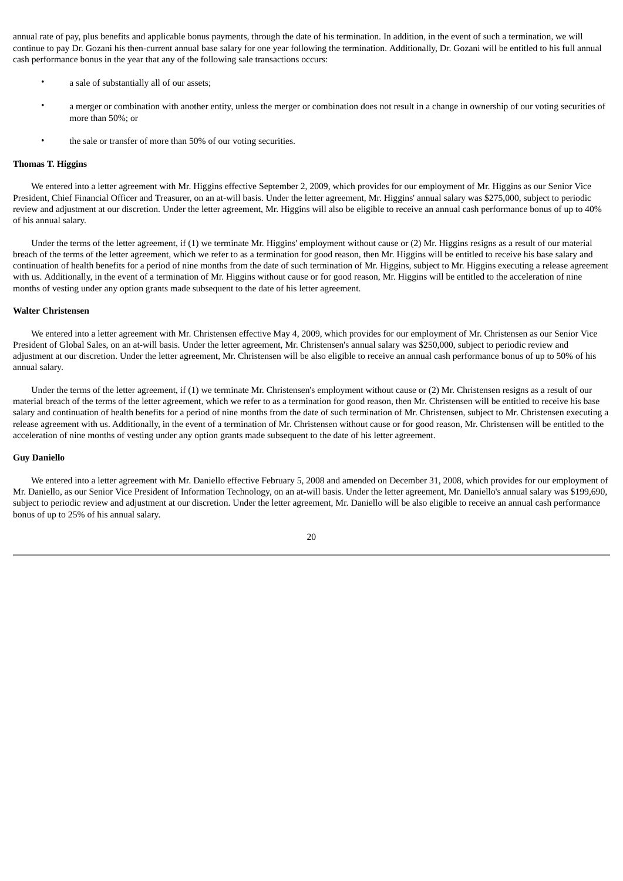annual rate of pay, plus benefits and applicable bonus payments, through the date of his termination. In addition, in the event of such a termination, we will continue to pay Dr. Gozani his then-current annual base salary for one year following the termination. Additionally, Dr. Gozani will be entitled to his full annual cash performance bonus in the year that any of the following sale transactions occurs:

- a sale of substantially all of our assets;
- a merger or combination with another entity, unless the merger or combination does not result in a change in ownership of our voting securities of more than 50%; or
- the sale or transfer of more than 50% of our voting securities.

#### **Thomas T. Higgins**

 We entered into a letter agreement with Mr. Higgins effective September 2, 2009, which provides for our employment of Mr. Higgins as our Senior Vice President, Chief Financial Officer and Treasurer, on an at-will basis. Under the letter agreement, Mr. Higgins' annual salary was \$275,000, subject to periodic review and adjustment at our discretion. Under the letter agreement, Mr. Higgins will also be eligible to receive an annual cash performance bonus of up to 40% of his annual salary.

 Under the terms of the letter agreement, if (1) we terminate Mr. Higgins' employment without cause or (2) Mr. Higgins resigns as a result of our material breach of the terms of the letter agreement, which we refer to as a termination for good reason, then Mr. Higgins will be entitled to receive his base salary and continuation of health benefits for a period of nine months from the date of such termination of Mr. Higgins, subject to Mr. Higgins executing a release agreement with us. Additionally, in the event of a termination of Mr. Higgins without cause or for good reason, Mr. Higgins will be entitled to the acceleration of nine months of vesting under any option grants made subsequent to the date of his letter agreement.

#### **Walter Christensen**

 We entered into a letter agreement with Mr. Christensen effective May 4, 2009, which provides for our employment of Mr. Christensen as our Senior Vice President of Global Sales, on an at-will basis. Under the letter agreement, Mr. Christensen's annual salary was \$250,000, subject to periodic review and adjustment at our discretion. Under the letter agreement, Mr. Christensen will be also eligible to receive an annual cash performance bonus of up to 50% of his annual salary.

 Under the terms of the letter agreement, if (1) we terminate Mr. Christensen's employment without cause or (2) Mr. Christensen resigns as a result of our material breach of the terms of the letter agreement, which we refer to as a termination for good reason, then Mr. Christensen will be entitled to receive his base salary and continuation of health benefits for a period of nine months from the date of such termination of Mr. Christensen, subject to Mr. Christensen executing a release agreement with us. Additionally, in the event of a termination of Mr. Christensen without cause or for good reason, Mr. Christensen will be entitled to the acceleration of nine months of vesting under any option grants made subsequent to the date of his letter agreement.

#### **Guy Daniello**

 We entered into a letter agreement with Mr. Daniello effective February 5, 2008 and amended on December 31, 2008, which provides for our employment of Mr. Daniello, as our Senior Vice President of Information Technology, on an at-will basis. Under the letter agreement, Mr. Daniello's annual salary was \$199,690, subject to periodic review and adjustment at our discretion. Under the letter agreement, Mr. Daniello will be also eligible to receive an annual cash performance bonus of up to 25% of his annual salary.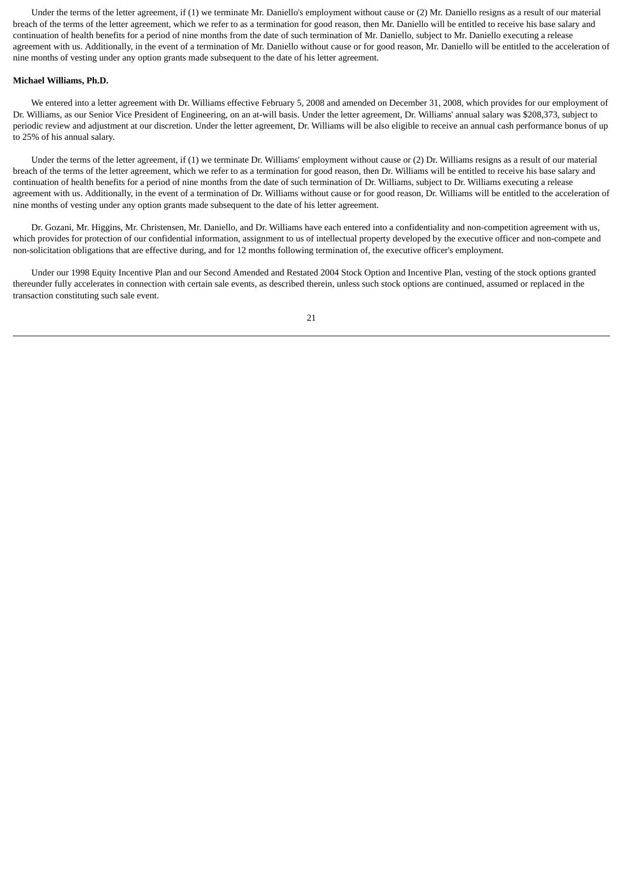Under the terms of the letter agreement, if (1) we terminate Mr. Daniello's employment without cause or (2) Mr. Daniello resigns as a result of our material breach of the terms of the letter agreement, which we refer to as a termination for good reason, then Mr. Daniello will be entitled to receive his base salary and continuation of health benefits for a period of nine months from the date of such termination of Mr. Daniello, subject to Mr. Daniello executing a release agreement with us. Additionally, in the event of a termination of Mr. Daniello without cause or for good reason, Mr. Daniello will be entitled to the acceleration of nine months of vesting under any option grants made subsequent to the date of his letter agreement.

#### **Michael Williams, Ph.D.**

 We entered into a letter agreement with Dr. Williams effective February 5, 2008 and amended on December 31, 2008, which provides for our employment of Dr. Williams, as our Senior Vice President of Engineering, on an at-will basis. Under the letter agreement, Dr. Williams' annual salary was \$208,373, subject to periodic review and adjustment at our discretion. Under the letter agreement, Dr. Williams will be also eligible to receive an annual cash performance bonus of up to 25% of his annual salary.

 Under the terms of the letter agreement, if (1) we terminate Dr. Williams' employment without cause or (2) Dr. Williams resigns as a result of our material breach of the terms of the letter agreement, which we refer to as a termination for good reason, then Dr. Williams will be entitled to receive his base salary and continuation of health benefits for a period of nine months from the date of such termination of Dr. Williams, subject to Dr. Williams executing a release agreement with us. Additionally, in the event of a termination of Dr. Williams without cause or for good reason, Dr. Williams will be entitled to the acceleration of nine months of vesting under any option grants made subsequent to the date of his letter agreement.

 Dr. Gozani, Mr. Higgins, Mr. Christensen, Mr. Daniello, and Dr. Williams have each entered into a confidentiality and non-competition agreement with us, which provides for protection of our confidential information, assignment to us of intellectual property developed by the executive officer and non-compete and non-solicitation obligations that are effective during, and for 12 months following termination of, the executive officer's employment.

 Under our 1998 Equity Incentive Plan and our Second Amended and Restated 2004 Stock Option and Incentive Plan, vesting of the stock options granted thereunder fully accelerates in connection with certain sale events, as described therein, unless such stock options are continued, assumed or replaced in the transaction constituting such sale event.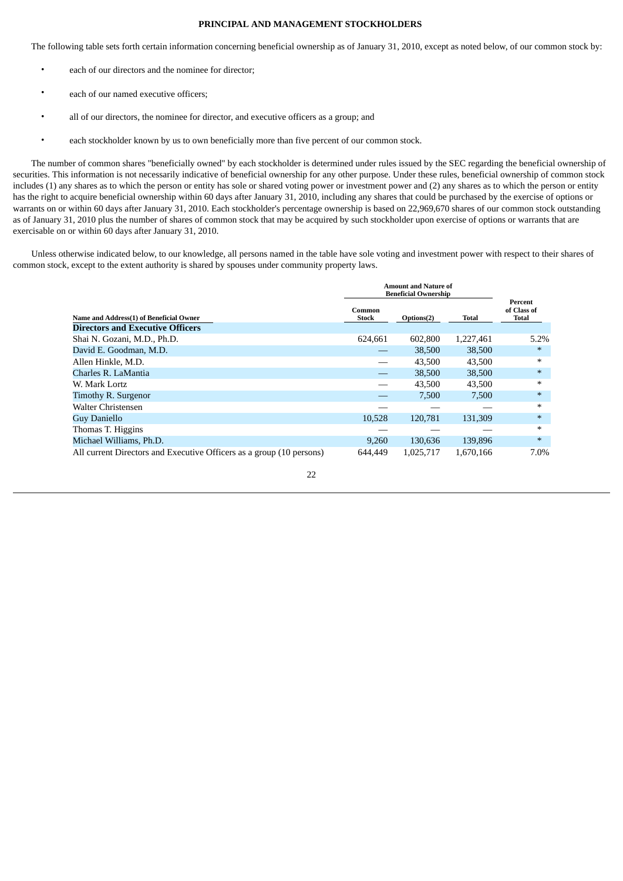# **PRINCIPAL AND MANAGEMENT STOCKHOLDERS**

<span id="page-24-0"></span>The following table sets forth certain information concerning beneficial ownership as of January 31, 2010, except as noted below, of our common stock by:

- each of our directors and the nominee for director;
- each of our named executive officers;
- all of our directors, the nominee for director, and executive officers as a group; and
- each stockholder known by us to own beneficially more than five percent of our common stock.

 The number of common shares "beneficially owned" by each stockholder is determined under rules issued by the SEC regarding the beneficial ownership of securities. This information is not necessarily indicative of beneficial ownership for any other purpose. Under these rules, beneficial ownership of common stock includes (1) any shares as to which the person or entity has sole or shared voting power or investment power and (2) any shares as to which the person or entity has the right to acquire beneficial ownership within 60 days after January 31, 2010, including any shares that could be purchased by the exercise of options or warrants on or within 60 days after January 31, 2010. Each stockholder's percentage ownership is based on 22,969,670 shares of our common stock outstanding as of January 31, 2010 plus the number of shares of common stock that may be acquired by such stockholder upon exercise of options or warrants that are exercisable on or within 60 days after January 31, 2010.

 Unless otherwise indicated below, to our knowledge, all persons named in the table have sole voting and investment power with respect to their shares of common stock, except to the extent authority is shared by spouses under community property laws.

|                                                                      |                        | Amount and Nature of<br><b>Beneficial Ownership</b> |           |                                        |
|----------------------------------------------------------------------|------------------------|-----------------------------------------------------|-----------|----------------------------------------|
| Name and Address(1) of Beneficial Owner                              | Common<br><b>Stock</b> | Options(2)                                          | Total     | Percent<br>of Class of<br><b>Total</b> |
| <b>Directors and Executive Officers</b>                              |                        |                                                     |           |                                        |
| Shai N. Gozani, M.D., Ph.D.                                          | 624.661                | 602,800                                             | 1,227,461 | 5.2%                                   |
| David E. Goodman, M.D.                                               |                        | 38,500                                              | 38,500    | $*$                                    |
| Allen Hinkle, M.D.                                                   |                        | 43,500                                              | 43,500    | $\ast$                                 |
| Charles R. LaMantia                                                  |                        | 38,500                                              | 38,500    | $\ast$                                 |
| W. Mark Lortz                                                        |                        | 43.500                                              | 43,500    | $\ast$                                 |
| Timothy R. Surgenor                                                  |                        | 7,500                                               | 7.500     | $*$                                    |
| Walter Christensen                                                   |                        |                                                     |           | $\ast$                                 |
| Guv Daniello                                                         | 10,528                 | 120.781                                             | 131,309   | $*$                                    |
| Thomas T. Higgins                                                    |                        |                                                     |           | $*$                                    |
| Michael Williams, Ph.D.                                              | 9,260                  | 130,636                                             | 139,896   | $*$                                    |
| All current Directors and Executive Officers as a group (10 persons) | 644,449                | 1,025,717                                           | 1,670,166 | 7.0%                                   |

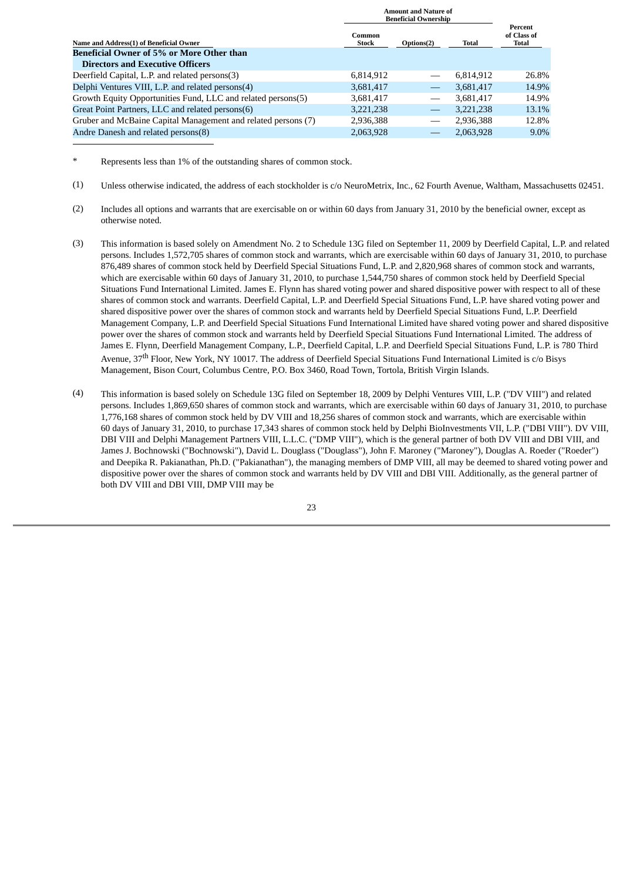|                                                               |                 | <b>Amount and Nature of</b><br><b>Beneficial Ownership</b> |           |                                 |
|---------------------------------------------------------------|-----------------|------------------------------------------------------------|-----------|---------------------------------|
| Name and Address(1) of Beneficial Owner                       | Common<br>Stock | Options(2)                                                 | Total     | Percent<br>of Class of<br>Total |
| <b>Beneficial Owner of 5% or More Other than</b>              |                 |                                                            |           |                                 |
| <b>Directors and Executive Officers</b>                       |                 |                                                            |           |                                 |
| Deerfield Capital, L.P. and related persons(3)                | 6,814,912       |                                                            | 6.814.912 | 26.8%                           |
| Delphi Ventures VIII, L.P. and related persons(4)             | 3,681,417       | $\overline{\phantom{0}}$                                   | 3,681,417 | 14.9%                           |
| Growth Equity Opportunities Fund, LLC and related persons(5)  | 3,681,417       |                                                            | 3.681.417 | 14.9%                           |
| Great Point Partners, LLC and related persons(6)              | 3,221,238       |                                                            | 3,221,238 | 13.1%                           |
| Gruber and McBaine Capital Management and related persons (7) | 2,936,388       |                                                            | 2,936,388 | 12.8%                           |
| Andre Danesh and related persons(8)                           | 2.063.928       |                                                            | 2.063.928 | $9.0\%$                         |

Represents less than 1% of the outstanding shares of common stock.

- (1) Unless otherwise indicated, the address of each stockholder is c/o NeuroMetrix, Inc., 62 Fourth Avenue, Waltham, Massachusetts 02451.
- (2) Includes all options and warrants that are exercisable on or within 60 days from January 31, 2010 by the beneficial owner, except as otherwise noted.
- (3) This information is based solely on Amendment No. 2 to Schedule 13G filed on September 11, 2009 by Deerfield Capital, L.P. and related persons. Includes 1,572,705 shares of common stock and warrants, which are exercisable within 60 days of January 31, 2010, to purchase 876,489 shares of common stock held by Deerfield Special Situations Fund, L.P. and 2,820,968 shares of common stock and warrants, which are exercisable within 60 days of January 31, 2010, to purchase 1,544,750 shares of common stock held by Deerfield Special Situations Fund International Limited. James E. Flynn has shared voting power and shared dispositive power with respect to all of these shares of common stock and warrants. Deerfield Capital, L.P. and Deerfield Special Situations Fund, L.P. have shared voting power and shared dispositive power over the shares of common stock and warrants held by Deerfield Special Situations Fund, L.P. Deerfield Management Company, L.P. and Deerfield Special Situations Fund International Limited have shared voting power and shared dispositive power over the shares of common stock and warrants held by Deerfield Special Situations Fund International Limited. The address of James E. Flynn, Deerfield Management Company, L.P., Deerfield Capital, L.P. and Deerfield Special Situations Fund, L.P. is 780 Third Avenue, 37<sup>th</sup> Floor, New York, NY 10017. The address of Deerfield Special Situations Fund International Limited is c/o Bisys Management, Bison Court, Columbus Centre, P.O. Box 3460, Road Town, Tortola, British Virgin Islands.
- (4) This information is based solely on Schedule 13G filed on September 18, 2009 by Delphi Ventures VIII, L.P. ("DV VIII") and related persons. Includes 1,869,650 shares of common stock and warrants, which are exercisable within 60 days of January 31, 2010, to purchase 1,776,168 shares of common stock held by DV VIII and 18,256 shares of common stock and warrants, which are exercisable within 60 days of January 31, 2010, to purchase 17,343 shares of common stock held by Delphi BioInvestments VII, L.P. ("DBI VIII"). DV VIII, DBI VIII and Delphi Management Partners VIII, L.L.C. ("DMP VIII"), which is the general partner of both DV VIII and DBI VIII, and James J. Bochnowski ("Bochnowski"), David L. Douglass ("Douglass"), John F. Maroney ("Maroney"), Douglas A. Roeder ("Roeder") and Deepika R. Pakianathan, Ph.D. ("Pakianathan"), the managing members of DMP VIII, all may be deemed to shared voting power and dispositive power over the shares of common stock and warrants held by DV VIII and DBI VIII. Additionally, as the general partner of both DV VIII and DBI VIII, DMP VIII may be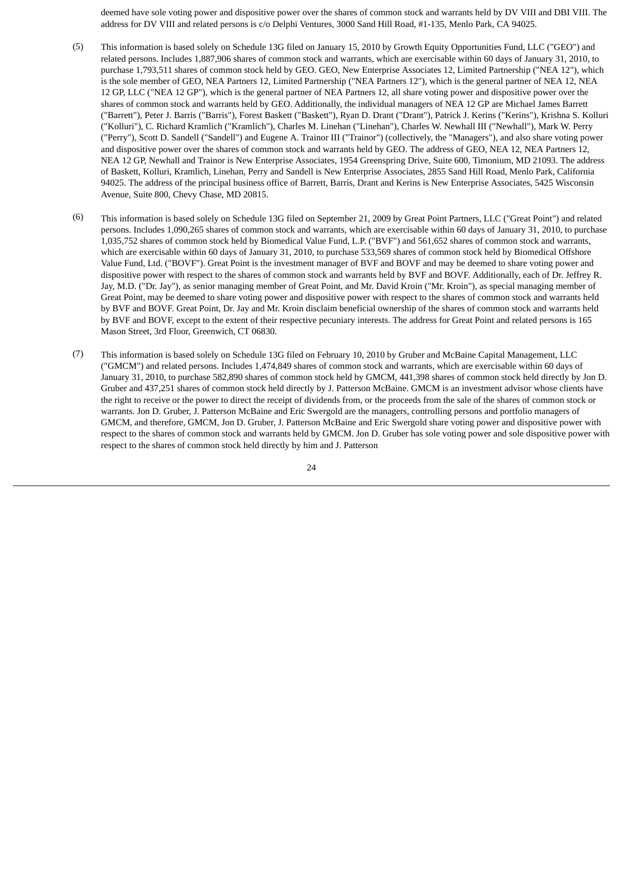deemed have sole voting power and dispositive power over the shares of common stock and warrants held by DV VIII and DBI VIII. The address for DV VIII and related persons is c/o Delphi Ventures, 3000 Sand Hill Road, #1-135, Menlo Park, CA 94025.

- (5) This information is based solely on Schedule 13G filed on January 15, 2010 by Growth Equity Opportunities Fund, LLC ("GEO") and related persons. Includes 1,887,906 shares of common stock and warrants, which are exercisable within 60 days of January 31, 2010, to purchase 1,793,511 shares of common stock held by GEO. GEO, New Enterprise Associates 12, Limited Partnership ("NEA 12"), which is the sole member of GEO, NEA Partners 12, Limited Partnership ("NEA Partners 12"), which is the general partner of NEA 12, NEA 12 GP, LLC ("NEA 12 GP"), which is the general partner of NEA Partners 12, all share voting power and dispositive power over the shares of common stock and warrants held by GEO. Additionally, the individual managers of NEA 12 GP are Michael James Barrett ("Barrett"), Peter J. Barris ("Barris"), Forest Baskett ("Baskett"), Ryan D. Drant ("Drant"), Patrick J. Kerins ("Kerins"), Krishna S. Kolluri ("Kolluri"), C. Richard Kramlich ("Kramlich"), Charles M. Linehan ("Linehan"), Charles W. Newhall III ("Newhall"), Mark W. Perry ("Perry"), Scott D. Sandell ("Sandell") and Eugene A. Trainor III ("Trainor") (collectively, the "Managers"), and also share voting power and dispositive power over the shares of common stock and warrants held by GEO. The address of GEO, NEA 12, NEA Partners 12, NEA 12 GP, Newhall and Trainor is New Enterprise Associates, 1954 Greenspring Drive, Suite 600, Timonium, MD 21093. The address of Baskett, Kolluri, Kramlich, Linehan, Perry and Sandell is New Enterprise Associates, 2855 Sand Hill Road, Menlo Park, California 94025. The address of the principal business office of Barrett, Barris, Drant and Kerins is New Enterprise Associates, 5425 Wisconsin Avenue, Suite 800, Chevy Chase, MD 20815.
- (6) This information is based solely on Schedule 13G filed on September 21, 2009 by Great Point Partners, LLC ("Great Point") and related persons. Includes 1,090,265 shares of common stock and warrants, which are exercisable within 60 days of January 31, 2010, to purchase 1,035,752 shares of common stock held by Biomedical Value Fund, L.P. ("BVF") and 561,652 shares of common stock and warrants, which are exercisable within 60 days of January 31, 2010, to purchase 533,569 shares of common stock held by Biomedical Offshore Value Fund, Ltd. ("BOVF"). Great Point is the investment manager of BVF and BOVF and may be deemed to share voting power and dispositive power with respect to the shares of common stock and warrants held by BVF and BOVF. Additionally, each of Dr. Jeffrey R. Jay, M.D. ("Dr. Jay"), as senior managing member of Great Point, and Mr. David Kroin ("Mr. Kroin"), as special managing member of Great Point, may be deemed to share voting power and dispositive power with respect to the shares of common stock and warrants held by BVF and BOVF. Great Point, Dr. Jay and Mr. Kroin disclaim beneficial ownership of the shares of common stock and warrants held by BVF and BOVF, except to the extent of their respective pecuniary interests. The address for Great Point and related persons is 165 Mason Street, 3rd Floor, Greenwich, CT 06830.
- (7) This information is based solely on Schedule 13G filed on February 10, 2010 by Gruber and McBaine Capital Management, LLC ("GMCM") and related persons. Includes 1,474,849 shares of common stock and warrants, which are exercisable within 60 days of January 31, 2010, to purchase 582,890 shares of common stock held by GMCM, 441,398 shares of common stock held directly by Jon D. Gruber and 437,251 shares of common stock held directly by J. Patterson McBaine. GMCM is an investment advisor whose clients have the right to receive or the power to direct the receipt of dividends from, or the proceeds from the sale of the shares of common stock or warrants. Jon D. Gruber, J. Patterson McBaine and Eric Swergold are the managers, controlling persons and portfolio managers of GMCM, and therefore, GMCM, Jon D. Gruber, J. Patterson McBaine and Eric Swergold share voting power and dispositive power with respect to the shares of common stock and warrants held by GMCM. Jon D. Gruber has sole voting power and sole dispositive power with respect to the shares of common stock held directly by him and J. Patterson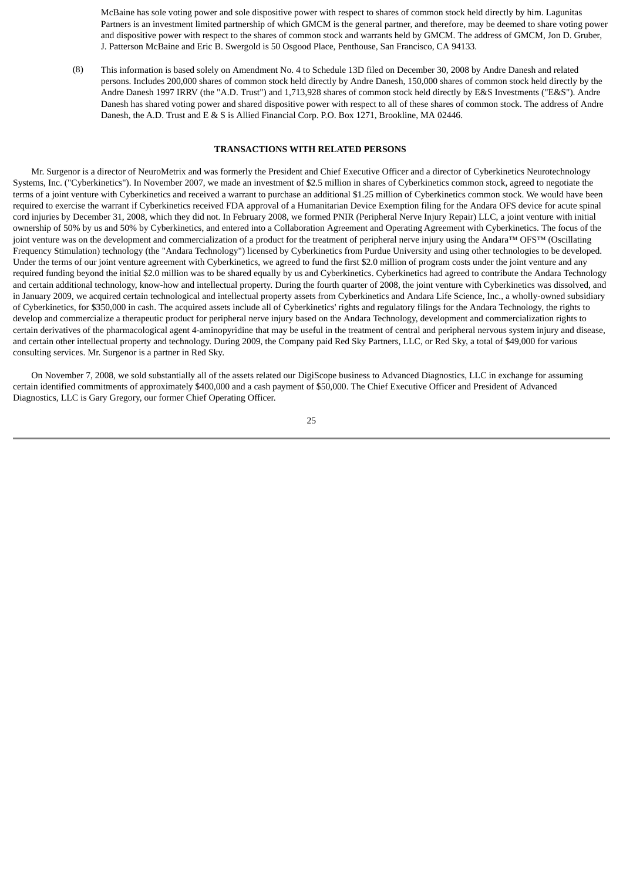McBaine has sole voting power and sole dispositive power with respect to shares of common stock held directly by him. Lagunitas Partners is an investment limited partnership of which GMCM is the general partner, and therefore, may be deemed to share voting power and dispositive power with respect to the shares of common stock and warrants held by GMCM. The address of GMCM, Jon D. Gruber, J. Patterson McBaine and Eric B. Swergold is 50 Osgood Place, Penthouse, San Francisco, CA 94133.

(8) This information is based solely on Amendment No. 4 to Schedule 13D filed on December 30, 2008 by Andre Danesh and related persons. Includes 200,000 shares of common stock held directly by Andre Danesh, 150,000 shares of common stock held directly by the Andre Danesh 1997 IRRV (the "A.D. Trust") and 1,713,928 shares of common stock held directly by E&S Investments ("E&S"). Andre Danesh has shared voting power and shared dispositive power with respect to all of these shares of common stock. The address of Andre Danesh, the A.D. Trust and E & S is Allied Financial Corp. P.O. Box 1271, Brookline, MA 02446.

# **TRANSACTIONS WITH RELATED PERSONS**

<span id="page-27-0"></span> Mr. Surgenor is a director of NeuroMetrix and was formerly the President and Chief Executive Officer and a director of Cyberkinetics Neurotechnology Systems, Inc. ("Cyberkinetics"). In November 2007, we made an investment of \$2.5 million in shares of Cyberkinetics common stock, agreed to negotiate the terms of a joint venture with Cyberkinetics and received a warrant to purchase an additional \$1.25 million of Cyberkinetics common stock. We would have been required to exercise the warrant if Cyberkinetics received FDA approval of a Humanitarian Device Exemption filing for the Andara OFS device for acute spinal cord injuries by December 31, 2008, which they did not. In February 2008, we formed PNIR (Peripheral Nerve Injury Repair) LLC, a joint venture with initial ownership of 50% by us and 50% by Cyberkinetics, and entered into a Collaboration Agreement and Operating Agreement with Cyberkinetics. The focus of the joint venture was on the development and commercialization of a product for the treatment of peripheral nerve injury using the Andara™ OFS™ (Oscillating Frequency Stimulation) technology (the "Andara Technology") licensed by Cyberkinetics from Purdue University and using other technologies to be developed. Under the terms of our joint venture agreement with Cyberkinetics, we agreed to fund the first \$2.0 million of program costs under the joint venture and any required funding beyond the initial \$2.0 million was to be shared equally by us and Cyberkinetics. Cyberkinetics had agreed to contribute the Andara Technology and certain additional technology, know-how and intellectual property. During the fourth quarter of 2008, the joint venture with Cyberkinetics was dissolved, and in January 2009, we acquired certain technological and intellectual property assets from Cyberkinetics and Andara Life Science, Inc., a wholly-owned subsidiary of Cyberkinetics, for \$350,000 in cash. The acquired assets include all of Cyberkinetics' rights and regulatory filings for the Andara Technology, the rights to develop and commercialize a therapeutic product for peripheral nerve injury based on the Andara Technology, development and commercialization rights to certain derivatives of the pharmacological agent 4-aminopyridine that may be useful in the treatment of central and peripheral nervous system injury and disease, and certain other intellectual property and technology. During 2009, the Company paid Red Sky Partners, LLC, or Red Sky, a total of \$49,000 for various consulting services. Mr. Surgenor is a partner in Red Sky.

 On November 7, 2008, we sold substantially all of the assets related our DigiScope business to Advanced Diagnostics, LLC in exchange for assuming certain identified commitments of approximately \$400,000 and a cash payment of \$50,000. The Chief Executive Officer and President of Advanced Diagnostics, LLC is Gary Gregory, our former Chief Operating Officer.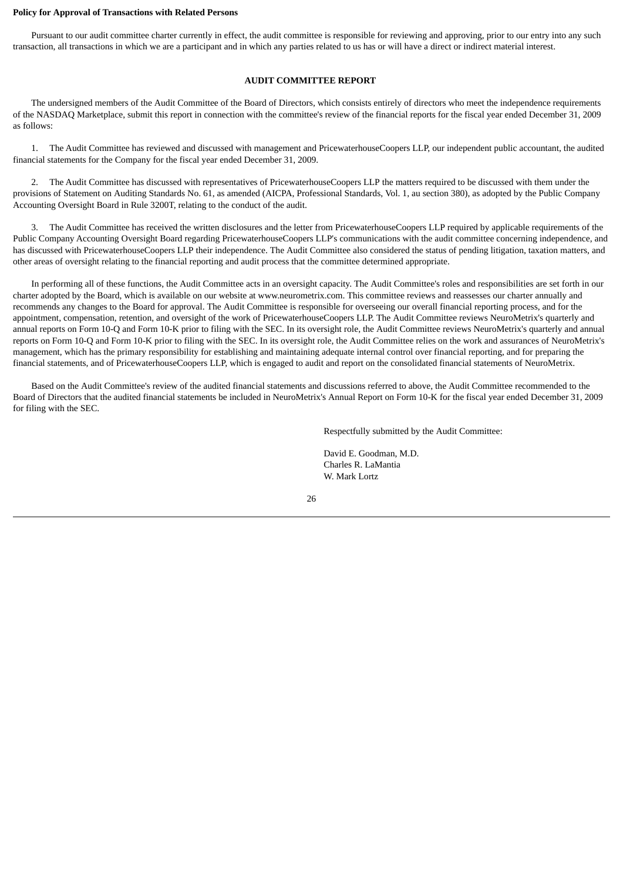#### **Policy for Approval of Transactions with Related Persons**

<span id="page-28-0"></span> Pursuant to our audit committee charter currently in effect, the audit committee is responsible for reviewing and approving, prior to our entry into any such transaction, all transactions in which we are a participant and in which any parties related to us has or will have a direct or indirect material interest.

# **AUDIT COMMITTEE REPORT**

 The undersigned members of the Audit Committee of the Board of Directors, which consists entirely of directors who meet the independence requirements of the NASDAQ Marketplace, submit this report in connection with the committee's review of the financial reports for the fiscal year ended December 31, 2009 as follows:

 1. The Audit Committee has reviewed and discussed with management and PricewaterhouseCoopers LLP, our independent public accountant, the audited financial statements for the Company for the fiscal year ended December 31, 2009.

 2. The Audit Committee has discussed with representatives of PricewaterhouseCoopers LLP the matters required to be discussed with them under the provisions of Statement on Auditing Standards No. 61, as amended (AICPA, Professional Standards, Vol. 1, au section 380), as adopted by the Public Company Accounting Oversight Board in Rule 3200T, relating to the conduct of the audit.

 3. The Audit Committee has received the written disclosures and the letter from PricewaterhouseCoopers LLP required by applicable requirements of the Public Company Accounting Oversight Board regarding PricewaterhouseCoopers LLP's communications with the audit committee concerning independence, and has discussed with PricewaterhouseCoopers LLP their independence. The Audit Committee also considered the status of pending litigation, taxation matters, and other areas of oversight relating to the financial reporting and audit process that the committee determined appropriate.

 In performing all of these functions, the Audit Committee acts in an oversight capacity. The Audit Committee's roles and responsibilities are set forth in our charter adopted by the Board, which is available on our website at www.neurometrix.com. This committee reviews and reassesses our charter annually and recommends any changes to the Board for approval. The Audit Committee is responsible for overseeing our overall financial reporting process, and for the appointment, compensation, retention, and oversight of the work of PricewaterhouseCoopers LLP. The Audit Committee reviews NeuroMetrix's quarterly and annual reports on Form 10-Q and Form 10-K prior to filing with the SEC. In its oversight role, the Audit Committee reviews NeuroMetrix's quarterly and annual reports on Form 10-Q and Form 10-K prior to filing with the SEC. In its oversight role, the Audit Committee relies on the work and assurances of NeuroMetrix's management, which has the primary responsibility for establishing and maintaining adequate internal control over financial reporting, and for preparing the financial statements, and of PricewaterhouseCoopers LLP, which is engaged to audit and report on the consolidated financial statements of NeuroMetrix.

 Based on the Audit Committee's review of the audited financial statements and discussions referred to above, the Audit Committee recommended to the Board of Directors that the audited financial statements be included in NeuroMetrix's Annual Report on Form 10-K for the fiscal year ended December 31, 2009 for filing with the SEC.

Respectfully submitted by the Audit Committee:

David E. Goodman, M.D. Charles R. LaMantia W. Mark Lortz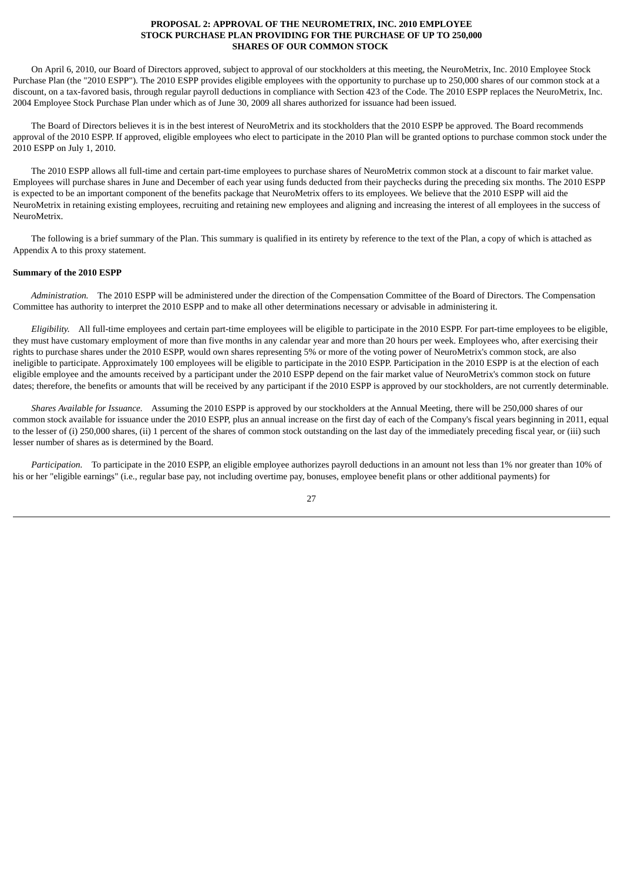# **PROPOSAL 2: APPROVAL OF THE NEUROMETRIX, INC. 2010 EMPLOYEE STOCK PURCHASE PLAN PROVIDING FOR THE PURCHASE OF UP TO 250,000 SHARES OF OUR COMMON STOCK**

<span id="page-29-0"></span> On April 6, 2010, our Board of Directors approved, subject to approval of our stockholders at this meeting, the NeuroMetrix, Inc. 2010 Employee Stock Purchase Plan (the "2010 ESPP"). The 2010 ESPP provides eligible employees with the opportunity to purchase up to 250,000 shares of our common stock at a discount, on a tax-favored basis, through regular payroll deductions in compliance with Section 423 of the Code. The 2010 ESPP replaces the NeuroMetrix, Inc. 2004 Employee Stock Purchase Plan under which as of June 30, 2009 all shares authorized for issuance had been issued.

 The Board of Directors believes it is in the best interest of NeuroMetrix and its stockholders that the 2010 ESPP be approved. The Board recommends approval of the 2010 ESPP. If approved, eligible employees who elect to participate in the 2010 Plan will be granted options to purchase common stock under the 2010 ESPP on July 1, 2010.

 The 2010 ESPP allows all full-time and certain part-time employees to purchase shares of NeuroMetrix common stock at a discount to fair market value. Employees will purchase shares in June and December of each year using funds deducted from their paychecks during the preceding six months. The 2010 ESPP is expected to be an important component of the benefits package that NeuroMetrix offers to its employees. We believe that the 2010 ESPP will aid the NeuroMetrix in retaining existing employees, recruiting and retaining new employees and aligning and increasing the interest of all employees in the success of NeuroMetrix.

 The following is a brief summary of the Plan. This summary is qualified in its entirety by reference to the text of the Plan, a copy of which is attached as Appendix A to this proxy statement.

# **Summary of the 2010 ESPP**

 *Administration.* The 2010 ESPP will be administered under the direction of the Compensation Committee of the Board of Directors. The Compensation Committee has authority to interpret the 2010 ESPP and to make all other determinations necessary or advisable in administering it.

 *Eligibility.* All full-time employees and certain part-time employees will be eligible to participate in the 2010 ESPP. For part-time employees to be eligible, they must have customary employment of more than five months in any calendar year and more than 20 hours per week. Employees who, after exercising their rights to purchase shares under the 2010 ESPP, would own shares representing 5% or more of the voting power of NeuroMetrix's common stock, are also ineligible to participate. Approximately 100 employees will be eligible to participate in the 2010 ESPP. Participation in the 2010 ESPP is at the election of each eligible employee and the amounts received by a participant under the 2010 ESPP depend on the fair market value of NeuroMetrix's common stock on future dates; therefore, the benefits or amounts that will be received by any participant if the 2010 ESPP is approved by our stockholders, are not currently determinable.

 *Shares Available for Issuance.* Assuming the 2010 ESPP is approved by our stockholders at the Annual Meeting, there will be 250,000 shares of our common stock available for issuance under the 2010 ESPP, plus an annual increase on the first day of each of the Company's fiscal years beginning in 2011, equal to the lesser of (i) 250,000 shares, (ii) 1 percent of the shares of common stock outstanding on the last day of the immediately preceding fiscal year, or (iii) such lesser number of shares as is determined by the Board.

 *Participation.* To participate in the 2010 ESPP, an eligible employee authorizes payroll deductions in an amount not less than 1% nor greater than 10% of his or her "eligible earnings" (i.e., regular base pay, not including overtime pay, bonuses, employee benefit plans or other additional payments) for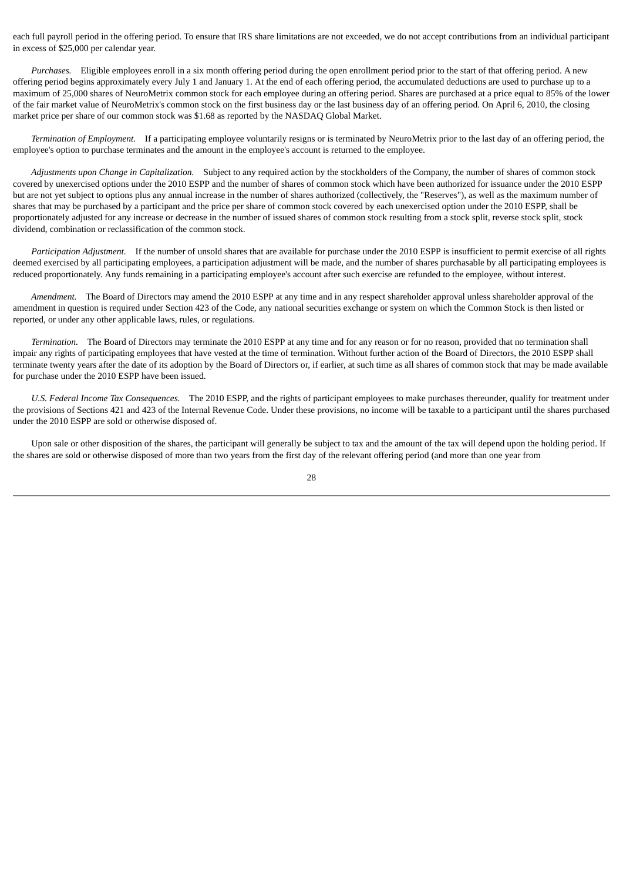each full payroll period in the offering period. To ensure that IRS share limitations are not exceeded, we do not accept contributions from an individual participant in excess of \$25,000 per calendar year.

 *Purchases.* Eligible employees enroll in a six month offering period during the open enrollment period prior to the start of that offering period. A new offering period begins approximately every July 1 and January 1. At the end of each offering period, the accumulated deductions are used to purchase up to a maximum of 25,000 shares of NeuroMetrix common stock for each employee during an offering period. Shares are purchased at a price equal to 85% of the lower of the fair market value of NeuroMetrix's common stock on the first business day or the last business day of an offering period. On April 6, 2010, the closing market price per share of our common stock was \$1.68 as reported by the NASDAQ Global Market.

 *Termination of Employment.* If a participating employee voluntarily resigns or is terminated by NeuroMetrix prior to the last day of an offering period, the employee's option to purchase terminates and the amount in the employee's account is returned to the employee.

 *Adjustments upon Change in Capitalization.* Subject to any required action by the stockholders of the Company, the number of shares of common stock covered by unexercised options under the 2010 ESPP and the number of shares of common stock which have been authorized for issuance under the 2010 ESPP but are not yet subject to options plus any annual increase in the number of shares authorized (collectively, the "Reserves"), as well as the maximum number of shares that may be purchased by a participant and the price per share of common stock covered by each unexercised option under the 2010 ESPP, shall be proportionately adjusted for any increase or decrease in the number of issued shares of common stock resulting from a stock split, reverse stock split, stock dividend, combination or reclassification of the common stock.

 *Participation Adjustment.* If the number of unsold shares that are available for purchase under the 2010 ESPP is insufficient to permit exercise of all rights deemed exercised by all participating employees, a participation adjustment will be made, and the number of shares purchasable by all participating employees is reduced proportionately. Any funds remaining in a participating employee's account after such exercise are refunded to the employee, without interest.

 *Amendment.* The Board of Directors may amend the 2010 ESPP at any time and in any respect shareholder approval unless shareholder approval of the amendment in question is required under Section 423 of the Code, any national securities exchange or system on which the Common Stock is then listed or reported, or under any other applicable laws, rules, or regulations.

 *Termination.* The Board of Directors may terminate the 2010 ESPP at any time and for any reason or for no reason, provided that no termination shall impair any rights of participating employees that have vested at the time of termination. Without further action of the Board of Directors, the 2010 ESPP shall terminate twenty years after the date of its adoption by the Board of Directors or, if earlier, at such time as all shares of common stock that may be made available for purchase under the 2010 ESPP have been issued.

 *U.S. Federal Income Tax Consequences.* The 2010 ESPP, and the rights of participant employees to make purchases thereunder, qualify for treatment under the provisions of Sections 421 and 423 of the Internal Revenue Code. Under these provisions, no income will be taxable to a participant until the shares purchased under the 2010 ESPP are sold or otherwise disposed of.

 Upon sale or other disposition of the shares, the participant will generally be subject to tax and the amount of the tax will depend upon the holding period. If the shares are sold or otherwise disposed of more than two years from the first day of the relevant offering period (and more than one year from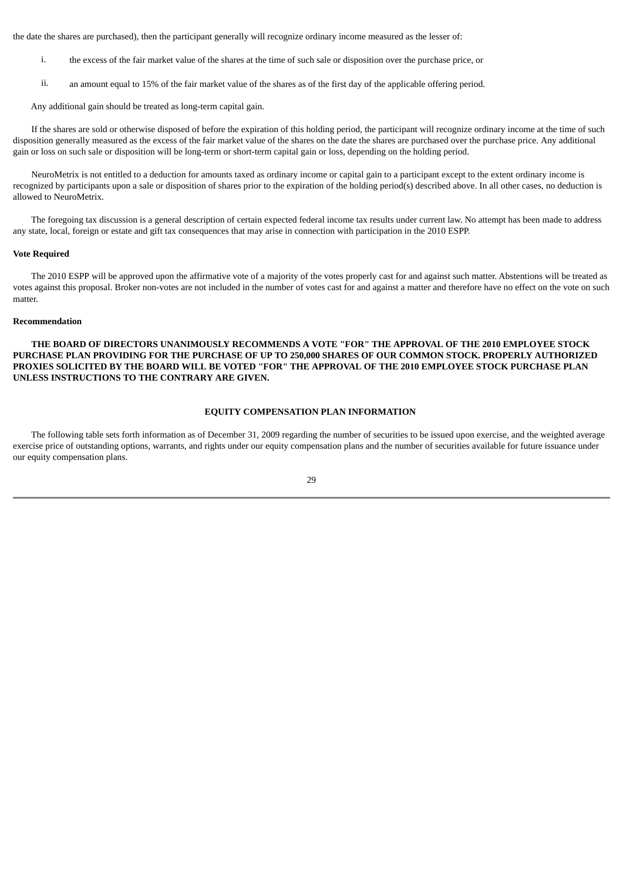the date the shares are purchased), then the participant generally will recognize ordinary income measured as the lesser of:

- i. the excess of the fair market value of the shares at the time of such sale or disposition over the purchase price, or
- ii. an amount equal to 15% of the fair market value of the shares as of the first day of the applicable offering period.

Any additional gain should be treated as long-term capital gain.

 If the shares are sold or otherwise disposed of before the expiration of this holding period, the participant will recognize ordinary income at the time of such disposition generally measured as the excess of the fair market value of the shares on the date the shares are purchased over the purchase price. Any additional gain or loss on such sale or disposition will be long-term or short-term capital gain or loss, depending on the holding period.

 NeuroMetrix is not entitled to a deduction for amounts taxed as ordinary income or capital gain to a participant except to the extent ordinary income is recognized by participants upon a sale or disposition of shares prior to the expiration of the holding period(s) described above. In all other cases, no deduction is allowed to NeuroMetrix.

 The foregoing tax discussion is a general description of certain expected federal income tax results under current law. No attempt has been made to address any state, local, foreign or estate and gift tax consequences that may arise in connection with participation in the 2010 ESPP.

#### **Vote Required**

 The 2010 ESPP will be approved upon the affirmative vote of a majority of the votes properly cast for and against such matter. Abstentions will be treated as votes against this proposal. Broker non-votes are not included in the number of votes cast for and against a matter and therefore have no effect on the vote on such matter.

#### **Recommendation**

 **THE BOARD OF DIRECTORS UNANIMOUSLY RECOMMENDS A VOTE "FOR" THE APPROVAL OF THE 2010 EMPLOYEE STOCK PURCHASE PLAN PROVIDING FOR THE PURCHASE OF UP TO 250,000 SHARES OF OUR COMMON STOCK. PROPERLY AUTHORIZED PROXIES SOLICITED BY THE BOARD WILL BE VOTED "FOR" THE APPROVAL OF THE 2010 EMPLOYEE STOCK PURCHASE PLAN UNLESS INSTRUCTIONS TO THE CONTRARY ARE GIVEN.**

# **EQUITY COMPENSATION PLAN INFORMATION**

<span id="page-31-0"></span> The following table sets forth information as of December 31, 2009 regarding the number of securities to be issued upon exercise, and the weighted average exercise price of outstanding options, warrants, and rights under our equity compensation plans and the number of securities available for future issuance under our equity compensation plans.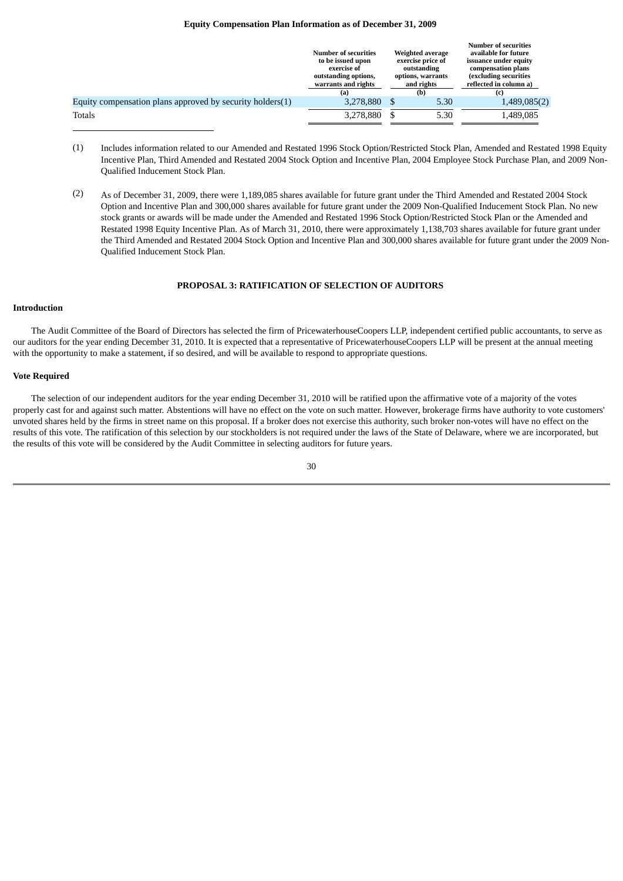# **Equity Compensation Plan Information as of December 31, 2009**

<span id="page-32-0"></span>

|                                                           | <b>Number of securities</b><br>to be issued upon<br>exercise of<br>outstanding options,<br>warrants and rights<br>(a) | <b>Weighted average</b><br>exercise price of<br>outstanding<br>options, warrants<br>and rights<br>(b) | <b>Number of securities</b><br>available for future<br>issuance under equity<br>compensation plans<br>(excluding securities<br>reflected in column a) |
|-----------------------------------------------------------|-----------------------------------------------------------------------------------------------------------------------|-------------------------------------------------------------------------------------------------------|-------------------------------------------------------------------------------------------------------------------------------------------------------|
| Equity compensation plans approved by security holders(1) | 3,278,880                                                                                                             | 5.30                                                                                                  | 1,489,085(2)                                                                                                                                          |
| Totals                                                    | 3,278,880                                                                                                             | 5.30                                                                                                  | 1,489,085                                                                                                                                             |
|                                                           |                                                                                                                       |                                                                                                       |                                                                                                                                                       |

- (1) Includes information related to our Amended and Restated 1996 Stock Option/Restricted Stock Plan, Amended and Restated 1998 Equity Incentive Plan, Third Amended and Restated 2004 Stock Option and Incentive Plan, 2004 Employee Stock Purchase Plan, and 2009 Non-Qualified Inducement Stock Plan.
- (2) As of December 31, 2009, there were 1,189,085 shares available for future grant under the Third Amended and Restated 2004 Stock Option and Incentive Plan and 300,000 shares available for future grant under the 2009 Non-Qualified Inducement Stock Plan. No new stock grants or awards will be made under the Amended and Restated 1996 Stock Option/Restricted Stock Plan or the Amended and Restated 1998 Equity Incentive Plan. As of March 31, 2010, there were approximately 1,138,703 shares available for future grant under the Third Amended and Restated 2004 Stock Option and Incentive Plan and 300,000 shares available for future grant under the 2009 Non-Qualified Inducement Stock Plan.

# **PROPOSAL 3: RATIFICATION OF SELECTION OF AUDITORS**

# <span id="page-32-1"></span>**Introduction**

 The Audit Committee of the Board of Directors has selected the firm of PricewaterhouseCoopers LLP, independent certified public accountants, to serve as our auditors for the year ending December 31, 2010. It is expected that a representative of PricewaterhouseCoopers LLP will be present at the annual meeting with the opportunity to make a statement, if so desired, and will be available to respond to appropriate questions.

#### **Vote Required**

 The selection of our independent auditors for the year ending December 31, 2010 will be ratified upon the affirmative vote of a majority of the votes properly cast for and against such matter. Abstentions will have no effect on the vote on such matter. However, brokerage firms have authority to vote customers' unvoted shares held by the firms in street name on this proposal. If a broker does not exercise this authority, such broker non-votes will have no effect on the results of this vote. The ratification of this selection by our stockholders is not required under the laws of the State of Delaware, where we are incorporated, but the results of this vote will be considered by the Audit Committee in selecting auditors for future years.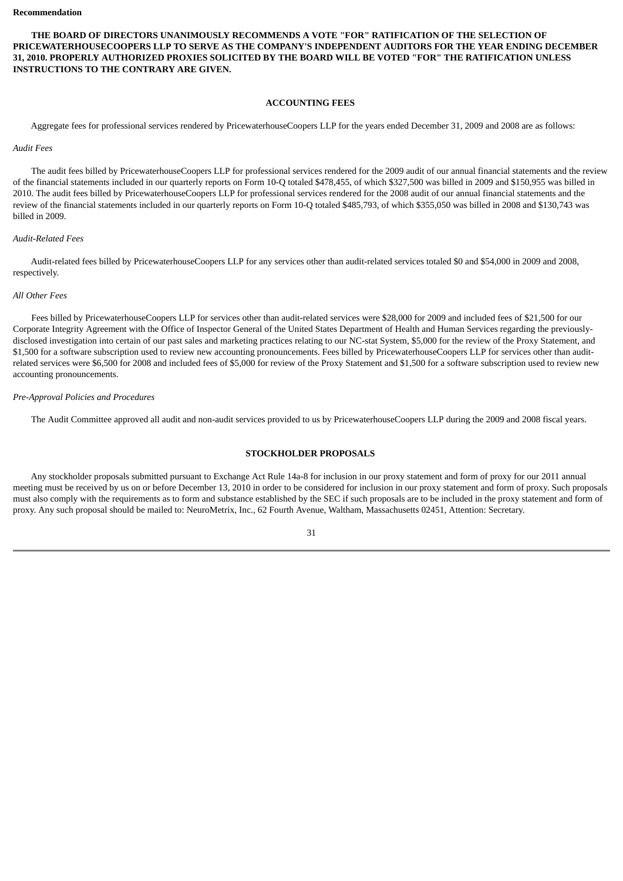**THE BOARD OF DIRECTORS UNANIMOUSLY RECOMMENDS A VOTE "FOR" RATIFICATION OF THE SELECTION OF PRICEWATERHOUSECOOPERS LLP TO SERVE AS THE COMPANY'S INDEPENDENT AUDITORS FOR THE YEAR ENDING DECEMBER 31, 2010. PROPERLY AUTHORIZED PROXIES SOLICITED BY THE BOARD WILL BE VOTED "FOR" THE RATIFICATION UNLESS INSTRUCTIONS TO THE CONTRARY ARE GIVEN.**

# **ACCOUNTING FEES**

<span id="page-33-0"></span>Aggregate fees for professional services rendered by PricewaterhouseCoopers LLP for the years ended December 31, 2009 and 2008 are as follows:

#### *Audit Fees*

 The audit fees billed by PricewaterhouseCoopers LLP for professional services rendered for the 2009 audit of our annual financial statements and the review of the financial statements included in our quarterly reports on Form 10-Q totaled \$478,455, of which \$327,500 was billed in 2009 and \$150,955 was billed in 2010. The audit fees billed by PricewaterhouseCoopers LLP for professional services rendered for the 2008 audit of our annual financial statements and the review of the financial statements included in our quarterly reports on Form 10-Q totaled \$485,793, of which \$355,050 was billed in 2008 and \$130,743 was billed in 2009.

# *Audit-Related Fees*

 Audit-related fees billed by PricewaterhouseCoopers LLP for any services other than audit-related services totaled \$0 and \$54,000 in 2009 and 2008, respectively.

## *All Other Fees*

 Fees billed by PricewaterhouseCoopers LLP for services other than audit-related services were \$28,000 for 2009 and included fees of \$21,500 for our Corporate Integrity Agreement with the Office of Inspector General of the United States Department of Health and Human Services regarding the previouslydisclosed investigation into certain of our past sales and marketing practices relating to our NC-stat System, \$5,000 for the review of the Proxy Statement, and \$1,500 for a software subscription used to review new accounting pronouncements. Fees billed by PricewaterhouseCoopers LLP for services other than auditrelated services were \$6,500 for 2008 and included fees of \$5,000 for review of the Proxy Statement and \$1,500 for a software subscription used to review new accounting pronouncements.

# *Pre-Approval Policies and Procedures*

<span id="page-33-1"></span>The Audit Committee approved all audit and non-audit services provided to us by PricewaterhouseCoopers LLP during the 2009 and 2008 fiscal years.

# **STOCKHOLDER PROPOSALS**

 Any stockholder proposals submitted pursuant to Exchange Act Rule 14a-8 for inclusion in our proxy statement and form of proxy for our 2011 annual meeting must be received by us on or before December 13, 2010 in order to be considered for inclusion in our proxy statement and form of proxy. Such proposals must also comply with the requirements as to form and substance established by the SEC if such proposals are to be included in the proxy statement and form of proxy. Any such proposal should be mailed to: NeuroMetrix, Inc., 62 Fourth Avenue, Waltham, Massachusetts 02451, Attention: Secretary.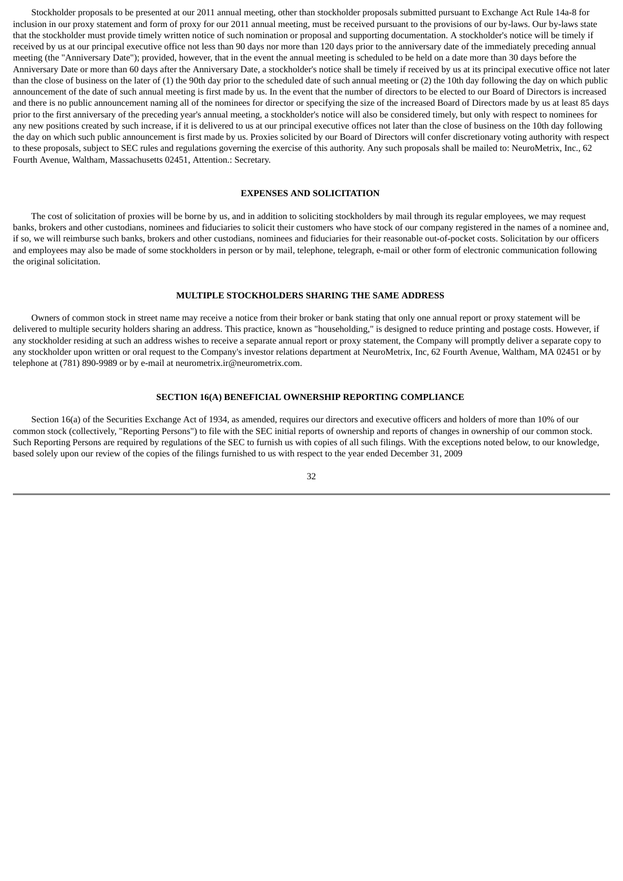Stockholder proposals to be presented at our 2011 annual meeting, other than stockholder proposals submitted pursuant to Exchange Act Rule 14a-8 for inclusion in our proxy statement and form of proxy for our 2011 annual meeting, must be received pursuant to the provisions of our by-laws. Our by-laws state that the stockholder must provide timely written notice of such nomination or proposal and supporting documentation. A stockholder's notice will be timely if received by us at our principal executive office not less than 90 days nor more than 120 days prior to the anniversary date of the immediately preceding annual meeting (the "Anniversary Date"); provided, however, that in the event the annual meeting is scheduled to be held on a date more than 30 days before the Anniversary Date or more than 60 days after the Anniversary Date, a stockholder's notice shall be timely if received by us at its principal executive office not later than the close of business on the later of (1) the 90th day prior to the scheduled date of such annual meeting or (2) the 10th day following the day on which public announcement of the date of such annual meeting is first made by us. In the event that the number of directors to be elected to our Board of Directors is increased and there is no public announcement naming all of the nominees for director or specifying the size of the increased Board of Directors made by us at least 85 days prior to the first anniversary of the preceding year's annual meeting, a stockholder's notice will also be considered timely, but only with respect to nominees for any new positions created by such increase, if it is delivered to us at our principal executive offices not later than the close of business on the 10th day following the day on which such public announcement is first made by us. Proxies solicited by our Board of Directors will confer discretionary voting authority with respect to these proposals, subject to SEC rules and regulations governing the exercise of this authority. Any such proposals shall be mailed to: NeuroMetrix, Inc., 62 Fourth Avenue, Waltham, Massachusetts 02451, Attention.: Secretary.

# **EXPENSES AND SOLICITATION**

<span id="page-34-0"></span> The cost of solicitation of proxies will be borne by us, and in addition to soliciting stockholders by mail through its regular employees, we may request banks, brokers and other custodians, nominees and fiduciaries to solicit their customers who have stock of our company registered in the names of a nominee and, if so, we will reimburse such banks, brokers and other custodians, nominees and fiduciaries for their reasonable out-of-pocket costs. Solicitation by our officers and employees may also be made of some stockholders in person or by mail, telephone, telegraph, e-mail or other form of electronic communication following the original solicitation.

# **MULTIPLE STOCKHOLDERS SHARING THE SAME ADDRESS**

<span id="page-34-1"></span> Owners of common stock in street name may receive a notice from their broker or bank stating that only one annual report or proxy statement will be delivered to multiple security holders sharing an address. This practice, known as "householding," is designed to reduce printing and postage costs. However, if any stockholder residing at such an address wishes to receive a separate annual report or proxy statement, the Company will promptly deliver a separate copy to any stockholder upon written or oral request to the Company's investor relations department at NeuroMetrix, Inc, 62 Fourth Avenue, Waltham, MA 02451 or by telephone at (781) 890-9989 or by e-mail at neurometrix.ir@neurometrix.com.

# **SECTION 16(A) BENEFICIAL OWNERSHIP REPORTING COMPLIANCE**

<span id="page-34-2"></span> Section 16(a) of the Securities Exchange Act of 1934, as amended, requires our directors and executive officers and holders of more than 10% of our common stock (collectively, "Reporting Persons") to file with the SEC initial reports of ownership and reports of changes in ownership of our common stock. Such Reporting Persons are required by regulations of the SEC to furnish us with copies of all such filings. With the exceptions noted below, to our knowledge, based solely upon our review of the copies of the filings furnished to us with respect to the year ended December 31, 2009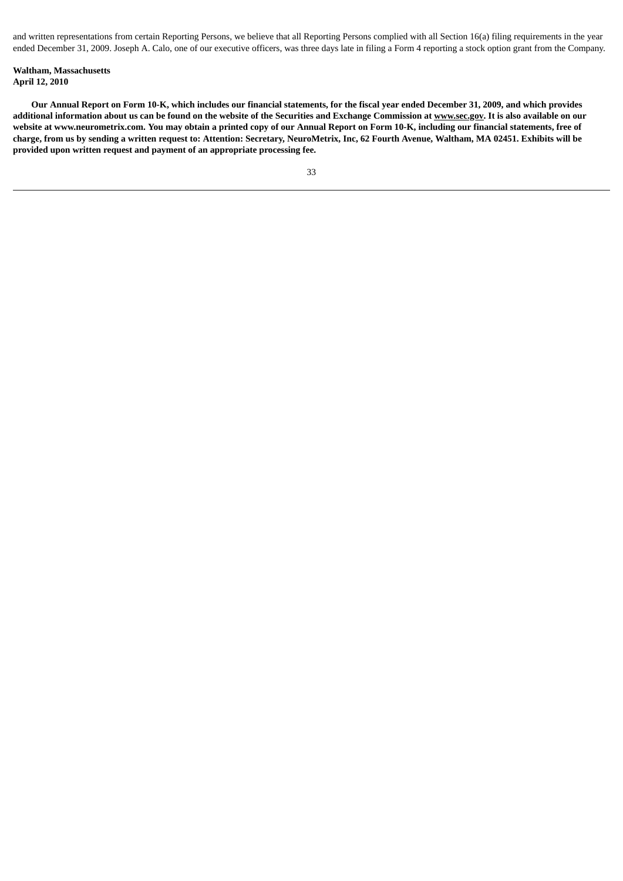and written representations from certain Reporting Persons, we believe that all Reporting Persons complied with all Section 16(a) filing requirements in the year ended December 31, 2009. Joseph A. Calo, one of our executive officers, was three days late in filing a Form 4 reporting a stock option grant from the Company.

# **Waltham, Massachusetts April 12, 2010**

 **Our Annual Report on Form 10-K, which includes our financial statements, for the fiscal year ended December 31, 2009, and which provides additional information about us can be found on the website of the Securities and Exchange Commission at www.sec.gov. It is also available on our website at www.neurometrix.com. You may obtain a printed copy of our Annual Report on Form 10-K, including our financial statements, free of charge, from us by sending a written request to: Attention: Secretary, NeuroMetrix, Inc, 62 Fourth Avenue, Waltham, MA 02451. Exhibits will be provided upon written request and payment of an appropriate processing fee.**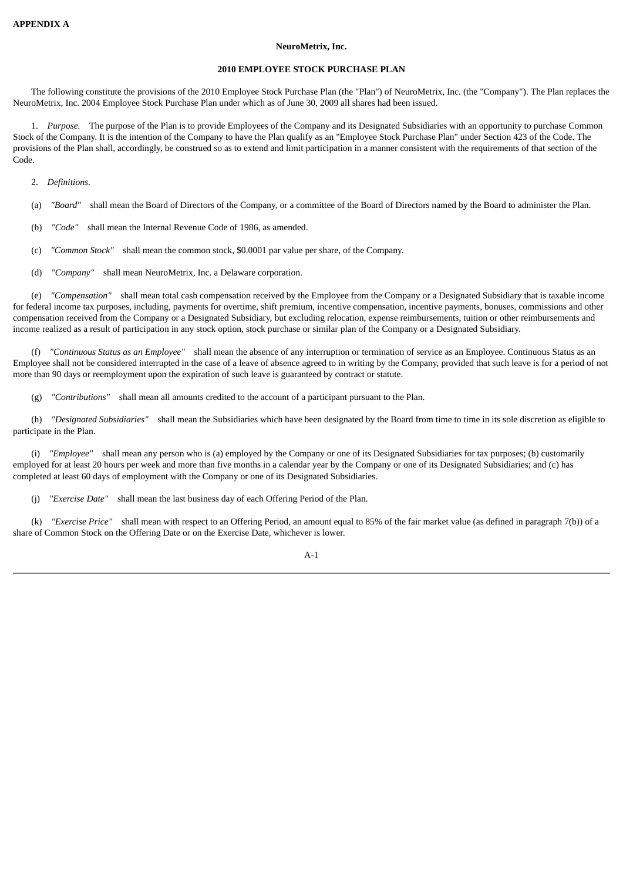# **NeuroMetrix, Inc.**

# **2010 EMPLOYEE STOCK PURCHASE PLAN**

<span id="page-36-0"></span> The following constitute the provisions of the 2010 Employee Stock Purchase Plan (the "Plan") of NeuroMetrix, Inc. (the "Company"). The Plan replaces the NeuroMetrix, Inc. 2004 Employee Stock Purchase Plan under which as of June 30, 2009 all shares had been issued.

 1. *Purpose.* The purpose of the Plan is to provide Employees of the Company and its Designated Subsidiaries with an opportunity to purchase Common Stock of the Company. It is the intention of the Company to have the Plan qualify as an "Employee Stock Purchase Plan" under Section 423 of the Code. The provisions of the Plan shall, accordingly, be construed so as to extend and limit participation in a manner consistent with the requirements of that section of the Code.

2. *Definitions.*

- (a) *"Board"* shall mean the Board of Directors of the Company, or a committee of the Board of Directors named by the Board to administer the Plan.
- (b) *"Code"* shall mean the Internal Revenue Code of 1986, as amended.
- (c) *"Common Stock"* shall mean the common stock, \$0.0001 par value per share, of the Company.
- (d) *"Company"* shall mean NeuroMetrix, Inc. a Delaware corporation.

 (e) *"Compensation"* shall mean total cash compensation received by the Employee from the Company or a Designated Subsidiary that is taxable income for federal income tax purposes, including, payments for overtime, shift premium, incentive compensation, incentive payments, bonuses, commissions and other compensation received from the Company or a Designated Subsidiary, but excluding relocation, expense reimbursements, tuition or other reimbursements and income realized as a result of participation in any stock option, stock purchase or similar plan of the Company or a Designated Subsidiary.

 (f) *"Continuous Status as an Employee"* shall mean the absence of any interruption or termination of service as an Employee. Continuous Status as an Employee shall not be considered interrupted in the case of a leave of absence agreed to in writing by the Company, provided that such leave is for a period of not more than 90 days or reemployment upon the expiration of such leave is guaranteed by contract or statute.

(g) *"Contributions"* shall mean all amounts credited to the account of a participant pursuant to the Plan.

 (h) *"Designated Subsidiaries"* shall mean the Subsidiaries which have been designated by the Board from time to time in its sole discretion as eligible to participate in the Plan.

 (i) *"Employee"* shall mean any person who is (a) employed by the Company or one of its Designated Subsidiaries for tax purposes; (b) customarily employed for at least 20 hours per week and more than five months in a calendar year by the Company or one of its Designated Subsidiaries; and (c) has completed at least 60 days of employment with the Company or one of its Designated Subsidiaries.

(j) *"Exercise Date"* shall mean the last business day of each Offering Period of the Plan.

 (k) *"Exercise Price"* shall mean with respect to an Offering Period, an amount equal to 85% of the fair market value (as defined in paragraph 7(b)) of a share of Common Stock on the Offering Date or on the Exercise Date, whichever is lower.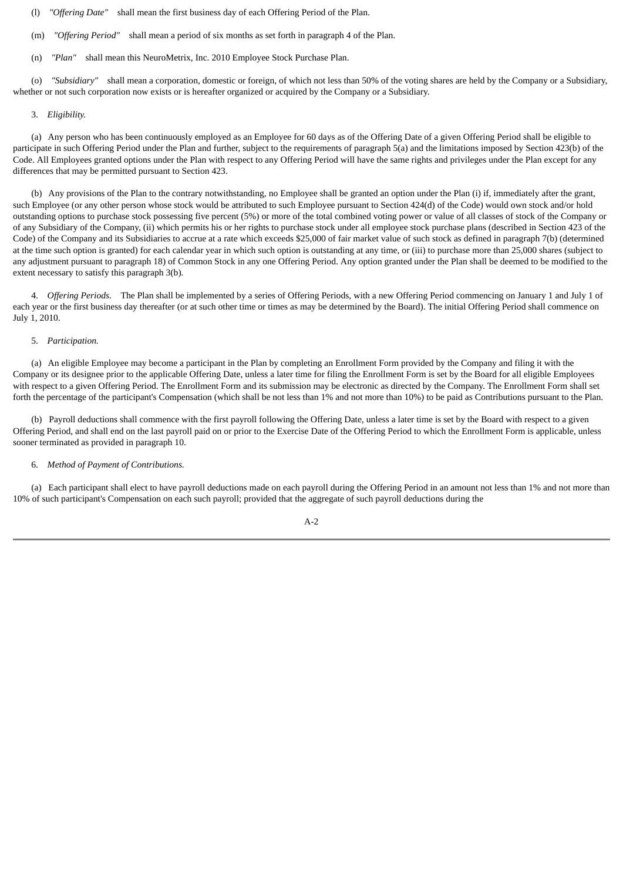(l) *"Offering Date"* shall mean the first business day of each Offering Period of the Plan.

(m) *"Offering Period"* shall mean a period of six months as set forth in paragraph 4 of the Plan.

(n) *"Plan"* shall mean this NeuroMetrix, Inc. 2010 Employee Stock Purchase Plan.

 (o) *"Subsidiary"* shall mean a corporation, domestic or foreign, of which not less than 50% of the voting shares are held by the Company or a Subsidiary, whether or not such corporation now exists or is hereafter organized or acquired by the Company or a Subsidiary.

#### 3. *Eligibility.*

 (a) Any person who has been continuously employed as an Employee for 60 days as of the Offering Date of a given Offering Period shall be eligible to participate in such Offering Period under the Plan and further, subject to the requirements of paragraph 5(a) and the limitations imposed by Section 423(b) of the Code. All Employees granted options under the Plan with respect to any Offering Period will have the same rights and privileges under the Plan except for any differences that may be permitted pursuant to Section 423.

 (b) Any provisions of the Plan to the contrary notwithstanding, no Employee shall be granted an option under the Plan (i) if, immediately after the grant, such Employee (or any other person whose stock would be attributed to such Employee pursuant to Section 424(d) of the Code) would own stock and/or hold outstanding options to purchase stock possessing five percent (5%) or more of the total combined voting power or value of all classes of stock of the Company or of any Subsidiary of the Company, (ii) which permits his or her rights to purchase stock under all employee stock purchase plans (described in Section 423 of the Code) of the Company and its Subsidiaries to accrue at a rate which exceeds \$25,000 of fair market value of such stock as defined in paragraph 7(b) (determined at the time such option is granted) for each calendar year in which such option is outstanding at any time, or (iii) to purchase more than 25,000 shares (subject to any adjustment pursuant to paragraph 18) of Common Stock in any one Offering Period. Any option granted under the Plan shall be deemed to be modified to the extent necessary to satisfy this paragraph 3(b).

 4. *Offering Periods.* The Plan shall be implemented by a series of Offering Periods, with a new Offering Period commencing on January 1 and July 1 of each year or the first business day thereafter (or at such other time or times as may be determined by the Board). The initial Offering Period shall commence on July 1, 2010.

# 5. *Participation.*

 (a) An eligible Employee may become a participant in the Plan by completing an Enrollment Form provided by the Company and filing it with the Company or its designee prior to the applicable Offering Date, unless a later time for filing the Enrollment Form is set by the Board for all eligible Employees with respect to a given Offering Period. The Enrollment Form and its submission may be electronic as directed by the Company. The Enrollment Form shall set forth the percentage of the participant's Compensation (which shall be not less than 1% and not more than 10%) to be paid as Contributions pursuant to the Plan.

 (b) Payroll deductions shall commence with the first payroll following the Offering Date, unless a later time is set by the Board with respect to a given Offering Period, and shall end on the last payroll paid on or prior to the Exercise Date of the Offering Period to which the Enrollment Form is applicable, unless sooner terminated as provided in paragraph 10.

### 6. *Method of Payment of Contributions.*

 (a) Each participant shall elect to have payroll deductions made on each payroll during the Offering Period in an amount not less than 1% and not more than 10% of such participant's Compensation on each such payroll; provided that the aggregate of such payroll deductions during the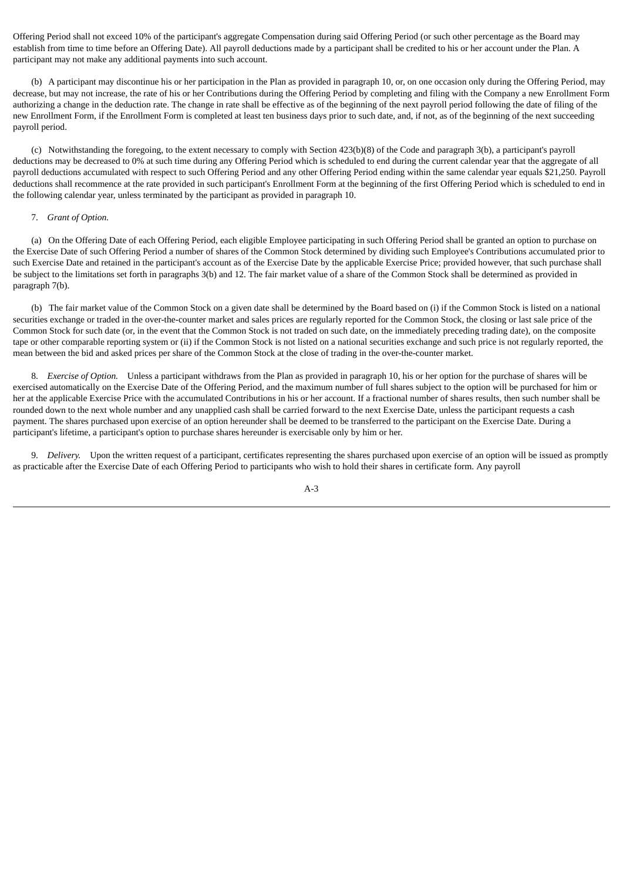Offering Period shall not exceed 10% of the participant's aggregate Compensation during said Offering Period (or such other percentage as the Board may establish from time to time before an Offering Date). All payroll deductions made by a participant shall be credited to his or her account under the Plan. A participant may not make any additional payments into such account.

 (b) A participant may discontinue his or her participation in the Plan as provided in paragraph 10, or, on one occasion only during the Offering Period, may decrease, but may not increase, the rate of his or her Contributions during the Offering Period by completing and filing with the Company a new Enrollment Form authorizing a change in the deduction rate. The change in rate shall be effective as of the beginning of the next payroll period following the date of filing of the new Enrollment Form, if the Enrollment Form is completed at least ten business days prior to such date, and, if not, as of the beginning of the next succeeding payroll period.

 (c) Notwithstanding the foregoing, to the extent necessary to comply with Section 423(b)(8) of the Code and paragraph 3(b), a participant's payroll deductions may be decreased to 0% at such time during any Offering Period which is scheduled to end during the current calendar year that the aggregate of all payroll deductions accumulated with respect to such Offering Period and any other Offering Period ending within the same calendar year equals \$21,250. Payroll deductions shall recommence at the rate provided in such participant's Enrollment Form at the beginning of the first Offering Period which is scheduled to end in the following calendar year, unless terminated by the participant as provided in paragraph 10.

#### 7. *Grant of Option.*

 (a) On the Offering Date of each Offering Period, each eligible Employee participating in such Offering Period shall be granted an option to purchase on the Exercise Date of such Offering Period a number of shares of the Common Stock determined by dividing such Employee's Contributions accumulated prior to such Exercise Date and retained in the participant's account as of the Exercise Date by the applicable Exercise Price; provided however, that such purchase shall be subject to the limitations set forth in paragraphs 3(b) and 12. The fair market value of a share of the Common Stock shall be determined as provided in paragraph 7(b).

 (b) The fair market value of the Common Stock on a given date shall be determined by the Board based on (i) if the Common Stock is listed on a national securities exchange or traded in the over-the-counter market and sales prices are regularly reported for the Common Stock, the closing or last sale price of the Common Stock for such date (or, in the event that the Common Stock is not traded on such date, on the immediately preceding trading date), on the composite tape or other comparable reporting system or (ii) if the Common Stock is not listed on a national securities exchange and such price is not regularly reported, the mean between the bid and asked prices per share of the Common Stock at the close of trading in the over-the-counter market.

 8. *Exercise of Option.* Unless a participant withdraws from the Plan as provided in paragraph 10, his or her option for the purchase of shares will be exercised automatically on the Exercise Date of the Offering Period, and the maximum number of full shares subject to the option will be purchased for him or her at the applicable Exercise Price with the accumulated Contributions in his or her account. If a fractional number of shares results, then such number shall be rounded down to the next whole number and any unapplied cash shall be carried forward to the next Exercise Date, unless the participant requests a cash payment. The shares purchased upon exercise of an option hereunder shall be deemed to be transferred to the participant on the Exercise Date. During a participant's lifetime, a participant's option to purchase shares hereunder is exercisable only by him or her.

 9. *Delivery.* Upon the written request of a participant, certificates representing the shares purchased upon exercise of an option will be issued as promptly as practicable after the Exercise Date of each Offering Period to participants who wish to hold their shares in certificate form. Any payroll

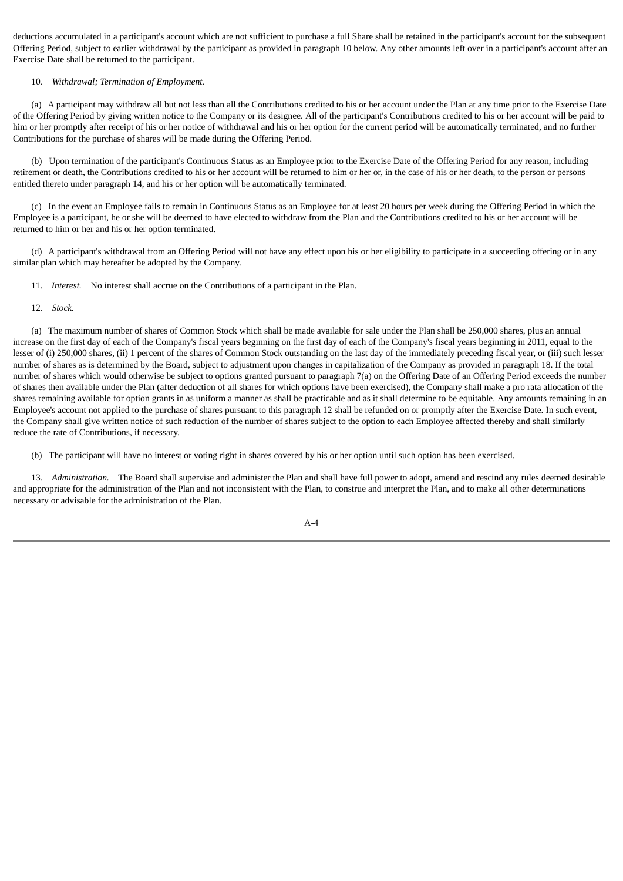deductions accumulated in a participant's account which are not sufficient to purchase a full Share shall be retained in the participant's account for the subsequent Offering Period, subject to earlier withdrawal by the participant as provided in paragraph 10 below. Any other amounts left over in a participant's account after an Exercise Date shall be returned to the participant.

# 10. *Withdrawal; Termination of Employment.*

 (a) A participant may withdraw all but not less than all the Contributions credited to his or her account under the Plan at any time prior to the Exercise Date of the Offering Period by giving written notice to the Company or its designee. All of the participant's Contributions credited to his or her account will be paid to him or her promptly after receipt of his or her notice of withdrawal and his or her option for the current period will be automatically terminated, and no further Contributions for the purchase of shares will be made during the Offering Period.

 (b) Upon termination of the participant's Continuous Status as an Employee prior to the Exercise Date of the Offering Period for any reason, including retirement or death, the Contributions credited to his or her account will be returned to him or her or, in the case of his or her death, to the person or persons entitled thereto under paragraph 14, and his or her option will be automatically terminated.

 (c) In the event an Employee fails to remain in Continuous Status as an Employee for at least 20 hours per week during the Offering Period in which the Employee is a participant, he or she will be deemed to have elected to withdraw from the Plan and the Contributions credited to his or her account will be returned to him or her and his or her option terminated.

 (d) A participant's withdrawal from an Offering Period will not have any effect upon his or her eligibility to participate in a succeeding offering or in any similar plan which may hereafter be adopted by the Company.

11. *Interest.* No interest shall accrue on the Contributions of a participant in the Plan.

12. *Stock.*

 (a) The maximum number of shares of Common Stock which shall be made available for sale under the Plan shall be 250,000 shares, plus an annual increase on the first day of each of the Company's fiscal years beginning on the first day of each of the Company's fiscal years beginning in 2011, equal to the lesser of (i) 250,000 shares, (ii) 1 percent of the shares of Common Stock outstanding on the last day of the immediately preceding fiscal year, or (iii) such lesser number of shares as is determined by the Board, subject to adjustment upon changes in capitalization of the Company as provided in paragraph 18. If the total number of shares which would otherwise be subject to options granted pursuant to paragraph 7(a) on the Offering Date of an Offering Period exceeds the number of shares then available under the Plan (after deduction of all shares for which options have been exercised), the Company shall make a pro rata allocation of the shares remaining available for option grants in as uniform a manner as shall be practicable and as it shall determine to be equitable. Any amounts remaining in an Employee's account not applied to the purchase of shares pursuant to this paragraph 12 shall be refunded on or promptly after the Exercise Date. In such event, the Company shall give written notice of such reduction of the number of shares subject to the option to each Employee affected thereby and shall similarly reduce the rate of Contributions, if necessary.

(b) The participant will have no interest or voting right in shares covered by his or her option until such option has been exercised.

 13. *Administration.* The Board shall supervise and administer the Plan and shall have full power to adopt, amend and rescind any rules deemed desirable and appropriate for the administration of the Plan and not inconsistent with the Plan, to construe and interpret the Plan, and to make all other determinations necessary or advisable for the administration of the Plan.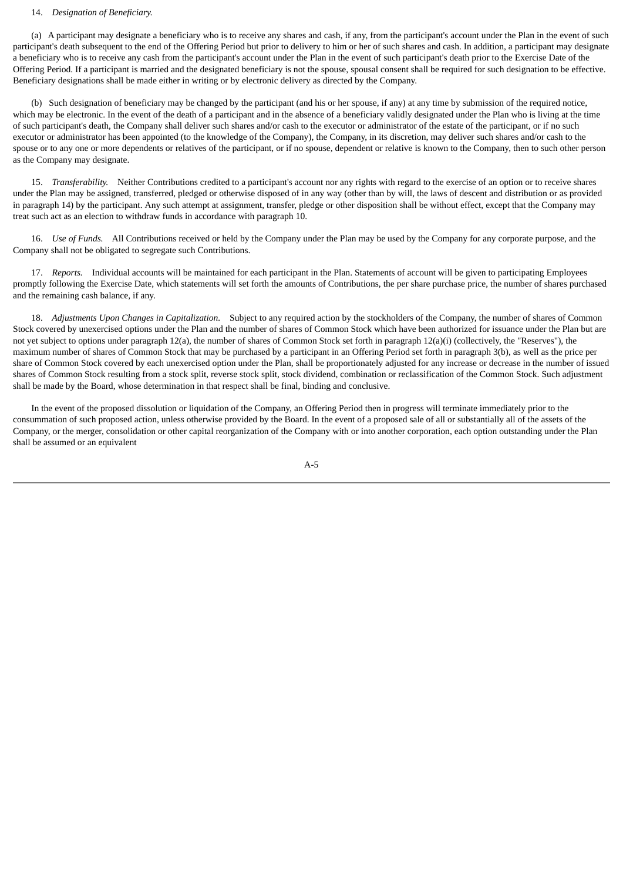# 14. *Designation of Beneficiary.*

 (a) A participant may designate a beneficiary who is to receive any shares and cash, if any, from the participant's account under the Plan in the event of such participant's death subsequent to the end of the Offering Period but prior to delivery to him or her of such shares and cash. In addition, a participant may designate a beneficiary who is to receive any cash from the participant's account under the Plan in the event of such participant's death prior to the Exercise Date of the Offering Period. If a participant is married and the designated beneficiary is not the spouse, spousal consent shall be required for such designation to be effective. Beneficiary designations shall be made either in writing or by electronic delivery as directed by the Company.

 (b) Such designation of beneficiary may be changed by the participant (and his or her spouse, if any) at any time by submission of the required notice, which may be electronic. In the event of the death of a participant and in the absence of a beneficiary validly designated under the Plan who is living at the time of such participant's death, the Company shall deliver such shares and/or cash to the executor or administrator of the estate of the participant, or if no such executor or administrator has been appointed (to the knowledge of the Company), the Company, in its discretion, may deliver such shares and/or cash to the spouse or to any one or more dependents or relatives of the participant, or if no spouse, dependent or relative is known to the Company, then to such other person as the Company may designate.

 15. *Transferability.* Neither Contributions credited to a participant's account nor any rights with regard to the exercise of an option or to receive shares under the Plan may be assigned, transferred, pledged or otherwise disposed of in any way (other than by will, the laws of descent and distribution or as provided in paragraph 14) by the participant. Any such attempt at assignment, transfer, pledge or other disposition shall be without effect, except that the Company may treat such act as an election to withdraw funds in accordance with paragraph 10.

 16. *Use of Funds.* All Contributions received or held by the Company under the Plan may be used by the Company for any corporate purpose, and the Company shall not be obligated to segregate such Contributions.

 17. *Reports.* Individual accounts will be maintained for each participant in the Plan. Statements of account will be given to participating Employees promptly following the Exercise Date, which statements will set forth the amounts of Contributions, the per share purchase price, the number of shares purchased and the remaining cash balance, if any.

 18. *Adjustments Upon Changes in Capitalization.* Subject to any required action by the stockholders of the Company, the number of shares of Common Stock covered by unexercised options under the Plan and the number of shares of Common Stock which have been authorized for issuance under the Plan but are not yet subject to options under paragraph 12(a), the number of shares of Common Stock set forth in paragraph  $12(a)(i)$  (collectively, the "Reserves"), the maximum number of shares of Common Stock that may be purchased by a participant in an Offering Period set forth in paragraph 3(b), as well as the price per share of Common Stock covered by each unexercised option under the Plan, shall be proportionately adjusted for any increase or decrease in the number of issued shares of Common Stock resulting from a stock split, reverse stock split, stock dividend, combination or reclassification of the Common Stock. Such adjustment shall be made by the Board, whose determination in that respect shall be final, binding and conclusive.

 In the event of the proposed dissolution or liquidation of the Company, an Offering Period then in progress will terminate immediately prior to the consummation of such proposed action, unless otherwise provided by the Board. In the event of a proposed sale of all or substantially all of the assets of the Company, or the merger, consolidation or other capital reorganization of the Company with or into another corporation, each option outstanding under the Plan shall be assumed or an equivalent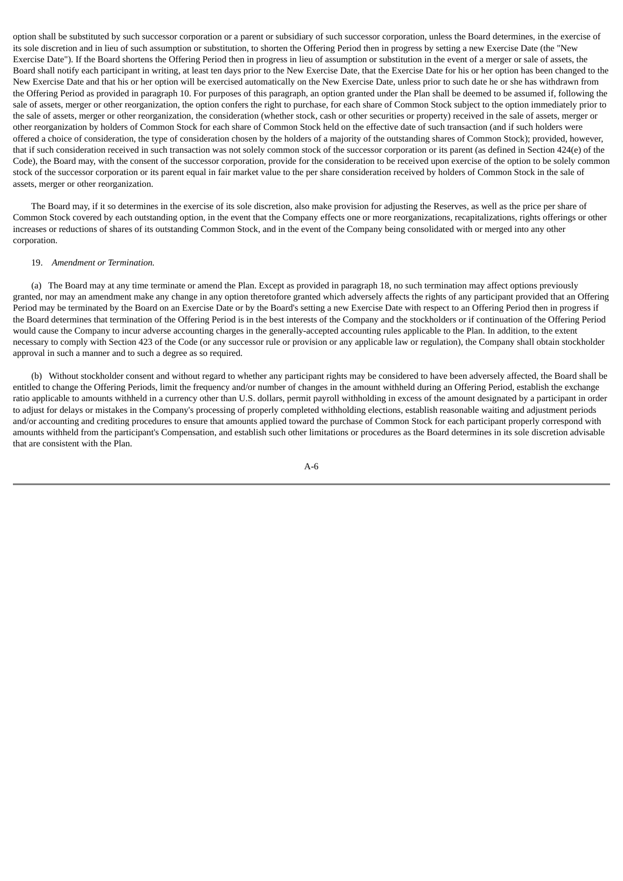option shall be substituted by such successor corporation or a parent or subsidiary of such successor corporation, unless the Board determines, in the exercise of its sole discretion and in lieu of such assumption or substitution, to shorten the Offering Period then in progress by setting a new Exercise Date (the "New Exercise Date"). If the Board shortens the Offering Period then in progress in lieu of assumption or substitution in the event of a merger or sale of assets, the Board shall notify each participant in writing, at least ten days prior to the New Exercise Date, that the Exercise Date for his or her option has been changed to the New Exercise Date and that his or her option will be exercised automatically on the New Exercise Date, unless prior to such date he or she has withdrawn from the Offering Period as provided in paragraph 10. For purposes of this paragraph, an option granted under the Plan shall be deemed to be assumed if, following the sale of assets, merger or other reorganization, the option confers the right to purchase, for each share of Common Stock subject to the option immediately prior to the sale of assets, merger or other reorganization, the consideration (whether stock, cash or other securities or property) received in the sale of assets, merger or other reorganization by holders of Common Stock for each share of Common Stock held on the effective date of such transaction (and if such holders were offered a choice of consideration, the type of consideration chosen by the holders of a majority of the outstanding shares of Common Stock); provided, however, that if such consideration received in such transaction was not solely common stock of the successor corporation or its parent (as defined in Section 424(e) of the Code), the Board may, with the consent of the successor corporation, provide for the consideration to be received upon exercise of the option to be solely common stock of the successor corporation or its parent equal in fair market value to the per share consideration received by holders of Common Stock in the sale of assets, merger or other reorganization.

 The Board may, if it so determines in the exercise of its sole discretion, also make provision for adjusting the Reserves, as well as the price per share of Common Stock covered by each outstanding option, in the event that the Company effects one or more reorganizations, recapitalizations, rights offerings or other increases or reductions of shares of its outstanding Common Stock, and in the event of the Company being consolidated with or merged into any other corporation.

#### 19. *Amendment or Termination.*

 (a) The Board may at any time terminate or amend the Plan. Except as provided in paragraph 18, no such termination may affect options previously granted, nor may an amendment make any change in any option theretofore granted which adversely affects the rights of any participant provided that an Offering Period may be terminated by the Board on an Exercise Date or by the Board's setting a new Exercise Date with respect to an Offering Period then in progress if the Board determines that termination of the Offering Period is in the best interests of the Company and the stockholders or if continuation of the Offering Period would cause the Company to incur adverse accounting charges in the generally-accepted accounting rules applicable to the Plan. In addition, to the extent necessary to comply with Section 423 of the Code (or any successor rule or provision or any applicable law or regulation), the Company shall obtain stockholder approval in such a manner and to such a degree as so required.

 (b) Without stockholder consent and without regard to whether any participant rights may be considered to have been adversely affected, the Board shall be entitled to change the Offering Periods, limit the frequency and/or number of changes in the amount withheld during an Offering Period, establish the exchange ratio applicable to amounts withheld in a currency other than U.S. dollars, permit payroll withholding in excess of the amount designated by a participant in order to adjust for delays or mistakes in the Company's processing of properly completed withholding elections, establish reasonable waiting and adjustment periods and/or accounting and crediting procedures to ensure that amounts applied toward the purchase of Common Stock for each participant properly correspond with amounts withheld from the participant's Compensation, and establish such other limitations or procedures as the Board determines in its sole discretion advisable that are consistent with the Plan.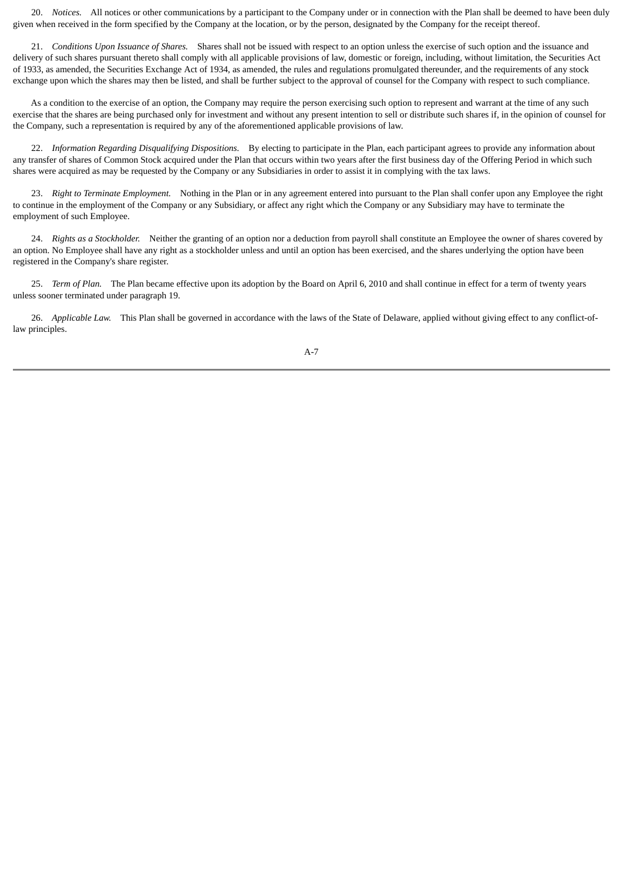20. *Notices.* All notices or other communications by a participant to the Company under or in connection with the Plan shall be deemed to have been duly given when received in the form specified by the Company at the location, or by the person, designated by the Company for the receipt thereof.

 21. *Conditions Upon Issuance of Shares.* Shares shall not be issued with respect to an option unless the exercise of such option and the issuance and delivery of such shares pursuant thereto shall comply with all applicable provisions of law, domestic or foreign, including, without limitation, the Securities Act of 1933, as amended, the Securities Exchange Act of 1934, as amended, the rules and regulations promulgated thereunder, and the requirements of any stock exchange upon which the shares may then be listed, and shall be further subject to the approval of counsel for the Company with respect to such compliance.

 As a condition to the exercise of an option, the Company may require the person exercising such option to represent and warrant at the time of any such exercise that the shares are being purchased only for investment and without any present intention to sell or distribute such shares if, in the opinion of counsel for the Company, such a representation is required by any of the aforementioned applicable provisions of law.

 22. *Information Regarding Disqualifying Dispositions.* By electing to participate in the Plan, each participant agrees to provide any information about any transfer of shares of Common Stock acquired under the Plan that occurs within two years after the first business day of the Offering Period in which such shares were acquired as may be requested by the Company or any Subsidiaries in order to assist it in complying with the tax laws.

 23. *Right to Terminate Employment.* Nothing in the Plan or in any agreement entered into pursuant to the Plan shall confer upon any Employee the right to continue in the employment of the Company or any Subsidiary, or affect any right which the Company or any Subsidiary may have to terminate the employment of such Employee.

 24. *Rights as a Stockholder.* Neither the granting of an option nor a deduction from payroll shall constitute an Employee the owner of shares covered by an option. No Employee shall have any right as a stockholder unless and until an option has been exercised, and the shares underlying the option have been registered in the Company's share register.

 25. *Term of Plan.* The Plan became effective upon its adoption by the Board on April 6, 2010 and shall continue in effect for a term of twenty years unless sooner terminated under paragraph 19.

 26. *Applicable Law.* This Plan shall be governed in accordance with the laws of the State of Delaware, applied without giving effect to any conflict-oflaw principles.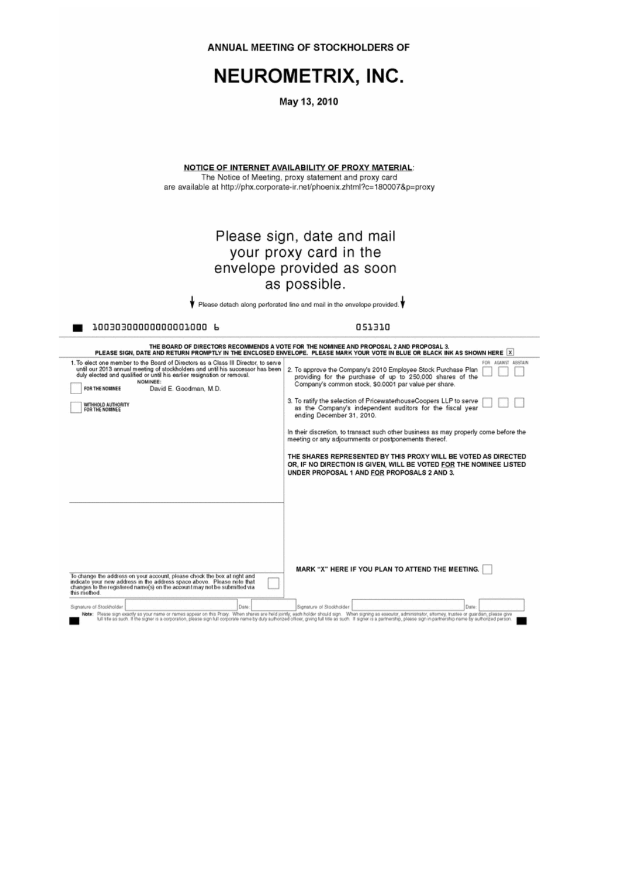|                                                                                                                                                                                                                                                                                                                                                   | ANNUAL MEETING OF STOCKHOLDERS OF                                                                                                                                                                                                                                                                                                                                                                                                                                                                                                                                                                                                                                                                                                                                                                                                                                                                                                          |
|---------------------------------------------------------------------------------------------------------------------------------------------------------------------------------------------------------------------------------------------------------------------------------------------------------------------------------------------------|--------------------------------------------------------------------------------------------------------------------------------------------------------------------------------------------------------------------------------------------------------------------------------------------------------------------------------------------------------------------------------------------------------------------------------------------------------------------------------------------------------------------------------------------------------------------------------------------------------------------------------------------------------------------------------------------------------------------------------------------------------------------------------------------------------------------------------------------------------------------------------------------------------------------------------------------|
|                                                                                                                                                                                                                                                                                                                                                   | <b>NEUROMETRIX, INC.</b>                                                                                                                                                                                                                                                                                                                                                                                                                                                                                                                                                                                                                                                                                                                                                                                                                                                                                                                   |
|                                                                                                                                                                                                                                                                                                                                                   | May 13, 2010                                                                                                                                                                                                                                                                                                                                                                                                                                                                                                                                                                                                                                                                                                                                                                                                                                                                                                                               |
|                                                                                                                                                                                                                                                                                                                                                   | <b>NOTICE OF INTERNET AVAILABILITY OF PROXY MATERIAL:</b><br>The Notice of Meeting, proxy statement and proxy card<br>are available at http://phx.corporate-ir.net/phoenix.zhtml?c=180007&p=proxy                                                                                                                                                                                                                                                                                                                                                                                                                                                                                                                                                                                                                                                                                                                                          |
|                                                                                                                                                                                                                                                                                                                                                   | Please sign, date and mail<br>your proxy card in the<br>envelope provided as soon<br>as possible.<br>Please detach along perforated line and mail in the envelope provided.                                                                                                                                                                                                                                                                                                                                                                                                                                                                                                                                                                                                                                                                                                                                                                |
| 10030300000000001000 b                                                                                                                                                                                                                                                                                                                            | 051310                                                                                                                                                                                                                                                                                                                                                                                                                                                                                                                                                                                                                                                                                                                                                                                                                                                                                                                                     |
| 1. To elect one member to the Board of Directors as a Class III Director, to serve<br>until our 2013 annual meeting of stockholders and until his successor has been<br>duly elected and qualified or until his earlier resignation or removal.<br>NOMINEE:<br>FOR THE NOMINEE<br>David E. Goodman, M.D.<br>WITHHOLD AUTHORITY<br>FOR THE NOMINEE | THE BOARD OF DIRECTORS RECOMMENDS A VOTE FOR THE NOMINEE AND PROPOSAL 2 AND PROPOSAL 3.<br>PLEASE SIGN, DATE AND RETURN PROMPTLY IN THE ENCLOSED ENVELOPE. PLEASE MARK YOUR VOTE IN BLUE OR BLACK INK AS SHOWN HERE X<br>FOR AGAINST ABSTAIN<br>2. To approve the Company's 2010 Employee Stock Purchase Plan<br>providing for the purchase of up to 250,000 shares of the<br>Company's common stock, \$0,0001 par value per share.<br>3. To ratify the selection of PricewaterhouseCoopers LLP to serve<br>as the Company's independent auditors for the fiscal year<br>ending December 31, 2010.<br>In their discretion, to transact such other business as may properly come before the<br>meeting or any adjournments or postponements thereof.<br>THE SHARES REPRESENTED BY THIS PROXY WILL BE VOTED AS DIRECTED<br>OR, IF NO DIRECTION IS GIVEN, WILL BE VOTED FOR THE NOMINEE LISTED<br>UNDER PROPOSAL 1 AND FOR PROPOSALS 2 AND 3. |
| To change the address on your account, please check the box at right and<br>indicate your new address in the address space above. Please note that<br>changes to the registered name(s) on the account may not be submitted via<br>this method.<br>Signature of Stockholder.<br>Date:                                                             | MARK "X" HERE IF YOU PLAN TO ATTEND THE MEETING.<br>Signature of Stockholder<br>Date<br>Note: Please sign exactly as your name or names appear on this Proxy. When shares are held jointly, each holder should sign. When signing as executor, administrator, attorney, trustee or guardian, please give                                                                                                                                                                                                                                                                                                                                                                                                                                                                                                                                                                                                                                   |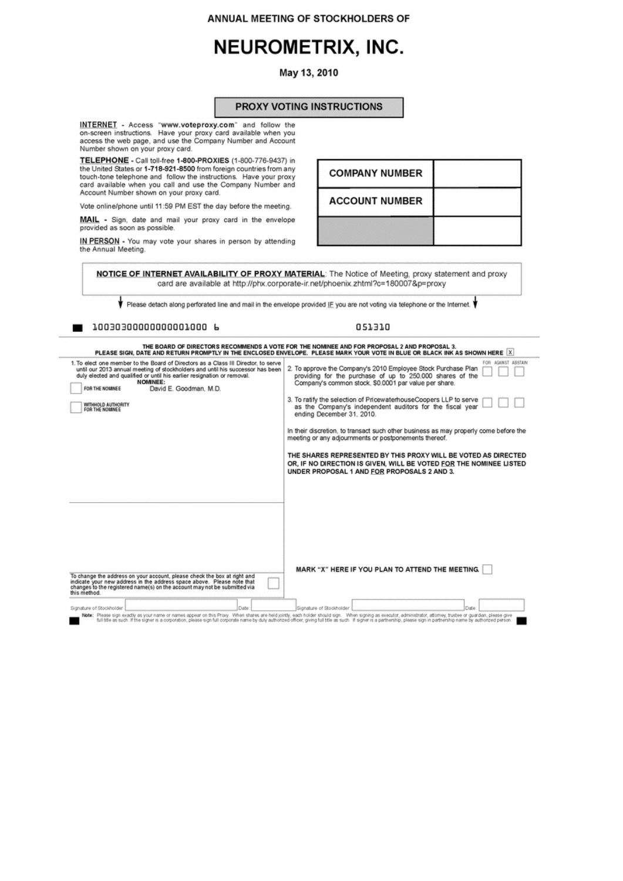ANNUAL MEETING OF STOCKHOLDERS OF

# NEUROMETRIX, INC.

May 13, 2010

| INTERNET - Access "www.voteproxy.com" and follow the<br>on-screen instructions. Have your proxy card available when you<br>access the web page, and use the Company Number and Account<br>TELEPHONE - Call toll-free 1-800-PROXIES (1-800-776-9437) in<br>the United States or 1-718-921-8500 from foreign countries from any<br>touch-tone telephone and follow the instructions. Have your proxy<br>card available when you call and use the Company Number and<br>Vote online/phone until 11:59 PM EST the day before the meeting.<br><b>MAIL</b> - Sign, date and mail your proxy card in the envelope<br>IN PERSON - You may vote your shares in person by attending | <b>COMPANY NUMBER</b><br><b>ACCOUNT NUMBER</b><br>card are available at http://phx.corporate-ir.net/phoenix.zhtml?c=180007&p=proxy<br>Please detach along perforated line and mail in the envelope provided IF you are not voting via telephone or the Internet.<br>051310<br>THE BOARD OF DIRECTORS RECOMMENDS A VOTE FOR THE NOMINEE AND FOR PROPOSAL 2 AND PROPOSAL 3. |                                                       | NOTICE OF INTERNET AVAILABILITY OF PROXY MATERIAL: The Notice of Meeting, proxy statement and proxy                                                                                                                                                                                                                                                                                                                                                                                                                                                                                                                                                                                                                                                                                                                                                                                                                                                                                                                                                                                                 |
|---------------------------------------------------------------------------------------------------------------------------------------------------------------------------------------------------------------------------------------------------------------------------------------------------------------------------------------------------------------------------------------------------------------------------------------------------------------------------------------------------------------------------------------------------------------------------------------------------------------------------------------------------------------------------|---------------------------------------------------------------------------------------------------------------------------------------------------------------------------------------------------------------------------------------------------------------------------------------------------------------------------------------------------------------------------|-------------------------------------------------------|-----------------------------------------------------------------------------------------------------------------------------------------------------------------------------------------------------------------------------------------------------------------------------------------------------------------------------------------------------------------------------------------------------------------------------------------------------------------------------------------------------------------------------------------------------------------------------------------------------------------------------------------------------------------------------------------------------------------------------------------------------------------------------------------------------------------------------------------------------------------------------------------------------------------------------------------------------------------------------------------------------------------------------------------------------------------------------------------------------|
|                                                                                                                                                                                                                                                                                                                                                                                                                                                                                                                                                                                                                                                                           |                                                                                                                                                                                                                                                                                                                                                                           |                                                       |                                                                                                                                                                                                                                                                                                                                                                                                                                                                                                                                                                                                                                                                                                                                                                                                                                                                                                                                                                                                                                                                                                     |
|                                                                                                                                                                                                                                                                                                                                                                                                                                                                                                                                                                                                                                                                           |                                                                                                                                                                                                                                                                                                                                                                           |                                                       |                                                                                                                                                                                                                                                                                                                                                                                                                                                                                                                                                                                                                                                                                                                                                                                                                                                                                                                                                                                                                                                                                                     |
|                                                                                                                                                                                                                                                                                                                                                                                                                                                                                                                                                                                                                                                                           |                                                                                                                                                                                                                                                                                                                                                                           |                                                       |                                                                                                                                                                                                                                                                                                                                                                                                                                                                                                                                                                                                                                                                                                                                                                                                                                                                                                                                                                                                                                                                                                     |
|                                                                                                                                                                                                                                                                                                                                                                                                                                                                                                                                                                                                                                                                           |                                                                                                                                                                                                                                                                                                                                                                           |                                                       |                                                                                                                                                                                                                                                                                                                                                                                                                                                                                                                                                                                                                                                                                                                                                                                                                                                                                                                                                                                                                                                                                                     |
|                                                                                                                                                                                                                                                                                                                                                                                                                                                                                                                                                                                                                                                                           |                                                                                                                                                                                                                                                                                                                                                                           |                                                       |                                                                                                                                                                                                                                                                                                                                                                                                                                                                                                                                                                                                                                                                                                                                                                                                                                                                                                                                                                                                                                                                                                     |
|                                                                                                                                                                                                                                                                                                                                                                                                                                                                                                                                                                                                                                                                           |                                                                                                                                                                                                                                                                                                                                                                           |                                                       |                                                                                                                                                                                                                                                                                                                                                                                                                                                                                                                                                                                                                                                                                                                                                                                                                                                                                                                                                                                                                                                                                                     |
|                                                                                                                                                                                                                                                                                                                                                                                                                                                                                                                                                                                                                                                                           |                                                                                                                                                                                                                                                                                                                                                                           |                                                       |                                                                                                                                                                                                                                                                                                                                                                                                                                                                                                                                                                                                                                                                                                                                                                                                                                                                                                                                                                                                                                                                                                     |
|                                                                                                                                                                                                                                                                                                                                                                                                                                                                                                                                                                                                                                                                           |                                                                                                                                                                                                                                                                                                                                                                           |                                                       |                                                                                                                                                                                                                                                                                                                                                                                                                                                                                                                                                                                                                                                                                                                                                                                                                                                                                                                                                                                                                                                                                                     |
|                                                                                                                                                                                                                                                                                                                                                                                                                                                                                                                                                                                                                                                                           |                                                                                                                                                                                                                                                                                                                                                                           |                                                       | PLEASE SIGN, DATE AND RETURN PROMPTLY IN THE ENCLOSED ENVELOPE. PLEASE MARK YOUR VOTE IN BLUE OR BLACK INK AS SHOWN HERE [X]                                                                                                                                                                                                                                                                                                                                                                                                                                                                                                                                                                                                                                                                                                                                                                                                                                                                                                                                                                        |
| 1. To elect one member to the Board of Directors as a Class III Director, to serve                                                                                                                                                                                                                                                                                                                                                                                                                                                                                                                                                                                        | 2. To approve the Company's 2010 Employee Stock Purchase Plan                                                                                                                                                                                                                                                                                                             |                                                       | FOR AGAINST ABSTAIN                                                                                                                                                                                                                                                                                                                                                                                                                                                                                                                                                                                                                                                                                                                                                                                                                                                                                                                                                                                                                                                                                 |
|                                                                                                                                                                                                                                                                                                                                                                                                                                                                                                                                                                                                                                                                           |                                                                                                                                                                                                                                                                                                                                                                           |                                                       |                                                                                                                                                                                                                                                                                                                                                                                                                                                                                                                                                                                                                                                                                                                                                                                                                                                                                                                                                                                                                                                                                                     |
|                                                                                                                                                                                                                                                                                                                                                                                                                                                                                                                                                                                                                                                                           |                                                                                                                                                                                                                                                                                                                                                                           |                                                       |                                                                                                                                                                                                                                                                                                                                                                                                                                                                                                                                                                                                                                                                                                                                                                                                                                                                                                                                                                                                                                                                                                     |
|                                                                                                                                                                                                                                                                                                                                                                                                                                                                                                                                                                                                                                                                           |                                                                                                                                                                                                                                                                                                                                                                           |                                                       |                                                                                                                                                                                                                                                                                                                                                                                                                                                                                                                                                                                                                                                                                                                                                                                                                                                                                                                                                                                                                                                                                                     |
|                                                                                                                                                                                                                                                                                                                                                                                                                                                                                                                                                                                                                                                                           |                                                                                                                                                                                                                                                                                                                                                                           |                                                       |                                                                                                                                                                                                                                                                                                                                                                                                                                                                                                                                                                                                                                                                                                                                                                                                                                                                                                                                                                                                                                                                                                     |
|                                                                                                                                                                                                                                                                                                                                                                                                                                                                                                                                                                                                                                                                           |                                                                                                                                                                                                                                                                                                                                                                           |                                                       |                                                                                                                                                                                                                                                                                                                                                                                                                                                                                                                                                                                                                                                                                                                                                                                                                                                                                                                                                                                                                                                                                                     |
|                                                                                                                                                                                                                                                                                                                                                                                                                                                                                                                                                                                                                                                                           |                                                                                                                                                                                                                                                                                                                                                                           |                                                       |                                                                                                                                                                                                                                                                                                                                                                                                                                                                                                                                                                                                                                                                                                                                                                                                                                                                                                                                                                                                                                                                                                     |
|                                                                                                                                                                                                                                                                                                                                                                                                                                                                                                                                                                                                                                                                           |                                                                                                                                                                                                                                                                                                                                                                           |                                                       |                                                                                                                                                                                                                                                                                                                                                                                                                                                                                                                                                                                                                                                                                                                                                                                                                                                                                                                                                                                                                                                                                                     |
|                                                                                                                                                                                                                                                                                                                                                                                                                                                                                                                                                                                                                                                                           |                                                                                                                                                                                                                                                                                                                                                                           |                                                       |                                                                                                                                                                                                                                                                                                                                                                                                                                                                                                                                                                                                                                                                                                                                                                                                                                                                                                                                                                                                                                                                                                     |
|                                                                                                                                                                                                                                                                                                                                                                                                                                                                                                                                                                                                                                                                           |                                                                                                                                                                                                                                                                                                                                                                           |                                                       | Date:                                                                                                                                                                                                                                                                                                                                                                                                                                                                                                                                                                                                                                                                                                                                                                                                                                                                                                                                                                                                                                                                                               |
|                                                                                                                                                                                                                                                                                                                                                                                                                                                                                                                                                                                                                                                                           | until our 2013 annual meeting of stockholders and until his successor has been                                                                                                                                                                                                                                                                                            | ending December 31, 2010.<br>Signature of Stockholder | providing for the purchase of up to 250,000 shares of the<br>Company's common stock, \$0.0001 par value per share.<br>3. To ratify the selection of PricewaterhouseCoopers LLP to serve<br>as the Company's independent auditors for the fiscal year<br>In their discretion, to transact such other business as may properly come before the<br>meeting or any adjournments or postponements thereof.<br>THE SHARES REPRESENTED BY THIS PROXY WILL BE VOTED AS DIRECTED<br>OR, IF NO DIRECTION IS GIVEN, WILL BE VOTED FOR THE NOMINEE LISTED<br>UNDER PROPOSAL 1 AND FOR PROPOSALS 2 AND 3.<br>MARK "X" HERE IF YOU PLAN TO ATTEND THE MEETING.<br>Note: Please sign exactly as your name or names appear on this Proxy. When shares are held jointly, each holder should sign. When signing as executor, administrator, atlomey, trustee or guardian, please give<br>full title as such. If the signer is a corporation, please sign full corporate name by duly authorized officer, giving full title as such. If signer is a partnership, please sign in partnership name by authorized person. |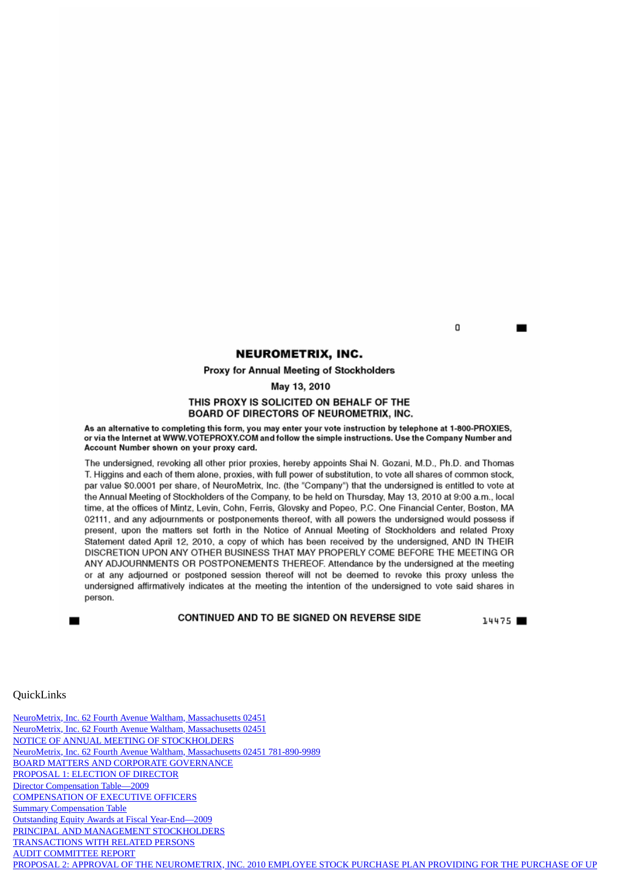# **NEUROMETRIX, INC.**

Proxy for Annual Meeting of Stockholders

May 13, 2010

# THIS PROXY IS SOLICITED ON BEHALF OF THE **BOARD OF DIRECTORS OF NEUROMETRIX, INC.**

As an alternative to completing this form, you may enter your vote instruction by telephone at 1-800-PROXIES, or via the Internet at WWW.VOTEPROXY.COM and follow the simple instructions. Use the Company Number and Account Number shown on your proxy card.

The undersigned, revoking all other prior proxies, hereby appoints Shai N. Gozani, M.D., Ph.D. and Thomas T. Higgins and each of them alone, proxies, with full power of substitution, to vote all shares of common stock, par value \$0.0001 per share, of NeuroMetrix, Inc. (the "Company") that the undersigned is entitled to vote at the Annual Meeting of Stockholders of the Company, to be held on Thursday, May 13, 2010 at 9:00 a.m., local time, at the offices of Mintz, Levin, Cohn, Ferris, Glovsky and Popeo, P.C. One Financial Center, Boston, MA 02111, and any adjournments or postponements thereof, with all powers the undersigned would possess if present, upon the matters set forth in the Notice of Annual Meeting of Stockholders and related Proxy Statement dated April 12, 2010, a copy of which has been received by the undersigned, AND IN THEIR DISCRETION UPON ANY OTHER BUSINESS THAT MAY PROPERLY COME BEFORE THE MEETING OR ANY ADJOURNMENTS OR POSTPONEMENTS THEREOF. Attendance by the undersigned at the meeting or at any adjourned or postponed session thereof will not be deemed to revoke this proxy unless the undersigned affirmatively indicates at the meeting the intention of the undersigned to vote said shares in person.

# CONTINUED AND TO BE SIGNED ON REVERSE SIDE

14475

# <span id="page-45-0"></span>**QuickLinks**

[NeuroMetrix, Inc. 62 Fourth Avenue Waltham, Massachusetts 02451](#page-1-0) [NeuroMetrix, Inc. 62 Fourth Avenue Waltham, Massachusetts 02451](#page-2-0) [NOTICE OF ANNUAL MEETING OF STOCKHOLDERS](#page-2-1) [NeuroMetrix, Inc. 62 Fourth Avenue Waltham, Massachusetts 02451 781-890-9989](#page-3-0) [BOARD MATTERS AND CORPORATE GOVERNANCE](#page-6-0) [PROPOSAL 1: ELECTION OF DIRECTOR](#page-11-0) [Director Compensation Table—2009](#page-15-0) [COMPENSATION OF EXECUTIVE OFFICERS](#page-16-0) **[Summary Compensation Table](#page-16-1)** [Outstanding Equity Awards at Fiscal Year-End—2009](#page-19-0) [PRINCIPAL AND MANAGEMENT STOCKHOLDERS](#page-24-0) [TRANSACTIONS WITH RELATED PERSONS](#page-27-0) [AUDIT COMMITTEE REPORT](#page-28-0) [PROPOSAL 2: APPROVAL OF THE NEUROMETRIX, INC. 2010 EMPLOYEE STOCK PURCHASE PLAN PROVIDING FOR THE PURCHASE OF UP](#page-29-0)

n.